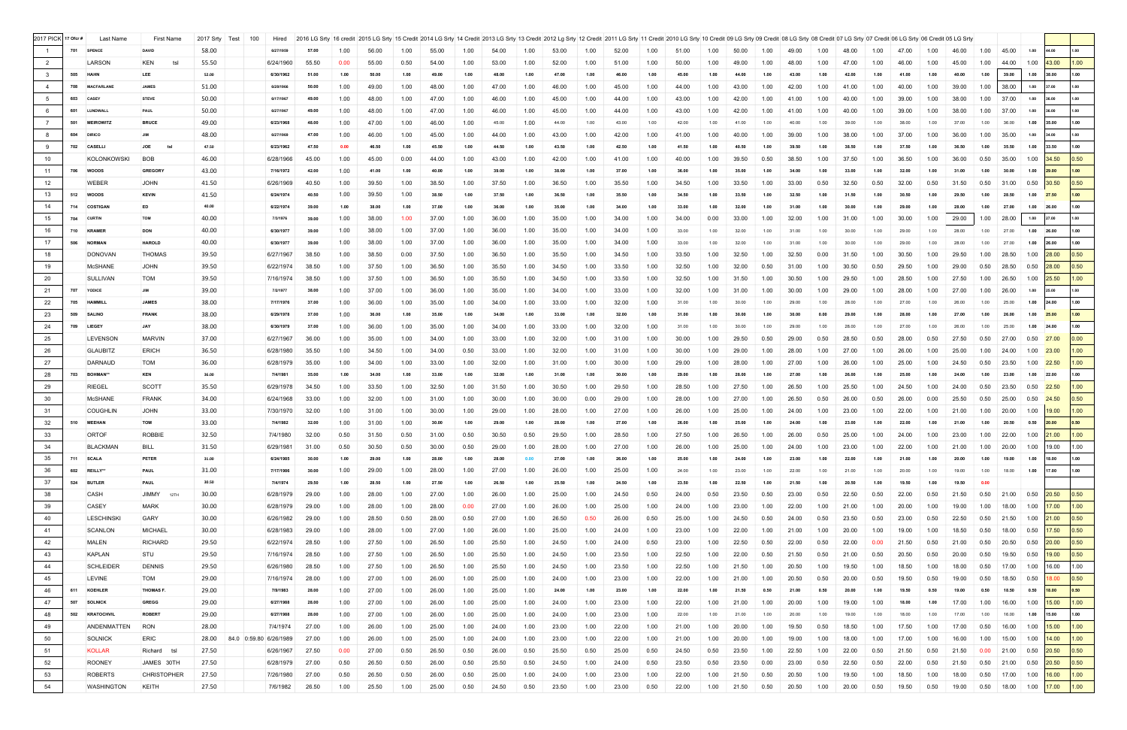| 2017 PICK 17 Ofcr #     |     | Last Name         | First Name         | 2017 Srty | Test<br>100            | Hired     |       |      | 2016 LG Srty   16 credit   2015 LG Srty   15 Credit   2014 LG Srty   14 Credit   2013 LG Srty   13 Credit   2012 Lg Srty   12 Credit   2011 LG Srty   11 Credit   2011 LG Srty   12 Credit   2011 LG Srty   11 Credit   2011 L |      |       |      |       |      |       |      |       |      |       |      |       |      |       |      |       |      |       |      |             |      |       |                                                       |                   |
|-------------------------|-----|-------------------|--------------------|-----------|------------------------|-----------|-------|------|--------------------------------------------------------------------------------------------------------------------------------------------------------------------------------------------------------------------------------|------|-------|------|-------|------|-------|------|-------|------|-------|------|-------|------|-------|------|-------|------|-------|------|-------------|------|-------|-------------------------------------------------------|-------------------|
|                         | 701 | <b>SPENCE</b>     | <b>DAVID</b>       | 58.00     |                        | 6/27/1959 |       | 1.00 | 56.00                                                                                                                                                                                                                          | 1.00 | 55.00 | 1.00 | 54.00 | 1.00 | 53.00 | 1.00 | 52.00 | 1.00 | 51.00 | 1.00 | 50.00 | 1.00 | 49.00 | 1.00 | 48.00 | 1.00 | 47.00 | 1.00 | 46.00       | 1.00 | 45.00 | 1.00<br>44.00                                         | 1.00              |
| $\overline{2}$          |     | LARSON            | KEN<br>tsl         | 55.50     |                        | 6/24/1960 | 55.50 | 0.00 | 55.00                                                                                                                                                                                                                          | 0.50 | 54.00 | 1.00 | 53.00 | 1.00 | 52.00 | 1.00 | 51.00 | 1.00 | 50.00 | 1.00 | 49.00 | 1.00 | 48.00 | 1.00 | 47.00 | 1.00 | 46.00 | 1.00 | 45.00       | 1.00 | 44.00 | 1.00<br>43.00                                         | 1.00              |
| $\overline{\mathbf{3}}$ |     | 505 HAHN          | LEE                | 52.00     |                        | 6/30/1962 | 51.00 | 1.00 | 50.00                                                                                                                                                                                                                          | 1.00 | 49.00 | 1.00 | 48.00 | 1.00 | 47.00 | 1.00 | 46.00 | 1.00 | 45.00 | 1.00 | 44.00 | 1.00 | 43.00 | 1.00 | 42.00 | 1.00 | 41.00 | 1.00 | 40.00       | 1.00 | 39.00 | 1.00<br>38.00                                         | 1.00              |
| $\overline{4}$          | 708 | <b>MACFARLANE</b> | <b>JAMES</b>       | 51.00     |                        | 6/28/1966 | 50.00 | 1.00 | 49.00                                                                                                                                                                                                                          | 1.00 | 48.00 | 1.00 | 47.00 | 1.00 | 46.00 | 1.00 | 45.00 | 1.00 | 44.00 | 1.00 | 43.00 | 1.00 | 42.00 | 1.00 | 41.00 | 1.00 | 40.00 | 1.00 | 39.00       | 1.00 | 38.00 | 1.00                                                  | 1.00              |
|                         |     | <b>CASEY</b>      |                    |           |                        | 6/17/1967 |       |      |                                                                                                                                                                                                                                |      |       |      |       |      |       |      |       |      |       |      |       |      |       |      |       |      |       |      |             |      |       | 36.00                                                 |                   |
| 5                       | 603 |                   | <b>STEVE</b>       | 50.00     |                        |           | 49.00 | 1.00 | 48.00                                                                                                                                                                                                                          | 1.00 | 47.00 | 1.00 | 46.00 | 1.00 | 45.00 | 1.00 | 44.00 | 1.00 | 43.00 | 1.00 | 42.00 | 1.00 | 41.00 | 1.00 | 40.00 | 1.00 | 39.00 | 1.00 | 38.00       | 1.00 | 37.00 | 1.00                                                  | 1.00              |
| 6                       | 601 | LUNDWALI          | PAUL               | 50.00     |                        | 6/27/1967 | 49.00 | 1.00 | 48.00                                                                                                                                                                                                                          | 1.00 | 47.00 | 1.00 | 46.00 | 1.00 | 45.00 | 1.00 | 44.00 | 1.00 | 43.00 | 1.00 | 42.00 | 1.00 | 41.00 | 1.00 | 40.00 | 1.00 | 39.00 | 1.00 | 38.00       | 1.00 | 37.00 | 1.00<br>36.00                                         | 1.00              |
| $\overline{7}$          | 501 | <b>MEIROWITZ</b>  | <b>BRUCE</b>       | 49.00     |                        | 6/23/1968 | 48.00 | 1.00 | 47.00                                                                                                                                                                                                                          | 1.00 | 46.00 | 1.00 | 45.00 | 1.00 | 44.00 | 1.00 | 43.00 | 1.00 | 42.00 | 1.00 |       | 1.00 | 40.00 | 1.00 | 39.00 | 1.00 | 38.00 | 1.00 | 37.00       | 1.00 | 36.00 | 1.00<br>35.00                                         | 1.00              |
| 8                       | 604 | <b>DIRICC</b>     | <b>JIM</b>         | 48.00     |                        | 6/27/1969 | 47.00 | 1.00 | 46.00                                                                                                                                                                                                                          | 1.00 | 45.00 | 1.00 | 44.00 | 1.00 | 43.00 | 1.00 | 42.00 | 1.00 | 41.00 | 1.00 | 40.00 | 1.00 | 39.00 | 1.00 | 38.00 | 1.00 | 37.00 | 1.00 | 36.00       | 1.00 | 35.00 | 1.00<br>34.00                                         | 1.00              |
| 9                       |     | 702 CASELLI       | <b>JOE</b><br>ts   | 47.50     |                        | 6/23/1962 | 47.50 | 0.00 | 46.50                                                                                                                                                                                                                          | 1.00 | 45.50 | 1.00 | 44.50 | 1.00 | 43.50 | 1.00 | 42.50 | 1.00 | 41.50 | 1.00 | 40.50 | 1.00 | 39.50 | 1.00 | 38.50 | 1.00 | 37.50 | 1.00 | 36.50       | 1.00 | 35.50 | 1.00<br>33.50                                         | 1.00              |
| 10                      |     | KOLONKOWSKI       | <b>BOB</b>         | 46.00     |                        | 6/28/1966 | 45.00 | 1.00 | 45.00                                                                                                                                                                                                                          | 0.00 | 44.00 | 1.00 | 43.00 | 1.00 | 42.00 | 1.00 | 41.00 | 1.00 | 40.00 | 1.00 | 39.50 | 0.50 | 38.50 | 1.00 | 37.50 | 1.00 | 36.50 | 1.00 | 36.00       | 0.50 | 35.00 | 1.00<br>34.50                                         | 0.50              |
| 11                      |     | 706 WOODS         | <b>GREGORY</b>     | 43.00     |                        | 7/16/1972 | 42.00 | 1.00 | 41.00                                                                                                                                                                                                                          | 1.00 | 40.00 | 1.00 | 39.00 | 1.00 | 38.00 | 1.00 | 37.00 | 1.00 | 36.00 | 1.00 | 35.00 | 1.00 | 34.00 |      | 33.00 | 1.00 | 32.00 | 1.00 |             | 1.00 | 30.00 | 1.00<br>29.00                                         | 1.00              |
| 12                      |     | <b>WEBER</b>      | <b>JOHN</b>        | 41.50     |                        | 6/26/1969 | 40.50 | 1.00 | 39.50                                                                                                                                                                                                                          | 1.00 | 38.50 | 1.00 | 37.50 | 1.00 | 36.50 | 1.00 | 35.50 | 1.00 | 34.50 | 1.00 | 33.50 | 1.00 | 33.00 | 0.50 | 32.50 | 0.50 | 32.00 | 0.50 | 31.50       | 0.50 | 31.00 | 0.50<br>30.50                                         | 0.50              |
| 13                      |     | 512 WOODS         | <b>KEVIN</b>       | 41.50     |                        | 6/24/1974 | 40.50 | 1.00 | 39.50                                                                                                                                                                                                                          | 1.00 | 38.50 | 1.00 | 37.50 | 1.00 | 36.50 | 1.00 | 35.50 | 1.00 | 34.50 | 1.00 |       | 1.00 | 32.50 | 1.00 | 31.50 | 1.00 | 30.50 | 1.00 | 29.50       | 1.00 | 28.50 | 1.00<br>27.50                                         | 1.00              |
| 14                      |     | 714 COSTIGAN      | ED                 | 40.00     |                        | 6/22/1974 | 39.00 | 1.00 | 38.00                                                                                                                                                                                                                          | 1.00 | 37.00 | 1.00 | 36.00 | 1.00 | 35.00 | 1.00 | 34.00 | 1.00 | 33.00 | 1.00 | 32.00 | 1.00 | 31.00 | 1.00 | 30.00 | 1.00 | 29.00 | 1.00 | 28.00       | 1.00 | 27.00 | 1.00<br>26.00                                         | 1.00              |
| 15                      |     | 704 CURTIN        | <b>TOM</b>         | 40.00     |                        | 7/3/1976  | 39.00 | 1.00 | 38.00                                                                                                                                                                                                                          | 1.00 | 37.00 | 1.00 | 36.00 | 1.00 | 35.00 | 1.00 | 34.00 | 1.00 | 34.00 | 0.00 | 33.00 | 1.00 | 32.00 | 1.00 | 31.00 | 1.00 | 30.00 | 1.00 | 29.00       | 1.00 | 28.00 | 1.00<br>27.00                                         | 1.00              |
| 16                      |     | 710 KRAMER        | <b>DON</b>         | 40.00     |                        | 6/30/1977 | 39.00 | 1.00 | 38.00                                                                                                                                                                                                                          | 1.00 | 37.00 | 1.00 | 36.00 | 1.00 | 35.00 | 1.00 | 34.00 | 1.00 | 33.00 | 1.00 |       | 1.00 |       | 1.00 | 30.00 | 1.00 | 29.00 | 1.00 | 28.00       | 1.00 | 27.00 | 1.00<br>26.00                                         | 1.00              |
| 17                      | 506 | <b>NORMAN</b>     | <b>HAROLD</b>      | 40.00     |                        | 6/30/1977 | 39.00 | 1.00 | 38.00                                                                                                                                                                                                                          | 1.00 | 37.00 | 1.00 | 36.00 | 1.00 | 35.00 | 1.00 | 34.00 | 1.00 | 33.00 | 1.00 | 32.00 | 1.00 | 31.00 | 1.00 | 30.00 | 1.00 | 29.00 | 1.00 | 28.00       | 1.00 | 27.00 | 1.00<br>26.00                                         | 1.00              |
|                         |     | DONOVAN           | <b>THOMAS</b>      |           |                        |           | 38.50 |      |                                                                                                                                                                                                                                |      |       |      |       |      |       |      |       |      |       |      |       |      |       |      |       |      |       |      | 29.50       | 1.00 |       | 28.00                                                 | 0.50              |
| 18                      |     |                   |                    | 39.50     |                        | 6/27/1967 |       | 1.00 | 38.50                                                                                                                                                                                                                          | 0.00 | 37.50 | 1.00 | 36.50 | 1.00 | 35.50 | 1.00 | 34.50 | 1.00 | 33.50 | 1.00 | 32.50 | 1.00 | 32.50 | 0.00 | 31.50 | 1.00 | 30.50 | 1.00 |             |      | 28.50 | 1.00                                                  |                   |
| 19                      |     | McSHANE           | <b>JOHN</b>        | 39.50     |                        | 6/22/1974 | 38.50 | 1.00 | 37.50                                                                                                                                                                                                                          | 1.00 | 36.50 | 1.00 | 35.50 | 1.00 | 34.50 | 1.00 | 33.50 | 1.00 | 32.50 | 1.00 | 32.00 | 0.50 | 31.00 | 1.00 | 30.50 | 0.50 | 29.50 | 1.00 | 29.00       | 0.50 | 28.50 | 28.00<br>0.50                                         | 0.50              |
| 20                      |     | SULLIVAN          | TOM                | 39.50     |                        | 7/16/1974 | 38.50 | 1.00 | 37.50                                                                                                                                                                                                                          | 1.00 | 36.50 | 1.00 | 35.50 | 1.00 | 34.50 | 1.00 | 33.50 | 1.00 | 32.50 | 1.00 | 31.50 | 1.00 | 30.50 | 1.00 | 29.50 | 1.00 | 28.50 | 1.00 | 27.50       | 1.00 | 26.50 | 1.00<br>25.50                                         | 1.00              |
| 21                      | 707 | YODICE            | <b>JIM</b>         | 39.00     |                        | 7/2/1977  | 38.00 | 1.00 | 37.00                                                                                                                                                                                                                          | 1.00 | 36.00 | 1.00 | 35.00 | 1.00 | 34.00 | 1.00 | 33.00 | 1.00 | 32.00 | 1.00 | 31.00 | 1.00 | 30.00 | 1.00 | 29.00 | 1.00 | 28.00 | 1.00 | 27.00       | 1.00 | 26.00 | 1.00<br>25.00                                         | 1.00              |
| 22                      | 705 | <b>HAMMILL</b>    | <b>JAMES</b>       | 38.00     |                        | 7/17/1976 | 37.00 | 1.00 | 36.00                                                                                                                                                                                                                          | 1.00 | 35.00 | 1.00 | 34.00 | 1.00 | 33.00 | 1.00 | 32.00 | 1.00 | 31.00 | 1.00 |       | 1.00 | 29.00 | 1.00 | 28.00 | 1.00 | 27.00 | 1.00 | 26.00       | 1.00 | 25.00 | 1.00<br>24.00                                         | 1.00              |
| 23                      | 509 | <b>SALINO</b>     | <b>FRANK</b>       | 38.00     |                        | 6/29/1978 | 37.00 | 1.00 | 36.00                                                                                                                                                                                                                          | 1.00 | 35.00 | 1.00 | 34.00 | 1.00 | 33.00 | 1.00 | 32.00 | 1.00 | 31.00 |      |       |      |       |      | 29.00 |      |       |      |             |      | 26.00 | 1.00<br>25.00                                         | 1.00              |
| 24                      |     | 709 LIEGEY        | <b>JAY</b>         | 38.00     |                        | 6/30/1979 | 37.00 | 1.00 | 36.00                                                                                                                                                                                                                          | 1.00 | 35.00 | 1.00 | 34.00 | 1.00 | 33.00 | 1.00 | 32.00 | 1.00 | 31.00 | 1.00 |       | 1.00 | 29.00 | 1.00 | 28.00 | 1.00 | 27.00 | 1.00 | 26.00       | 1.00 | 25.00 | 1.00<br>24.00                                         | 1.00              |
| 25                      |     | LEVENSON          | <b>MARVIN</b>      | 37.00     |                        | 6/27/1967 | 36.00 | 1.00 | 35.00                                                                                                                                                                                                                          | 1.00 | 34.00 | 1.00 | 33.00 | 1.00 | 32.00 | 1.00 | 31.00 | 1.00 | 30.00 | 1.00 | 29.50 | 0.50 | 29.00 | 0.50 | 28.50 | 0.50 | 28.00 | 0.50 | 27.50       | 0.50 | 27.00 | 0.50<br>27.00                                         | 0.00              |
| 26                      |     | <b>GLAUBITZ</b>   | <b>ERICH</b>       | 36.50     |                        | 6/28/1980 | 35.50 | 1.00 | 34.50                                                                                                                                                                                                                          | 1.00 | 34.00 | 0.50 | 33.00 | 1.00 | 32.00 | 1.00 | 31.00 | 1.00 | 30.00 | 1.00 | 29.00 | 1.00 | 28.00 | 1.00 | 27.00 | 1.00 | 26.00 | 1.00 | 25.00       | 1.00 | 24.00 | 1.00 23.00                                            | 1.00 <sub>1</sub> |
| 27                      |     | DARNAUD           | <b>TOM</b>         | 36.00     |                        | 6/28/1979 | 35.00 | 1.00 | 34.00                                                                                                                                                                                                                          | 1.00 | 33.00 | 1.00 | 32.00 | 1.00 | 31.00 | 1.00 | 30.00 | 1.00 | 29.00 | 1.00 | 28.00 | 1.00 | 27.00 | 1.00 | 26.00 | 1.00 | 25.00 | 1.00 | 24.50       | 0.50 | 23.50 | 1.00<br>22.50                                         | 1.00              |
| 28                      | 703 | <b>BOHMAN**</b>   | <b>KEN</b>         | 36.00     |                        | 7/4/1981  | 35.00 | 1.00 | 34.00                                                                                                                                                                                                                          | 1.00 | 33.00 | 1.00 | 32.00 | 1.00 | 31.00 | 1.00 | 30.00 | 1.00 | 29.00 | 1.00 | 28.00 | 1.00 | 27.00 | 1.00 | 26.00 | 1.00 | 25.00 | 1.00 |             | 1.00 | 23.00 | 1.00<br>22.00                                         | 1.00              |
| 29                      |     | <b>RIEGEL</b>     | <b>SCOTT</b>       | 35.50     |                        | 6/29/1978 | 34.50 | 1.00 | 33.50                                                                                                                                                                                                                          | 1.00 | 32.50 | 1.00 | 31.50 | 1.00 | 30.50 | 1.00 | 29.50 | 1.00 | 28.50 | 1.00 | 27.50 | 1.00 | 26.50 | 1.00 | 25.50 | 1.00 | 24.50 | 1.00 | 24.00       | 0.50 | 23.50 | 0.50<br>22.50                                         | 1.00 <sub>1</sub> |
| 30                      |     | <b>McSHANE</b>    | <b>FRANK</b>       | 34.00     |                        | 6/24/1968 | 33.00 | 1.00 | 32.00                                                                                                                                                                                                                          | 1.00 | 31.00 | 1.00 | 30.00 | 1.00 | 30.00 | 0.00 | 29.00 | 1.00 | 28.00 | 1.00 | 27.00 |      | 26.50 | 0.50 | 26.00 | 0.50 | 26.00 | 0.00 | 25.50       | 0.50 | 25.00 | 0.50<br>24.50                                         | 0.50              |
|                         |     |                   |                    |           |                        |           |       |      |                                                                                                                                                                                                                                |      |       |      |       |      |       |      |       |      |       |      |       | 1.00 |       |      |       |      |       |      |             |      |       |                                                       |                   |
| 31                      |     | <b>COUGHLIN</b>   | <b>JOHN</b>        | 33.00     |                        | 7/30/1970 | 32.00 | 1.00 | 31.00                                                                                                                                                                                                                          | 1.00 | 30.00 | 1.00 | 29.00 | 1.00 | 28.00 | 1.00 | 27.00 | 1.00 | 26.00 | 1.00 | 25.00 | 1.00 | 24.00 | 1.00 | 23.00 | 1.00 | 22.00 | 1.00 | 21.00       | 1.00 | 20.00 | 1.00<br>19.00                                         | 1.00              |
| 32                      |     | 510 MEEHAN        | <b>TOM</b>         | 33.00     |                        | 7/4/1982  | 32.00 | 1.00 | 31.00                                                                                                                                                                                                                          | 1.00 | 30.00 | 1.00 | 29.00 | 1.00 | 28.00 | 1.00 | 27.00 | 1.00 | 26.00 | 1.00 | 25.00 |      | 24.00 |      | 23.00 | 1.00 | 22.00 | 1.00 | 21.00       | 1.00 | 20.50 | 0.50<br>20.00                                         | 0.50              |
| 33                      |     | <b>ORTOF</b>      | <b>ROBBIE</b>      | 32.50     |                        | 7/4/1980  | 32.00 | 0.50 | 31.50                                                                                                                                                                                                                          | 0.50 | 31.00 | 0.50 | 30.50 | 0.50 | 29.50 | 1.00 | 28.50 | 1.00 | 27.50 | 1.00 | 26.50 | 1.00 | 26.00 | 0.50 | 25.00 | 1.00 | 24.00 | 1.00 | 23.00       | 1.00 | 22.00 | 1.00 21.00                                            | 1.00              |
| 34                      |     | <b>BLACKMAN</b>   | <b>BILL</b>        | 31.50     |                        | 6/29/1981 | 31.00 | 0.50 | 30.50                                                                                                                                                                                                                          | 0.50 | 30.00 |      |       |      | 28.00 | 1.00 |       | 1.00 | 26.00 |      |       |      |       |      | 23.00 |      |       |      | 21.00       | 1.00 |       | 20.00 1.00 19.00                                      | 1.00              |
| 35                      |     | 711 SCALA         | PETER              | 31.00     |                        | 6/24/1985 | 30.00 | 1.00 | 29.00                                                                                                                                                                                                                          | 1.00 | 28.00 |      | 28.00 |      | 27.00 | 1.00 | 26.00 |      |       | 1.00 |       |      |       |      | 22.00 |      |       |      |             |      | 19.00 | 1.00<br>18.00                                         | 1.00              |
| 36                      |     | 602 REILLY**      | <b>PAUL</b>        | 31.00     |                        | 7/17/1986 | 30.00 | 1.00 | 29.00                                                                                                                                                                                                                          | 1.00 | 28.00 | 1.00 | 27.00 | 1.00 | 26.00 | 1.00 | 25.00 | 1.00 | 24.00 | 1.00 | 23.00 | 1.00 |       | 1.00 | 21.00 | 1.00 | 20.00 | 1.00 | 19.00       | 1.00 | 18.00 | 1.00<br>17.00                                         | 1.00              |
| 37                      |     | 524 BUTLER        | <b>PAUL</b>        | 30.50     |                        | 7/4/1974  | 29.50 | 1.00 | 28.50                                                                                                                                                                                                                          | 1.00 | 27.50 | 1.00 | 26.50 | 1.00 | 25.50 | 1.00 | 24.50 | 1.00 | 23.50 | 1.00 | 22.50 | 1.00 | 21.50 | 1.00 | 20.50 | 1.00 | 19.50 | 1.00 | 19.50       | 0.00 |       |                                                       |                   |
| 38                      |     | CASH              | JIMMY<br>12TH      | 30.00     |                        | 6/28/1979 | 29.00 | 1.00 | 28.00                                                                                                                                                                                                                          | 1.00 | 27.00 | 1.00 | 26.00 | 1.00 | 25.00 | 1.00 | 24.50 | 0.50 | 24.00 | 0.50 | 23.50 | 0.50 | 23.00 | 0.50 | 22.50 | 0.50 | 22.00 | 0.50 | 21.50       | 0.50 | 21.00 | $0.50\quad 20.50$                                     | 0.50              |
| 39                      |     | CASEY             | <b>MARK</b>        | 30.00     |                        | 6/28/1979 | 29.00 | 1.00 | 28.00                                                                                                                                                                                                                          | 1.00 | 28.00 | 0.00 | 27.00 | 1.00 | 26.00 | 1.00 | 25.00 | 1.00 | 24.00 | 1.00 | 23.00 | 1.00 | 22.00 | 1.00 | 21.00 | 1.00 | 20.00 | 1.00 | 19.00       | 1.00 | 18.00 | 17.00<br>1.00                                         | 1.00              |
| 40                      |     | <b>LESCHINSKI</b> | GARY               | 30.00     |                        | 6/26/1982 | 29.00 | 1.00 | 28.50                                                                                                                                                                                                                          | 0.50 | 28.00 | 0.50 | 27.00 | 1.00 | 26.50 | 0.50 | 26.00 | 0.50 | 25.00 | 1.00 | 24.50 | 0.50 | 24.00 | 0.50 | 23.50 | 0.50 | 23.00 | 0.50 | 22.50       | 0.50 | 21.50 | 1.00<br> 21.00                                        | $ 0.50\rangle$    |
| 41                      |     | SCANLON           | <b>MICHAEL</b>     | 30.00     |                        | 6/28/1983 | 29.00 | 1.00 | 28.00                                                                                                                                                                                                                          | 1.00 | 27.00 | 1.00 | 26.00 | 1.00 | 25.00 | 1.00 | 24.00 | 1.00 | 23.00 | 1.00 | 22.00 | 1.00 | 21.00 | 1.00 | 20.00 | 1.00 | 19.00 | 1.00 | 18.50       | 0.50 | 18.00 | 0.50<br>17.50                                         | 0.50              |
| 42                      |     | <b>MALEN</b>      | <b>RICHARD</b>     | 29.50     |                        | 6/22/1974 | 28.50 | 1.00 | 27.50                                                                                                                                                                                                                          | 1.00 | 26.50 | 1.00 | 25.50 | 1.00 | 24.50 | 1.00 | 24.00 | 0.50 | 23.00 | 1.00 | 22.50 | 0.50 | 22.00 | 0.50 | 22.00 | 0.00 | 21.50 | 0.50 | 21.00       | 0.50 | 20.50 | 0.50<br>20.00                                         | 0.50              |
| 43                      |     | <b>KAPLAN</b>     | STU                | 29.50     |                        | 7/16/1974 | 28.50 | 1.00 | 27.50                                                                                                                                                                                                                          | 1.00 | 26.50 | 1.00 | 25.50 | 1.00 | 24.50 | 1.00 | 23.50 | 1.00 | 22.50 | 1.00 | 22.00 | 0.50 | 21.50 | 0.50 | 21.00 | 0.50 | 20.50 | 0.50 | 20.00       | 0.50 | 19.50 | 0.50<br>19.00                                         | 0.50              |
| 44                      |     | <b>SCHLEIDER</b>  | <b>DENNIS</b>      | 29.50     |                        |           |       |      |                                                                                                                                                                                                                                |      |       |      |       |      |       |      | 23.50 |      |       |      |       |      |       |      |       |      |       |      |             | 0.50 | 17.00 |                                                       | 1.00              |
|                         |     |                   |                    |           |                        | 6/26/1980 | 28.50 | 1.00 | 27.50                                                                                                                                                                                                                          | 1.00 | 26.50 | 1.00 | 25.50 | 1.00 | 24.50 | 1.00 |       | 1.00 | 22.50 | 1.00 | 21.50 | 1.00 | 20.50 | 1.00 | 19.50 | 1.00 | 18.50 | 1.00 | 18.00       |      |       | 1.00<br>16.00                                         |                   |
| 45                      |     | LEVINE            | <b>TOM</b>         | 29.00     |                        | 7/16/1974 | 28.00 | 1.00 | 27.00                                                                                                                                                                                                                          | 1.00 | 26.00 | 1.00 | 25.00 | 1.00 | 24.00 | 1.00 | 23.00 | 1.00 | 22.00 | 1.00 | 21.00 | 1.00 | 20.50 | 0.50 | 20.00 | 0.50 | 19.50 | 0.50 | 19.00       | 0.50 | 18.50 | 0.50<br>18.00                                         | 0.50              |
| 46                      |     | 611 KOEHLER       | THOMAS F.          | 29.00     |                        | 7/9/1983  | 28.00 | 1.00 | 27.00                                                                                                                                                                                                                          | 1.00 | 26.00 | 1.00 | 25.00 | 1.00 | 24.00 | 1.00 | 23.00 | 1.00 | 22.00 | 1.00 | 21.50 | 0.50 | 21.00 | 0.50 | 20.00 | 1.00 | 19.50 | 0.50 | 19.00       | 0.50 | 18.50 | 0.50<br>18.00                                         | 0.50              |
| 47                      |     | 507 SOLNICK       | <b>GREGG</b>       | 29.00     |                        | 6/27/1988 | 28.00 | 1.00 | 27.00                                                                                                                                                                                                                          | 1.00 | 26.00 | 1.00 | 25.00 | 1.00 | 24.00 | 1.00 | 23.00 | 1.00 | 22.00 | 1.00 | 21.00 | 1.00 | 20.00 | 1.00 | 19.00 | 1.00 | 18.00 | 1.00 | 17.00       | 1.00 | 16.00 | 1.00<br>15.00                                         | 1.00              |
| 48                      |     | 502 KRATOCHVIL    | <b>ROBERT</b>      | 29.00     |                        | 6/27/1988 | 28.00 | 1.00 | 27.00                                                                                                                                                                                                                          | 1.00 | 26.00 | 1.00 | 25.00 | 1.00 | 24.00 | 1.00 | 23.00 | 1.00 | 22.00 | 1.00 | 21.00 | 1.00 | 20.00 | 1.00 | 19.00 | 1.00 | 18.00 | 1.00 | 17.00       | 1.00 | 16.00 | 1.00<br>15.00                                         | 1.00              |
| 49                      |     | ANDENMATTEN       | <b>RON</b>         | 28.00     |                        | 7/4/1974  | 27.00 | 1.00 | 26.00                                                                                                                                                                                                                          | 1.00 | 25.00 | 1.00 | 24.00 | 1.00 | 23.00 | 1.00 | 22.00 | 1.00 | 21.00 | 1.00 | 20.00 | 1.00 | 19.50 | 0.50 | 18.50 | 1.00 | 17.50 | 1.00 | 17.00       | 0.50 | 16.00 | 1.00<br>15.00                                         | 1.00              |
| 50                      |     | SOLNICK           | <b>ERIC</b>        | 28.00     | 84.0 0:59.80 6/26/1989 |           | 27.00 | 1.00 | 26.00                                                                                                                                                                                                                          | 1.00 | 25.00 | 1.00 | 24.00 | 1.00 | 23.00 | 1.00 | 22.00 | 1.00 | 21.00 | 1.00 | 20.00 | 1.00 | 19.00 | 1.00 | 18.00 | 1.00 | 17.00 | 1.00 | 16.00       | 1.00 | 15.00 | 1.00<br>14.00                                         | 1.00              |
| 51                      |     | <b>KOLLAR</b>     | Richard tsl        | 27.50     |                        | 6/26/1967 | 27.50 | 0.00 | 27.00                                                                                                                                                                                                                          | 0.50 | 26.50 | 0.50 | 26.00 | 0.50 | 25.50 | 0.50 | 25.00 | 0.50 | 24.50 | 0.50 | 23.50 | 1.00 | 22.50 | 1.00 | 22.00 | 0.50 | 21.50 | 0.50 | 21.50       | 0.00 | 21.00 | 20.50<br>0.50                                         | 0.50              |
| 52                      |     | <b>ROONEY</b>     | JAMES 30TH         | 27.50     |                        | 6/28/1979 | 27.00 | 0.50 | 26.50                                                                                                                                                                                                                          | 0.50 | 26.00 | 0.50 | 25.50 | 0.50 | 24.50 | 1.00 | 24.00 | 0.50 | 23.50 | 0.50 | 23.50 | 0.00 | 23.00 | 0.50 | 22.50 | 0.50 | 22.00 | 0.50 | 21.50       | 0.50 | 21.00 | 0.50 20.50                                            | 0.50              |
| 53                      |     | <b>ROBERTS</b>    | <b>CHRISTOPHER</b> | 27.50     |                        | 7/26/1980 | 27.00 | 0.50 | 26.50                                                                                                                                                                                                                          | 0.50 | 26.00 | 0.50 | 25.00 | 1.00 | 24.00 | 1.00 | 23.00 | 1.00 | 22.00 | 1.00 | 21.50 | 0.50 | 20.50 | 1.00 | 19.50 | 1.00 | 18.50 | 1.00 | 18.00       | 0.50 | 17.00 | 1.00<br>16.00                                         | 1.00              |
| 54                      |     | <b>WASHINGTON</b> | KEITH              | 27.50     |                        | 7/6/1982  | 26.50 | 1.00 | 25.50                                                                                                                                                                                                                          | 1.00 | 25.00 | 0.50 | 24.50 | 0.50 | 23.50 | 1.00 | 23.00 | 0.50 | 22.00 | 1.00 | 21.50 | 0.50 | 20.50 | 1.00 | 20.00 | 0.50 | 19.50 | 0.50 | 19.00  0.50 |      |       | $\vert$ 18.00 $\vert$ 1.00 $\vert$ 17.00 $\vert$ 1.00 |                   |
|                         |     |                   |                    |           |                        |           |       |      |                                                                                                                                                                                                                                |      |       |      |       |      |       |      |       |      |       |      |       |      |       |      |       |      |       |      |             |      |       |                                                       |                   |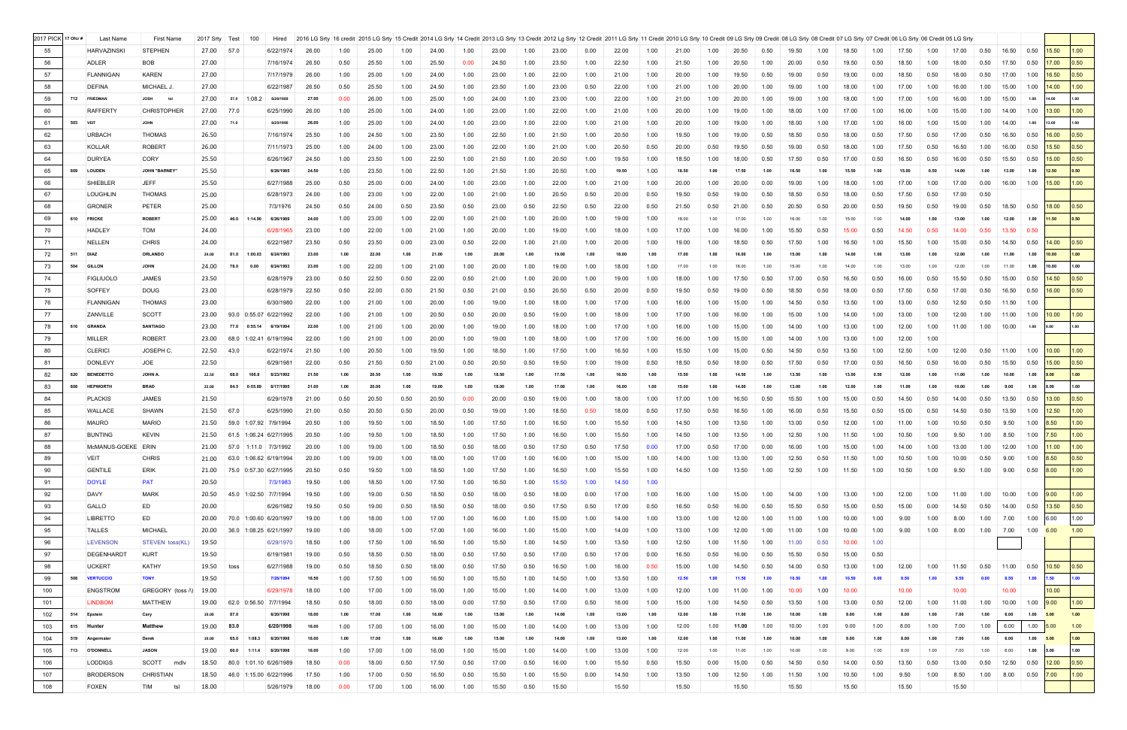| 2017 PICK 17 Ofcr # |          | Last Name          | <b>First Name</b>      | 2017 Srty Test |      |         | Hired                        |       |      | 2016 LG Srty 16 credit 2015 LG Srty 15 Credit 2014 LG Srty 14 Credit 2013 LG Srty 13 Credit 2012 Lg Srty 12 Credit 2011 LG Srty 11 Credit 2011 LG Srty 11 Credit 2011 LG Srty 11 Credit 2011 LG Srty 11 Credit 2011 LG Srty 11 |      |       |      |       |      |       |      |       |      |       |      |       |      |       |      |       |      |       |      |       |      |                                          |                  |       |                   |
|---------------------|----------|--------------------|------------------------|----------------|------|---------|------------------------------|-------|------|--------------------------------------------------------------------------------------------------------------------------------------------------------------------------------------------------------------------------------|------|-------|------|-------|------|-------|------|-------|------|-------|------|-------|------|-------|------|-------|------|-------|------|-------|------|------------------------------------------|------------------|-------|-------------------|
| 55                  |          | <b>HARVAZINSKI</b> | <b>STEPHEN</b>         | 27.00 57.0     |      |         | 6/22/1974                    | 26.00 | 1.00 | 25.00                                                                                                                                                                                                                          | 1.00 | 24.00 | 1.00 | 23.00 | 1.00 | 23.00 | 0.00 | 22.00 | 1.00 | 21.00 | 1.00 | 20.50 | 0.50 | 19.50 | 1.00 | 18.50 | 1.00 | 17.50 | 1.00 | 17.00 | 0.50 | 16.50                                    | 0.50             | 15.50 | 1.00              |
| 56                  |          | ADLER              | BOB                    | 27.00          |      |         | 7/16/1974                    | 26.50 | 0.50 | 25.50                                                                                                                                                                                                                          | 1.00 | 25.50 | 0.00 | 24.50 | 1.00 | 23.50 | 1.00 | 22.50 | 1.00 | 21.50 | 1.00 | 20.50 | 1.00 | 20.00 | 0.50 | 19.50 | 0.50 | 18.50 | 1.00 | 18.00 | 0.50 | 17.50                                    | 0.50             | 17.00 | 0.50              |
| 57                  |          | <b>FLANNIGAN</b>   | <b>KAREN</b>           | 27.00          |      |         | 7/17/1979                    | 26.00 | 1.00 | 25.00                                                                                                                                                                                                                          | 1.00 | 24.00 | 1.00 | 23.00 | 1.00 | 22.00 | 1.00 | 21.00 | 1.00 | 20.00 | 1.00 | 19.50 | 0.50 | 19.00 | 0.50 | 19.00 | 0.00 | 18.50 | 0.50 | 18.00 | 0.50 | 17.00                                    | 1.00             | 16.50 | 0.50              |
| 58                  |          | <b>DEFINA</b>      | MICHAEL J              | 27.00          |      |         | 6/22/1987                    | 26.50 | 0.50 | 25.50                                                                                                                                                                                                                          | 1.00 | 24.50 | 1.00 | 23.50 | 1.00 | 23.00 | 0.50 | 22.00 | 1.00 | 21.00 | 1.00 | 20.00 | 1.00 | 19.00 | 1.00 | 18.00 | 1.00 | 17.00 | 1.00 | 16.00 | 1.00 | 15.00                                    | 1.00             | 14.00 | 1.00              |
| 59                  | 712      | <b>FRIEDMAN</b>    | <b>JOSH</b>            | 27.00          | 57.0 | 1:08.2  | 6/26/1989                    | 27.00 | 0.00 | 26.00                                                                                                                                                                                                                          | 1.00 | 25.00 | 1.00 | 24.00 | 1.00 | 23.00 | 1.00 | 22.00 | 1.00 | 21.00 | 1.00 | 20.00 | 1.00 | 19.00 | 1.00 | 18.00 | 1.00 | 17.00 | 1.00 | 16.00 | 1.00 | 15.00                                    | 1.00             |       | 1.00              |
| 60                  |          | <b>RAFFERTY</b>    | <b>CHRISTOPHER</b>     | 27.00          | 77.0 |         | 6/25/1990                    | 26.00 | 1.00 | 25.00                                                                                                                                                                                                                          | 1.00 | 24.00 | 1.00 | 23.00 | 1.00 | 22.00 | 1.00 | 21.00 | 1.00 | 20.00 | 1.00 | 19.00 | 1.00 | 18.00 | 1.00 | 17.00 | 1.00 | 16.00 | 1.00 | 15.00 | 1.00 | 14.00                                    | 1.00             | 13.00 | 1.00              |
| 61                  | 503 VEIT |                    | <b>JOHN</b>            | 27.00          | 71.0 |         | 6/25/1990                    | 26.00 | 1.00 | 25.00                                                                                                                                                                                                                          | 1.00 | 24.00 | 1.00 | 23.00 | 1.00 | 22.00 | 1.00 | 21.00 | 1.00 | 20.00 | 1.00 | 19.00 | 1.00 | 18.00 | 1.00 | 17.00 | 1.00 | 16.00 | 1.00 | 15.00 | 1.00 | 14.00                                    | 1.00             | 13.00 | 1.00              |
| 62                  |          | <b>URBACH</b>      | <b>THOMAS</b>          | 26.50          |      |         | 7/16/1974                    | 25.50 | 1.00 | 24.50                                                                                                                                                                                                                          | 1.00 | 23.50 | 1.00 | 22.50 | 1.00 | 21.50 | 1.00 | 20.50 | 1.00 | 19.50 | 1.00 | 19.00 | 0.50 | 18.50 | 0.50 | 18.00 | 0.50 | 17.50 | 0.50 | 17.00 | 0.50 | 16.50                                    | 0.50             | 16.00 | 0.50              |
| 63                  |          | KOLLAR             | <b>ROBERT</b>          | 26.00          |      |         | 7/11/1973                    | 25.00 | 1.00 | 24.00                                                                                                                                                                                                                          | 1.00 | 23.00 | 1.00 | 22.00 | 1.00 | 21.00 | 1.00 | 20.50 | 0.50 | 20.00 | 0.50 | 19.50 | 0.50 | 19.00 | 0.50 | 18.00 | 1.00 | 17.50 | 0.50 | 16.50 | 1.00 | 16.00                                    | 0.50             | 15.50 | 0.50              |
| 64                  |          | <b>DURYEA</b>      | <b>CORY</b>            | 25.50          |      |         | 6/26/1967                    | 24.50 | 1.00 | 23.50                                                                                                                                                                                                                          | 1.00 | 22.50 | 1.00 | 21.50 | 1.00 | 20.50 | 1.00 | 19.50 | 1.00 | 18.50 | 1.00 | 18.00 | 0.50 | 17.50 | 0.50 | 17.00 | 0.50 | 16.50 | 0.50 | 16.00 | 0.50 | 15.50                                    | 0.50             | 15.00 | 0.50              |
| 65                  | 609      | <b>LOUDEN</b>      | <b>JOHN "BARNEY"</b>   | 25.50          |      |         | 6/26/1985                    | 24.50 | 1.00 | 23.50                                                                                                                                                                                                                          | 1.00 | 22.50 | 1.00 | 21.50 | 1.00 | 20.50 | 1.00 | 19.50 | 1.00 | 18.50 | 1.00 |       |      |       |      | 15.50 |      | 15.00 | 0.50 | 14.00 | 1.00 | 13.00                                    | 1.00             | 12.50 | 0.50              |
| 66                  |          | <b>SHIEBLER</b>    | <b>JEFF</b>            | 25.50          |      |         | 6/27/1988                    | 25.00 | 0.50 | 25.00                                                                                                                                                                                                                          | 0.00 | 24.00 | 1.00 | 23.00 | 1.00 | 22.00 | 1.00 | 21.00 | 1.00 | 20.00 | 1.00 | 20.00 | 0.00 | 19.00 | 1.00 | 18.00 | 1.00 | 17.00 | 1.00 | 17.00 | 0.00 | 16.00                                    | 1.00             | 15.00 | 1.00              |
| 67                  |          | <b>LOUGHLIN</b>    | <b>THOMAS</b>          | 25.00          |      |         | 6/28/1973                    | 24.00 | 1.00 | 23.00                                                                                                                                                                                                                          | 1.00 | 22.00 | 1.00 | 21.00 | 1.00 | 20.50 | 0.50 | 20.00 | 0.50 | 19.50 | 0.50 | 19.00 | 0.50 | 18.50 | 0.50 | 18.00 | 0.50 | 17.50 | 0.50 | 17.00 | 0.50 |                                          |                  |       |                   |
| 68                  |          | <b>GRONER</b>      | PETER                  | 25.00          |      |         | 7/3/1976                     | 24.50 | 0.50 | 24.00                                                                                                                                                                                                                          | 0.50 | 23.50 | 0.50 | 23.00 | 0.50 | 22.50 | 0.50 | 22.00 | 0.50 | 21.50 | 0.50 | 21.00 | 0.50 | 20.50 | 0.50 | 20.00 | 0.50 | 19.50 | 0.50 | 19.00 | 0.50 | 18.50                                    | 0.50             | 18.00 | 0.50              |
| 69                  |          | 610 FRICKE         | <b>ROBERT</b>          | 25.00          | 46.0 | 1:14.90 | 6/26/1989                    | 24.00 | 1.00 | 23.00                                                                                                                                                                                                                          | 1.00 | 22.00 | 1.00 | 21.00 | 1.00 | 20.00 | 1.00 | 19.00 | 1.00 | 18.00 | 1.00 | 17.00 | 1.00 | 16.00 | 1.00 | 15.00 | 1.00 | 14.00 |      |       | 1.00 | 12.00                                    | 1.00             | 11.50 | 0.50              |
| 70                  |          | <b>HADLEY</b>      | TOM                    | 24.00          |      |         | 6/28/1965                    | 23.00 | 1.00 | 22.00                                                                                                                                                                                                                          | 1.00 | 21.00 | 1.00 | 20.00 | 1.00 | 19.00 | 1.00 | 18.00 | 1.00 | 17.00 | 1.00 | 16.00 | 1.00 | 15.50 | 0.50 | 15.00 | 0.50 |       | 0.50 | 14.00 | 0.50 | 13.50                                    | 0.50             |       |                   |
| 71                  |          | NELLEN             | <b>CHRIS</b>           | 24.00          |      |         | 6/22/1987                    | 23.50 | 0.50 | 23.50                                                                                                                                                                                                                          | 0.00 | 23.00 | 0.50 | 22.00 | 1.00 | 21.00 | 1.00 | 20.00 | 1.00 | 19.00 | 1.00 | 18.50 | 0.50 | 17.50 | 1.00 | 16.50 | 1.00 | 15.50 | 1.00 | 15.00 | 0.50 | 14.50                                    | 0.50             | 14.00 | 0.50              |
| 72                  | 511      | <b>DIAZ</b>        | <b>ORLANDO</b>         | 24.00          | 81.0 | 1:00.03 | 6/24/1993                    | 23.00 | 1.00 | 22.00                                                                                                                                                                                                                          | 1.00 | 21.00 | 1.00 | 20.00 | 1.00 | 19.00 | 1.00 | 18.00 | 1.00 |       | 1.00 | 16.00 |      |       |      | 14.00 |      | 13.00 |      |       | 1.00 | 11.00                                    | 1.00             | 10.00 | 1.00              |
|                     |          |                    |                        |                |      |         |                              |       |      |                                                                                                                                                                                                                                |      |       |      |       |      |       | 1.00 |       |      |       |      |       |      |       |      |       |      |       |      |       |      |                                          |                  |       | 1.00              |
| 73                  |          | 504 GILLON         | <b>JOHN</b>            | 24.00          | 78.0 | 0.00    | 6/24/1993                    | 23.00 | 1.00 | 22.00                                                                                                                                                                                                                          | 1.00 | 21.00 | 1.00 | 20.00 | 1.00 | 19.00 |      | 18.00 | 1.00 | 17.00 |      | 16.00 | 1.00 |       | 1.00 | 14.00 | 1.00 | 13.00 | 1.00 | 12.00 | 1.00 | 11.00                                    | 1.00             | 10.00 |                   |
| 74                  |          | <b>FIGLIUOLO</b>   | <b>JAMES</b>           | 23.50          |      |         | 6/28/1979                    | 23.00 | 0.50 | 22.50                                                                                                                                                                                                                          | 0.50 | 22.00 | 0.50 | 21.00 | 1.00 | 20.00 | 1.00 | 19.00 | 1.00 | 18.00 | 1.00 | 17.50 | 0.50 | 17.00 | 0.50 | 16.50 | 0.50 | 16.00 | 0.50 | 15.50 | 0.50 | 15.00                                    | 0.50             | 14.50 | 0.50              |
| 75                  |          | <b>SOFFEY</b>      | <b>DOUG</b>            | 23.00          |      |         | 6/28/1979                    | 22.50 | 0.50 | 22.00                                                                                                                                                                                                                          | 0.50 | 21.50 | 0.50 | 21.00 | 0.50 | 20.50 | 0.50 | 20.00 | 0.50 | 19.50 | 0.50 | 19.00 | 0.50 | 18.50 | 0.50 | 18.00 | 0.50 | 17.50 | 0.50 | 17.00 | 0.50 | 16.50                                    | 0.50             | 16.00 | 0.50              |
| 76                  |          | <b>FLANNIGAN</b>   | <b>THOMAS</b>          | 23.00          |      |         | 6/30/1980                    | 22.00 | 1.00 | 21.00                                                                                                                                                                                                                          | 1.00 | 20.00 | 1.00 | 19.00 | 1.00 | 18.00 | 1.00 | 17.00 | 1.00 | 16.00 | 1.00 | 15.00 | 1.00 | 14.50 | 0.50 | 13.50 | 1.00 | 13.00 | 0.50 | 12.50 | 0.50 | 11.50                                    | 1.00             |       |                   |
| 77                  |          | ZANVILLE           | <b>SCOTT</b>           | 23.00          |      |         | 93.0 0:55.07 6/22/1992       | 22.00 | 1.00 | 21.00                                                                                                                                                                                                                          | 1.00 | 20.50 | 0.50 | 20.00 | 0.50 | 19.00 | 1.00 | 18.00 | 1.00 | 17.00 | 1.00 | 16.00 | 1.00 | 15.00 | 1.00 | 14.00 | 1.00 | 13.00 | 1.00 | 12.00 | 1.00 | 11.00                                    | 1.00             | 10.00 | 1.00 <sub>1</sub> |
| 78                  |          | 616 GRANDA         | <b>SANTIAGO</b>        | 23.00          | 77.0 | 0:55.14 | 6/19/1994                    | 22.00 | 1.00 | 21.00                                                                                                                                                                                                                          | 1.00 | 20.00 | 1.00 | 19.00 | 1.00 | 18.00 | 1.00 | 17.00 | 1.00 | 16.00 | 1.00 | 15.00 | 1.00 | 14.00 | 1.00 | 13.00 | 1.00 | 12.00 | 1.00 | 11.00 | 1.00 | 10.00                                    | 1.00<br>9.00     |       | 1.00              |
| 79                  |          | <b>MILLER</b>      | <b>ROBERT</b>          | 23.00          |      |         | 68.0 1:02.41 6/19/1994       | 22.00 | 1.00 | 21.00                                                                                                                                                                                                                          | 1.00 | 20.00 | 1.00 | 19.00 | 1.00 | 18.00 | 1.00 | 17.00 | 1.00 | 16.00 | 1.00 | 15.00 | 1.00 | 14.00 | 1.00 | 13.00 | 1.00 | 12.00 | 1.00 |       |      |                                          |                  |       |                   |
| 80                  |          | <b>CLERICI</b>     | JOSEPH C.              | 22.50          | 43.0 |         | 6/22/1974                    | 21.50 | 1.00 | 20.50                                                                                                                                                                                                                          | 1.00 | 19.50 | 1.00 | 18.50 | 1.00 | 17.50 | 1.00 | 16.50 | 1.00 | 15.50 | 1.00 | 15.00 | 0.50 | 14.50 | 0.50 | 13.50 | 1.00 | 12.50 | 1.00 | 12.00 | 0.50 | 11.00                                    | 1.00             | 10.00 | 1.00              |
| 81                  |          | <b>DONLEVY</b>     | JOE                    | 22.50          |      |         | 6/29/1981                    | 22.00 | 0.50 | 21.50                                                                                                                                                                                                                          | 0.50 | 21.00 | 0.50 | 20.50 | 0.50 | 19.50 | 1.00 | 19.00 | 0.50 | 18.50 | 0.50 | 18.00 | 0.50 | 17.50 | 0.50 | 17.00 | 0.50 | 16.50 | 0.50 | 16.00 | 0.50 | 15.50                                    | 0.50             | 15.00 | 0.50              |
| 82                  | 620      | <b>BENEDETTO</b>   | JOHN A.                | 22.50          | 68.0 | 106.8   | 6/23/1992                    | 21.50 | 1.00 | 20.50                                                                                                                                                                                                                          | 1.00 | 19.50 | 1.00 | 18.50 | 1.00 | 17.50 | 1.00 | 16.50 | 1.00 | 15.50 |      | 14.50 |      |       |      | 13.00 | 0.50 | 12.00 |      |       |      | 10.00                                    | 1.00<br>9.00     |       | 1.00              |
| 83                  | 608      | <b>HEPWORTH</b>    | <b>BRAD</b>            | 22.00          | 84.5 | 0:55.89 | 6/17/1995                    | 21.00 | 1.00 | 20.00                                                                                                                                                                                                                          | 1.00 | 19.00 | 1.00 | 18.00 | 1.00 | 17.00 | 1.00 | 16.00 | 1.00 | 15.00 | 1.00 | 14.00 |      |       |      | 12.00 | 1.00 | 11.00 | 1.00 | 10.00 | 1.00 | 9.00                                     | 1.00<br>8.00     |       | 1.00              |
| 84                  |          | <b>PLACKIS</b>     | <b>JAMES</b>           | 21.50          |      |         | 6/29/1978                    | 21.00 | 0.50 | 20.50                                                                                                                                                                                                                          | 0.50 | 20.50 | 0.00 | 20.00 | 0.50 | 19.00 | 1.00 | 18.00 | 1.00 | 17.00 | 1.00 | 16.50 | 0.50 | 15.50 | 1.00 | 15.00 | 0.50 | 14.50 | 0.50 | 14.00 | 0.50 | 13.50                                    | 0.50             | 13.00 | 0.50              |
| 85                  |          | <b>WALLACE</b>     | SHAWN                  | 21.50          | 67.0 |         | 6/25/1990                    | 21.00 | 0.50 | 20.50                                                                                                                                                                                                                          | 0.50 | 20.00 | 0.50 | 19.00 | 1.00 | 18.50 | 0.50 | 18.00 | 0.50 | 17.50 | 0.50 | 16.50 | 1.00 | 16.00 | 0.50 | 15.50 | 0.50 | 15.00 | 0.50 | 14.50 | 0.50 | 13.50                                    | 1.00             | 12.50 | 1.00              |
| 86                  |          | <b>MAURO</b>       | <b>MARIO</b>           | 21.50          |      |         | 59.0 1:07.92 7/9/1994        | 20.50 | 1.00 | 19.50                                                                                                                                                                                                                          | 1.00 | 18.50 | 1.00 | 17.50 | 1.00 | 16.50 | 1.00 | 15.50 | 1.00 | 14.50 | 1.00 | 13.50 | 1.00 | 13.00 | 0.50 | 12.00 | 1.00 | 11.00 | 1.00 | 10.50 | 0.50 | 9.50                                     | 1.00             | 8.50  | 1.00              |
| 87                  |          | <b>BUNTING</b>     | <b>KEVIN</b>           |                |      |         | 21.50 61.5 1:06.24 6/27/1995 | 20.50 | 1.00 | 19.50                                                                                                                                                                                                                          | 1.00 | 18.50 | 1.00 | 17.50 | 1.00 | 16.50 | 1.00 | 15.50 | 1.00 | 14.50 | 1.00 | 13.50 | 1.00 | 12.50 | 1.00 | 11.50 | 1.00 | 10.50 | 1.00 | 9.50  | 1.00 | 8.50                                     | 1.00             | 7.50  | 1.00              |
| 88                  |          | McMANUS-GOEKE ERIN |                        | 21.00          | 57.0 |         | $1:11.0$ 7/3/1992            | 20.00 | 1.00 | 19.00                                                                                                                                                                                                                          | 1.00 | 18.50 | 0.50 | 18.00 | 0.50 | 17.50 | 0.50 | 17.50 |      | 17.00 | 0.50 | 17.00 | 0.00 | 16.00 | 1.00 | 15.00 | 1.00 |       | 1.00 | 13.00 | 1.00 | 12.00                                    | 1.00             | 11.00 |                   |
| 89                  |          | <b>VEIT</b>        | <b>CHRIS</b>           |                |      |         | 21.00 63.0 1:06.62 6/19/1994 | 20.00 | 1.00 | 19.00                                                                                                                                                                                                                          | 1.00 | 18.00 | 1.00 | 17.00 | 1.00 | 16.00 | 1.00 | 15.00 | 1.00 | 14.00 | 1.00 | 13.00 | 1.00 | 12.50 | 0.50 | 11.50 | 1.00 | 10.50 | 1.00 | 10.00 | 0.50 | 9.00                                     | 1.00             | 8.50  | 0.50              |
| 90                  |          | <b>GENTILE</b>     | ERIK                   |                |      |         | 21.00 75.0 0:57.30 6/27/1995 | 20.50 | 0.50 | 19.50                                                                                                                                                                                                                          | 1.00 | 18.50 | 1.00 | 17.50 | 1.00 | 16.50 | 1.00 | 15.50 | 1.00 | 14.50 | 1.00 | 13.50 | 1.00 | 12.50 | 1.00 | 11.50 | 1.00 | 10.50 | 1.00 | 9.50  |      | 1.00 9.00 0.50 8.00                      |                  |       | 1.00              |
| 91                  |          | <b>DOYLE</b>       | <b>PAT</b>             | 20.50          |      |         | 7/3/1983                     | 19.50 | 1.00 | 18.50                                                                                                                                                                                                                          | 1.00 | 17.50 | 1.00 | 16.50 | 1.00 | 15.50 | 1.00 | 14.50 | 1.00 |       |      |       |      |       |      |       |      |       |      |       |      |                                          |                  |       |                   |
| 92                  |          | DAVY               | <b>MARK</b>            | 20.50          |      |         | 45.0 1:02.50 7/7/1994        | 19.50 | 1.00 | 19.00                                                                                                                                                                                                                          | 0.50 | 18.50 | 0.50 | 18.00 | 0.50 | 18.00 | 0.00 | 17.00 | 1.00 | 16.00 | 1.00 | 15.00 | 1.00 | 14.00 | 1.00 | 13.00 | 1.00 | 12.00 | 1.00 | 11.00 | 1.00 | $10.00$ 1.00 $9.00$                      |                  |       | 1.00              |
| 93                  |          | GALLO              | ED                     | 20.00          |      |         | 6/26/1982                    | 19.50 | 0.50 | 19.00                                                                                                                                                                                                                          | 0.50 | 18.50 | 0.50 | 18.00 | 0.50 | 17.50 | 0.50 | 17.00 | 0.50 | 16.50 | 0.50 | 16.00 | 0.50 | 15.50 | 0.50 | 15.00 | 0.50 | 15.00 | 0.00 | 14.50 | 0.50 | 14.00 0.50 13.50                         |                  |       | 0.50              |
| 94                  |          | <b>LIBRETTO</b>    | ED                     | 20.00          |      |         | 70.0 1:00.60 6/20/1997       | 19.00 | 1.00 | 18.00                                                                                                                                                                                                                          | 1.00 | 17.00 | 1.00 | 16.00 | 1.00 | 15.00 | 1.00 | 14.00 | 1.00 | 13.00 | 1.00 | 12.00 | 1.00 | 11.00 | 1.00 | 10.00 | 1.00 | 9.00  | 1.00 | 8.00  | 1.00 | 7.00                                     | 1.00 6.00        |       | 1.00              |
| 95                  |          | TALLES             | <b>MICHAEL</b>         | 20.00          |      |         | 36.0 1:08.25 6/21/1997       | 19.00 | 1.00 | 18.00                                                                                                                                                                                                                          | 1.00 | 17.00 | 1.00 | 16.00 | 1.00 | 15.00 | 1.00 | 14.00 | 1.00 | 13.00 | 1.00 | 12.00 | 1.00 | 11.00 | 1.00 | 10.00 | 1.00 | 9.00  | 1.00 | 8.00  | 1.00 | 7.00                                     | $1.00\quad 6.00$ |       | 1.00              |
| 96                  |          | <b>LEVENSON</b>    | <b>STEVEN toss(KL)</b> | 19.50          |      |         | 6/29/1970                    | 18.50 | 1.00 | 17.50                                                                                                                                                                                                                          | 1.00 | 16.50 | 1.00 | 15.50 | 1.00 | 14.50 | 1.00 | 13.50 | 1.00 | 12.50 | 1.00 | 11.50 | 1.00 | 11.00 | 0.50 | 10.00 | 1.00 |       |      |       |      |                                          |                  |       |                   |
| 97                  |          | DEGENHARDT         | <b>KURT</b>            | 19.50          |      |         | 6/19/1981                    | 19.00 | 0.50 | 18.50                                                                                                                                                                                                                          | 0.50 | 18.00 | 0.50 | 17.50 | 0.50 | 17.00 | 0.50 | 17.00 | 0.00 | 16.50 | 0.50 | 16.00 | 0.50 | 15.50 | 0.50 | 15.00 | 0.50 |       |      |       |      |                                          |                  |       |                   |
| 98                  |          | <b>UCKERT</b>      | KATHY                  | 19.50 toss     |      |         | 6/27/1988                    | 19.00 | 0.50 | 18.50                                                                                                                                                                                                                          | 0.50 | 18.00 | 0.50 | 17.50 | 0.50 | 16.50 | 1.00 | 16.00 | 0.50 | 15.00 | 1.00 | 14.50 | 0.50 | 14.00 | 0.50 | 13.00 | 1.00 | 12.00 | 1.00 | 11.50 | 0.50 | $\vert$ 11.00 $\vert$ 0.50 $\vert$ 10.50 |                  |       | 0.50              |
| 99                  |          | 508 VERTUCCIO      | <b>TONY</b>            | 19.50          |      |         | 7/28/1994                    | 18.50 | 1.00 | 17.50                                                                                                                                                                                                                          | 1.00 | 16.50 | 1.00 | 15.50 | 1.00 | 14.50 | 1.00 | 13.50 | 1.00 | 12.50 | 1.00 | 11.50 |      | 10.50 | 1.00 | 10.50 | 0.00 | 9.50  | 1.00 | 9.50  | 0.00 | 8.50                                     | 1.00<br>7.50     |       |                   |
| 100                 |          | <b>ENGSTROM</b>    | GREGORY (toss A)       | 19.00          |      |         | 6/29/1978                    | 18.00 | 1.00 | 17.00                                                                                                                                                                                                                          | 1.00 | 16.00 | 1.00 | 15.00 | 1.00 | 14.00 | 1.00 | 13.00 | 1.00 | 12.00 | 1.00 | 11.00 | 1.00 | 10.00 | 1.00 | 10.00 |      | 10.00 |      | 10.00 |      | 10.00                                    |                  | 10.00 |                   |
| 101                 |          | <b>LINDBOM</b>     | <b>MATTHEW</b>         |                |      |         | 19.00 62.0 0:56.50 7/7/1994  | 18.50 | 0.50 | 18.00                                                                                                                                                                                                                          | 0.50 | 18.00 | 0.00 | 17.50 | 0.50 | 17.00 | 0.50 | 16.00 | 1.00 | 15.00 | 1.00 | 14.50 | 0.50 | 13.50 | 1.00 | 13.00 | 0.50 | 12.00 | 1.00 | 11.00 | 1.00 | 10.00                                    | 1.00             | 9.00  | 1.00              |
| 102                 |          | 514 Epstein        | Cary                   | 19.00          | 87.0 |         | 6/20/1998                    | 18.00 | 1.00 | 17.00                                                                                                                                                                                                                          | 1.00 | 16.00 | 1.00 | 15.00 | 1.00 | 14.00 | 1.00 | 13.00 | 1.00 | 12.00 | 1.00 | 11.00 | 1.00 | 10.00 | 1.00 | 9.00  | 1.00 | 8.00  | 1.00 | 7.00  | 1.00 | 6.00                                     | 1.00<br>5.00     |       | 1.00              |
| 103                 |          | 615 Hunter         | <b>Matthew</b>         | 19.00          | 83.0 |         | 6/20/1998                    | 18.00 | 1.00 | 17.00                                                                                                                                                                                                                          | 1.00 | 16.00 | 1.00 | 15.00 | 1.00 | 14.00 | 1.00 | 13.00 | 1.00 | 12.00 | 1.00 | 11.00 | 1.00 | 10.00 | 1.00 | 9.00  | 1.00 | 8.00  | 1.00 | 7.00  | 1.00 | 6.00                                     | 1.00<br>5.00     |       | 1.00              |
| 104                 |          | 519 Angermaier     | <b>Derek</b>           | 19.00          | 65.0 | 1:08.3  | 6/20/1998                    | 18.00 | 1.00 | 17.00                                                                                                                                                                                                                          | 1.00 | 16.00 | 1.00 | 15.00 | 1.00 | 14.00 | 1.00 | 13.00 | 1.00 | 12.00 | 1.00 | 11.00 | 1.00 | 10.00 | 1.00 | 9.00  | 1.00 | 8.00  | 1.00 | 7.00  | 1.00 | 6.00                                     | 1.00 5.00        |       | 1.00              |
| 105                 |          | 713 O'DONNELL      | <b>JASON</b>           | 19.00          | 60.0 | 1:11.4  | 6/20/1998                    | 18.00 | 1.00 | 17.00                                                                                                                                                                                                                          | 1.00 | 16.00 | 1.00 | 15.00 | 1.00 | 14.00 | 1.00 | 13.00 | 1.00 | 12.00 | 1.00 | 11.00 | 1.00 | 10.00 | 1.00 | 9.00  | 1.00 | 8.00  | 1.00 | 7.00  | 1.00 | 6.00                                     | 1.00<br>5.00     |       | 1.00              |
| 106                 |          | <b>LODDIGS</b>     | SCOTT<br>mdlv          | 18.50          |      |         | 80.0 1:01.10 6/26/1989       | 18.50 | 0.00 | 18.00                                                                                                                                                                                                                          | 0.50 | 17.50 | 0.50 | 17.00 | 0.50 | 16.00 | 1.00 | 15.50 | 0.50 | 15.50 | 0.00 | 15.00 | 0.50 | 14.50 | 0.50 | 14.00 | 0.50 | 13.50 | 0.50 | 13.00 | 0.50 | 12.50                                    | 0.50             | 12.00 | 0.50              |
| 107                 |          | <b>BRODERSON</b>   | <b>CHRISTIAN</b>       | 18.50          |      |         | 46.0 1:15.00 6/22/1996       | 17.50 | 1.00 | 17.00                                                                                                                                                                                                                          | 0.50 | 16.50 | 0.50 | 15.50 | 1.00 | 15.50 | 0.00 | 14.50 | 1.00 | 13.50 | 1.00 | 12.50 | 1.00 | 11.50 | 1.00 | 10.50 | 1.00 | 9.50  | 1.00 | 8.50  | 1.00 | 8.00                                     | 0.50             | 7.00  | 1.00              |
|                     |          |                    | ts                     | 18.00          |      |         |                              |       |      |                                                                                                                                                                                                                                |      |       |      |       |      | 15.50 |      |       |      | 15.50 |      | 15.50 |      | 15.50 |      |       |      |       |      | 15.50 |      |                                          |                  |       |                   |
| 108                 |          | <b>FOXEN</b>       | <b>TIM</b>             |                |      |         | 5/26/1979                    | 18.00 | 0.00 | 17.00                                                                                                                                                                                                                          | 1.00 | 16.00 | 1.00 | 15.50 | 0.50 |       |      | 15.50 |      |       |      |       |      |       |      | 15.50 |      | 15.50 |      |       |      |                                          |                  |       |                   |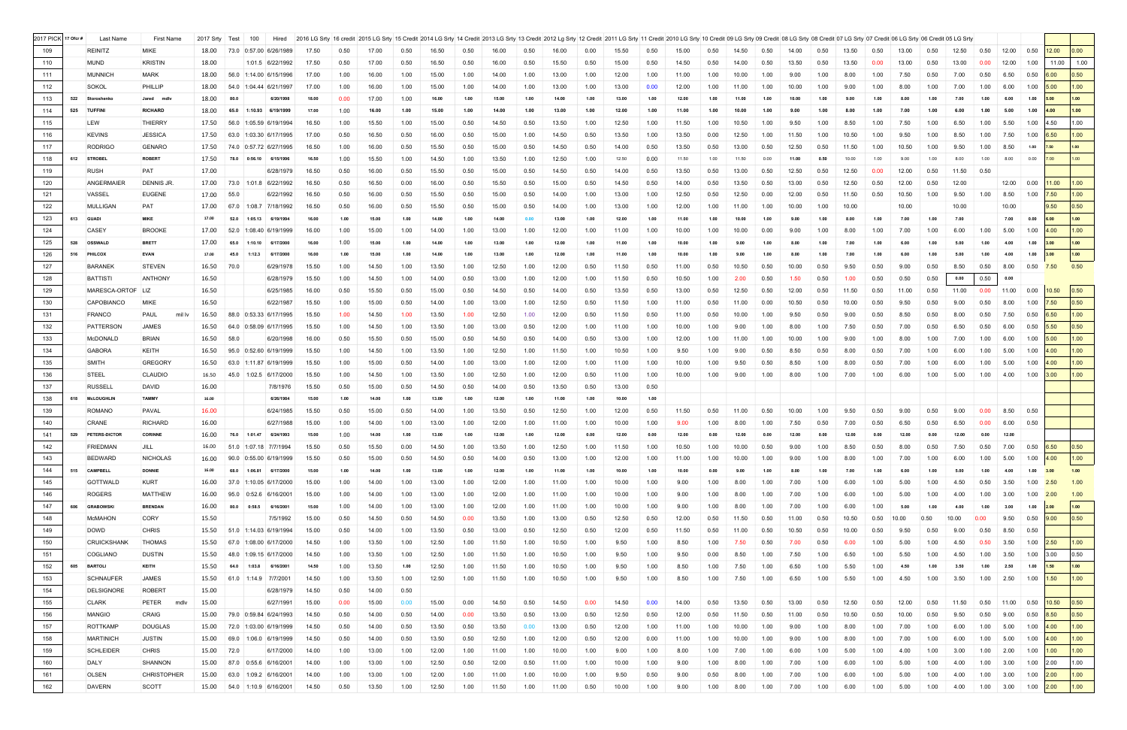| 2017 PICK 17 Ofcr # |     | Last Name          | <b>First Name</b>  | 2017 Srty | Test<br>100<br>Hired              |       |      |       |      |       |      |       |      |       |      | 2016 LG Srty   16 credit   2015 LG Srty   15 Credit   2014 LG Srty   14 Credit   2013 LG Srty   13 Credit   2012 LG Srty   12 Credit   2012 LG Srty   12 Credit 12011 LG Srty   12 Credit   2011 LG Srty   10 Credit   2010 LG |      |       |      |       |      |       |      |       |      |       |      |       |      |                                  |               |                  |                   |
|---------------------|-----|--------------------|--------------------|-----------|-----------------------------------|-------|------|-------|------|-------|------|-------|------|-------|------|--------------------------------------------------------------------------------------------------------------------------------------------------------------------------------------------------------------------------------|------|-------|------|-------|------|-------|------|-------|------|-------|------|-------|------|----------------------------------|---------------|------------------|-------------------|
| 109                 |     | <b>REINITZ</b>     | <b>MIKE</b>        | 18.00     | 73.0 0:57.00 6/26/1989            | 17.50 | 0.50 | 17.00 | 0.50 | 16.50 | 0.50 | 16.00 | 0.50 | 16.00 | 0.00 | 15.50                                                                                                                                                                                                                          | 0.50 | 15.00 | 0.50 | 14.50 | 0.50 | 14.00 | 0.50 | 13.50 |      |       | 0.50 | 12.50 | 0.50 | 12.00                            | 0.50          | 12.00            | 0.00              |
| 110                 |     | <b>MUND</b>        | <b>KRISTIN</b>     | 18.00     | 1:01.5 6/22/1992                  | 17.50 | 0.50 | 17.00 | 0.50 | 16.50 | 0.50 | 16.00 | 0.50 | 15.50 | 0.50 | 15.00                                                                                                                                                                                                                          | 0.50 | 14.50 | 0.50 | 14.00 | 0.50 | 13.50 | 0.50 | 13.50 | 0.00 | 13.00 | 0.50 | 13.00 | 0.00 | 12.00                            | 1.00          | 11.00            | 1.00              |
| 111                 |     | <b>MUNNICH</b>     | <b>MARK</b>        | 18.00     | 56.0 1:14.00 6/15/1996            | 17.00 | 1.00 | 16.00 | 1.00 | 15.00 | 1.00 | 14.00 | 1.00 | 13.00 | 1.00 | 12.00                                                                                                                                                                                                                          | 1.00 | 11.00 | 1.00 | 10.00 | 1.00 | 9.00  | 1.00 | 8.00  | 1.00 | 7.50  | 0.50 | 7.00  | 0.50 | 6.50                             | 0.50          | 6.00             | 0.50              |
| 112                 |     | SOKOL              | PHILLIP            | 18.00     | 54.0<br>1:04.44 6/21/1997         | 17.00 | 1.00 | 16.00 | 1.00 | 15.00 | 1.00 | 14.00 | 1.00 | 13.00 | 1.00 | 13.00                                                                                                                                                                                                                          | 0.00 | 12.00 | 1.00 | 11.00 | 1.00 | 10.00 | 1.00 | 9.00  | 1.00 | 8.00  | 1.00 | 7.00  | 1.00 | 6.00                             | 1.00          | 5.00             | 1.00 <sub>1</sub> |
| 113                 | 522 | Storoshenko        | Jared mdlv         | 18.00     | 80.0<br>6/20/1998                 | 18.00 | 0.00 | 17.00 | 1.00 | 16.00 | 1.00 | 15.00 | 1.00 | 14.00 | 1.00 | 13.00                                                                                                                                                                                                                          | 1.00 | 12.00 | 1.00 | 11.00 | 1.00 |       |      | 9.00  | 1.00 | 8.00  | 1.00 | 7 NO  | 1.00 | 6.00                             | 1.00          | 5.00             | 1.00              |
| 114                 | 525 | <b>TUFFINI</b>     | <b>RICHARD</b>     | 18.00     | 65.0<br>1:10.93 6/19/1999         | 17.00 | 1.00 | 16.00 | 1.00 | 15.00 | 1.00 | 14.00 | 1.00 | 13.00 | 1.00 | 12.00                                                                                                                                                                                                                          | 1.00 | 11.00 | 1.00 | 10.00 | 1.00 | 9.00  |      | 8.00  | 1.00 | 7.00  | 1.00 |       | 1.00 | 5.00                             | 1.00          | 4.00             | 1.00              |
|                     |     | LEW                | <b>THIERRY</b>     |           | 56.0 1:05.59 6/19/1994            |       |      |       |      |       |      |       |      |       |      |                                                                                                                                                                                                                                |      |       |      |       |      |       |      |       |      |       |      |       |      |                                  |               | 4.50             | 1.00              |
| 115                 |     |                    |                    | 17.50     |                                   | 16.50 | 1.00 | 15.50 | 1.00 | 15.00 | 0.50 | 14.50 | 0.50 | 13.50 | 1.00 | 12.50                                                                                                                                                                                                                          | 1.00 | 11.50 | 1.00 | 10.50 | 1.00 | 9.50  | 1.00 | 8.50  | 1.00 | 7.50  | 1.00 | 6.50  | 1.00 | 5.50                             | 1.00          |                  |                   |
| 116                 |     | <b>KEVINS</b>      | <b>JESSICA</b>     | 17.50     | 63.0 1:03.30 6/17/1995            | 17.00 | 0.50 | 16.50 | 0.50 | 16.00 | 0.50 | 15.00 | 1.00 | 14.50 | 0.50 | 13.50                                                                                                                                                                                                                          | 1.00 | 13.50 | 0.00 | 12.50 | 1.00 | 11.50 | 1.00 | 10.50 | 1.00 | 9.50  | 1.00 | 8.50  | 1.00 | 7.50                             | 1.00          | 6.50             | 1.00              |
| 117                 |     | <b>RODRIGO</b>     | <b>GENARO</b>      | 17.50     | 74.0 0:57.72 6/27/1995            | 16.50 | 1.00 | 16.00 | 0.50 | 15.50 | 0.50 | 15.00 | 0.50 | 14.50 | 0.50 | 14.00                                                                                                                                                                                                                          | 0.50 | 13.50 | 0.50 | 13.00 | 0.50 | 12.50 | 0.50 | 11.50 | 1.00 | 10.50 | 1.00 | 9.50  | 1.00 | 8.50                             | 1.00          | 7.50             | 1.00              |
| 118                 | 612 | <b>STROBEL</b>     | <b>ROBERT</b>      | 17.50     | 78.0<br>0:56.10 6/15/1996         | 16.50 | 1.00 | 15.50 | 1.00 | 14.50 | 1.00 | 13.50 | 1.00 | 12.50 | 1.00 | 12.50                                                                                                                                                                                                                          | 0.00 | 11.50 | 1.00 | 11.50 | 0.00 | 11.00 | 0.50 | 10.00 | 1.00 | 9.00  | 1.00 | 8.00  | 1.00 | 8.00                             | 0.00          | 7.00             | 1.00              |
| 119                 |     | <b>RUSH</b>        | PAT                | 17.00     | 6/28/1979                         | 16.50 | 0.50 | 16.00 | 0.50 | 15.50 | 0.50 | 15.00 | 0.50 | 14.50 | 0.50 | 14.00                                                                                                                                                                                                                          | 0.50 | 13.50 | 0.50 | 13.00 | 0.50 | 12.50 | 0.50 | 12.50 | 0.00 | 12.00 | 0.50 | 11.50 | 0.50 |                                  |               |                  |                   |
| 120                 |     | ANGERMAIER         | <b>DENNIS JR</b>   | 17.00     | 73.0 1:01.8 6/22/1992             | 16.50 | 0.50 | 16.50 | 0.00 | 16.00 | 0.50 | 15.50 | 0.50 | 15.00 | 0.50 | 14.50                                                                                                                                                                                                                          | 0.50 | 14.00 | 0.50 | 13.50 | 0.50 | 13.00 | 0.50 | 12.50 | 0.50 | 12.00 | 0.50 | 12.00 |      | $12.00 \ 0.00$                   |               | 11.00            | 1.00              |
| 121                 |     | VASSEL             | <b>EUGENE</b>      | 17.00     | 55.0<br>6/22/1992                 | 16.50 | 0.50 | 16.00 | 0.50 | 15.50 | 0.50 | 15.00 | 0.50 | 14.00 | 1.00 | 13.00                                                                                                                                                                                                                          | 1.00 | 12.50 | 0.50 | 12.50 | 0.00 | 12.00 | 0.50 | 11.50 | 0.50 | 10.50 | 1.00 | 9.50  | 1.00 | 8.50                             | 1.00          | 7.50             | 1.00 <sub>1</sub> |
| 122                 |     | MULLIGAN           | <b>PAT</b>         | 17.00     | 67.0 1:08.7 7/18/1992             | 16.50 | 0.50 | 16.00 | 0.50 | 15.50 | 0.50 | 15.00 | 0.50 | 14.00 | 1.00 | 13.00                                                                                                                                                                                                                          | 1.00 | 12.00 | 1.00 | 11.00 | 1.00 | 10.00 | 1.00 | 10.00 |      | 10.00 |      | 10.00 |      | 10.00                            |               | 9.50             | 0.50              |
| 123                 |     | 613 GUADI          | <b>MIKE</b>        | 17.00     | 52.0<br>1:05.13<br>6/19/1994      | 16.00 | 1.00 | 15.00 | 1.00 | 14.00 | 1.00 | 14.00 | 0.00 | 13.00 | 1.00 | 12.00                                                                                                                                                                                                                          | 1.00 | 11.00 | 1.00 | 10.00 | 1.00 | 9.00  | 1.00 | 8.00  | 1.00 | 7.00  | 1.00 | 7.00  |      | 7.00                             | 0.00          | 6.00             | 1.00              |
| 124                 |     | CASEY              | <b>BROOKE</b>      | 17.00     | 52.0<br>1:08.40 6/19/1999         | 16.00 | 1.00 | 15.00 | 1.00 | 14.00 | 1.00 | 13.00 | 1.00 | 12.00 | 1.00 | 11.00                                                                                                                                                                                                                          | 1.00 | 10.00 | 1.00 | 10.00 | 0.00 | 9.00  | 1.00 | 8.00  | 1.00 | 7.00  | 1.00 | 6.00  | 1.00 | 5.00                             | 1.00          | 4.00             | 1.00              |
| 125                 |     | 528 OSSWALD        | <b>BRETT</b>       | 17.00     | 65.0<br>1:10.10<br>6/17/2000      | 16.00 | 1.00 | 15.00 | 1.00 | 14.00 | 1.00 | 13.00 | 1.00 | 12.00 | 1.00 | 11.00                                                                                                                                                                                                                          | 1.00 | 10.00 |      |       |      |       |      | 7.00  | 1.00 | 6.00  | 1.00 | 5.00  | 1.00 | 4.00                             | 1.00          | 3.00             | 1.00              |
| 126                 |     | 516 PHILCOX        | <b>EVAN</b>        | 17.00     | 6/17/2000<br>45.0<br>1:12.3       | 16.00 | 1.00 | 15.00 | 1.00 | 14.00 | 1.00 | 13.00 | 1.00 | 12.00 | 1.00 | 11.00                                                                                                                                                                                                                          | 1.00 | 10.00 | 1.00 | 9.00  |      |       | 1.00 | 7.00  | 1.00 | 6.00  | 1.00 |       | 1.00 | 4.00                             | 1.00          | 3.00             | 1.00              |
| 127                 |     | <b>BARANEK</b>     | <b>STEVEN</b>      | 16.50     | 70.0<br>6/29/1978                 | 15.50 | 1.00 | 14.50 | 1.00 | 13.50 | 1.00 | 12.50 | 1.00 | 12.00 | 0.50 | 11.50                                                                                                                                                                                                                          | 0.50 | 11.00 | 0.50 | 10.50 | 0.50 | 10.00 | 0.50 | 9.50  | 0.50 | 9.00  | 0.50 | 8.50  | 0.50 | 8.00                             | 0.50          | 7.50             | 0.50              |
| 128                 |     | <b>BATTISTI</b>    | <b>ANTHONY</b>     | 16.50     | 6/28/1979                         | 15.50 | 1.00 | 14.50 | 1.00 | 14.00 | 0.50 | 13.00 | 1.00 | 12.00 | 1.00 | 11.50                                                                                                                                                                                                                          | 0.50 | 10.50 | 1.00 | 2.00  | 0.50 | 1.50  | 0.50 | 1.00  | 0.50 | 0.50  | 0.50 | 0.00  | 0.50 | 0.00                             |               |                  |                   |
| 129                 |     | MARESCA-ORTOF LIZ  |                    | 16.50     | 6/25/1985                         | 16.00 | 0.50 | 15.50 | 0.50 | 15.00 | 0.50 | 14.50 | 0.50 | 14.00 | 0.50 | 13.50                                                                                                                                                                                                                          | 0.50 | 13.00 | 0.50 | 12.50 | 0.50 | 12.00 | 0.50 | 11.50 | 0.50 | 11.00 | 0.50 | 11.00 | 0.00 | 11.00                            | 0.00          | 10.50            | 0.50              |
| 130                 |     | <b>CAPOBIANCO</b>  | <b>MIKE</b>        | 16.50     | 6/22/1987                         | 15.50 | 1.00 | 15.00 | 0.50 | 14.00 | 1.00 | 13.00 | 1.00 | 12.50 | 0.50 | 11.50                                                                                                                                                                                                                          | 1.00 | 11.00 | 0.50 | 11.00 | 0.00 | 10.50 | 0.50 | 10.00 | 0.50 | 9.50  | 0.50 | 9.00  | 0.50 | 8.00                             | 1.00          | 7.50             | 0.50              |
| 131                 |     | <b>FRANCO</b>      | PAUL<br>mil Iv     | 16.50     | 88.0 0:53.33 6/17/1995            | 15.50 | 1.00 | 14.50 | 1.00 | 13.50 | 1.00 | 12.50 | 1.00 | 12.00 | 0.50 | 11.50                                                                                                                                                                                                                          | 0.50 | 11.00 | 0.50 | 10.00 | 1.00 | 9.50  | 0.50 |       | 0.50 |       | 0.50 | 8.00  | 0.50 | 7.50                             | 0.50          | 6.50             | 1.00              |
| 132                 |     | PATTERSON          | <b>JAMES</b>       | 16.50     | 64.0 0:58.09 6/17/1995            | 15.50 | 1.00 | 14.50 | 1.00 | 13.50 |      |       | 0.50 | 12.00 | 1.00 |                                                                                                                                                                                                                                |      | 10.00 | 1.00 |       |      |       |      | 7.50  | 0.50 | 7.00  | 0.50 | 6.50  | 0.50 | 6.00                             | 0.50          | 5.50             | 0.50              |
|                     |     |                    |                    |           |                                   |       |      |       |      |       | 1.00 | 13.00 |      |       |      | 11.00                                                                                                                                                                                                                          | 1.00 |       |      | 9.00  | 1.00 | 8.00  | 1.00 |       |      |       |      |       |      |                                  |               |                  |                   |
| 133                 |     | McDONALD           | <b>BRIAN</b>       | 16.50     | 58.C<br>6/20/1998                 | 16.00 | 0.50 | 15.50 | 0.50 | 15.00 | 0.50 | 14.50 | 0.50 | 14.00 | 0.50 | 13.00                                                                                                                                                                                                                          | 1.00 | 12.00 | 1.00 | 11.00 | 1.00 | 10.00 | 1.00 | 9.00  | 1.00 | 8.00  | 1.00 | 7.00  | 1.00 | 6.00                             | 1.00          | 5.00             | 1.00 <sub>1</sub> |
| 134                 |     | <b>GABORA</b>      | KEITH              | 16.50     | 95.0 0:52.60 6/19/1999            | 15.50 | 1.00 | 14.50 | 1.00 | 13.50 | 1.00 | 12.50 | 1.00 | 11.50 | 1.00 | 10.50                                                                                                                                                                                                                          | 1.00 | 9.50  | 1.00 | 9.00  | 0.50 | 8.50  | 0.50 | 8.00  | 0.50 | 7.00  | 1.00 | 6.00  | 1.00 | 5.00                             | 1.00          | 4.00             | 1.00              |
| 135                 |     | SMITH              | <b>GREGORY</b>     | 16.50     | 63.0 1:11.87 6/19/1999            | 15.50 | 1.00 | 15.00 | 0.50 | 14.00 | 1.00 | 13.00 | 1.00 | 12.00 | 1.00 | 11.00                                                                                                                                                                                                                          | 1.00 | 10.00 | 1.00 | 9.50  | 0.50 | 8.50  | 1.00 | 8.00  | 0.50 | 7.00  | 1.00 | 6.00  | 1.00 | 5.00                             | 1.00          | 4.00             | 1.00              |
| 136                 |     | STEEL              | <b>CLAUDIO</b>     | 16.50     | 45.0<br>$1:02.5$ 6/17/2000        | 15.50 | 1.00 | 14.50 | 1.00 | 13.50 | 1.00 | 12.50 | 1.00 | 12.00 | 0.50 | 11.00                                                                                                                                                                                                                          | 1.00 | 10.00 | 1.00 | 9.00  | 1.00 | 8.00  | 1.00 | 7.00  | 1.00 | 6.00  | 1.00 | 5.00  | 1.00 | 4.00                             | 1.00          | 3.00             | 1.00              |
| 137                 |     | <b>RUSSELL</b>     | <b>DAVID</b>       | 16.00     | 7/8/1976                          | 15.50 | 0.50 | 15.00 | 0.50 | 14.50 | 0.50 | 14.00 | 0.50 | 13.50 | 0.50 | 13.00                                                                                                                                                                                                                          | 0.50 |       |      |       |      |       |      |       |      |       |      |       |      |                                  |               |                  |                   |
| 138                 |     | 618 McLOUGHLIN     | <b>TAMMY</b>       | 16.00     | 6/26/1984                         | 15.00 | 1.00 | 14.00 | 1.00 | 13.00 | 1.00 | 12.00 | 1.00 | 11.00 | 1.00 | 10.00                                                                                                                                                                                                                          | 1.00 |       |      |       |      |       |      |       |      |       |      |       |      |                                  |               |                  |                   |
| 139                 |     | <b>ROMANO</b>      | PAVAL              | 16.00     | 6/24/1985                         | 15.50 | 0.50 | 15.00 | 0.50 | 14.00 | 1.00 | 13.50 | 0.50 | 12.50 | 1.00 | 12.00                                                                                                                                                                                                                          | 0.50 | 11.50 | 0.50 | 11.00 | 0.50 | 10.00 | 1.00 | 9.50  | 0.50 | 9.00  | 0.50 | 9.00  | 0.00 | 8.50                             | 0.50          |                  |                   |
| 140                 |     | <b>CRANE</b>       | <b>RICHARD</b>     | 16.00     | 6/27/1988                         | 15.00 | 1.00 | 14.00 | 1.00 | 13.00 | 1.00 | 12.00 | 1.00 | 11.00 | 1.00 | 10.00                                                                                                                                                                                                                          | 1.00 | 9.00  | 1.00 | 8.00  | 1.00 | 7.50  | 0.50 | 7.00  | 0.50 | 6.50  | 0.50 | 6.50  | 0.00 | 6.00                             | 0.50          |                  |                   |
| 141                 |     | 529 PETERS-DICTOR  | <b>CORINNE</b>     |           | 16.00 76.0 1:01.47<br>6/24/1993   | 15.00 | 1.00 | 14.00 | 1.00 | 13.00 | 1.00 | 12.00 | 1.00 | 12.00 | 0.00 | 12.00                                                                                                                                                                                                                          | 0.00 | 12.00 | 0.00 | 12.00 | 0.00 | 12.00 | 0.00 | 12.00 | 0.00 | 12.00 | 0.00 | 12.00 | 0.00 | 12.00                            |               |                  |                   |
| 142                 |     | <b>FRIEDMAN</b>    | JILL               |           | 16.00 51.0 1:07.18 7/7/1994       | 15.50 | 0.50 | 15.50 | 0.00 | 14.50 | 1.00 | 13.50 | 1.00 | 12.50 | 1.00 | 11.50                                                                                                                                                                                                                          | 1.00 | 10.50 | 1.00 | 10.00 | 0.50 | 9.00  | 1.00 |       | 0.50 |       | 0.50 | 7.50  |      |                                  |               | 7.00 0.50 $6.50$ | $\vert$ 0.50      |
| 143                 |     | <b>BEDWARD</b>     | <b>NICHOLAS</b>    | 16.00     | 90.0 0:55.00 6/19/1999            | 15.50 | 0.50 | 15.00 | 0.50 | 14.50 | 0.50 | 14.00 | 0.50 | 13.00 | 1.00 | 12.00                                                                                                                                                                                                                          | 1.00 | 11.00 | 1.00 | 10.00 | 1.00 |       |      |       |      |       | 1.00 | 6.00  | 1.00 | 5.00                             | 1.00          | 4.00             | 1.00              |
| 144                 |     | 515 CAMPBELL       | <b>DONNIE</b>      | 16.00     | 68.0<br>1:06.81<br>6/17/2000      | 15.00 | 1.00 | 14.00 | 1.00 | 13.00 | 1.00 | 12.00 | 1.00 | 11.00 | 1.00 | 10.00                                                                                                                                                                                                                          | 1.00 | 10.00 | 0.00 | 9.00  |      |       |      |       | 1.00 | 6.00  |      |       |      |                                  | 1.00          | 3.00             | $1.00$            |
| 145                 |     | GOTTWALD           | <b>KURT</b>        | 16.00     | 37.0 1:10.05 6/17/2000            | 15.00 | 1.00 | 14.00 | 1.00 | 13.00 | 1.00 | 12.00 | 1.00 | 11.00 | 1.00 | 10.00                                                                                                                                                                                                                          | 1.00 | 9.00  | 1.00 | 8.00  | 1.00 | 7.00  | 1.00 | 6.00  | 1.00 | 5.00  | 1.00 | 4.50  | 0.50 | 3.50                             | 1.00          | 2.50             | 1.00              |
| 146                 |     | <b>ROGERS</b>      | <b>MATTHEW</b>     | 16.00     | 95.0<br>$0:52.6$ 6/16/2001        | 15.00 | 1.00 | 14.00 | 1.00 | 13.00 | 1.00 | 12.00 | 1.00 | 11.00 | 1.00 | 10.00                                                                                                                                                                                                                          | 1.00 | 9.00  | 1.00 | 8.00  | 1.00 | 7.00  | 1.00 | 6.00  | 1.00 | 5.00  | 1.00 | 4.00  | 1.00 | 3.00                             | 1.00          | 2.00             | 1.00              |
| 147                 | 606 | <b>GRABOWSKI</b>   | <b>BRENDAN</b>     | 16.00     | 80.0<br>0:58.5<br>6/16/2001       | 15.00 | 1.00 | 14.00 | 1.00 | 13.00 | 1.00 | 12.00 | 1.00 | 11.00 | 1.00 | 10.00                                                                                                                                                                                                                          | 1.00 | 9.00  | 1.00 | 8.00  | 1.00 | 7.00  | 1.00 | 6.00  | 1.00 | 5.00  | 1.00 | 4.00  | 1.00 | 3.00                             | 1.00          | 2.00             | $1.00$            |
| 148                 |     | <b>McMAHON</b>     | <b>CORY</b>        | 15.50     | 7/5/1992                          | 15.00 | 0.50 | 14.50 | 0.50 | 14.50 | 0.00 | 13.50 | 1.00 | 13.00 | 0.50 | 12.50                                                                                                                                                                                                                          | 0.50 | 12.00 | 0.50 | 11.50 | 0.50 | 11.00 | 0.50 | 10.50 | 0.50 | 10.00 | 0.50 | 10.00 | 0.00 | 9.50                             | $0.50$ $9.00$ |                  | $ 0.50\rangle$    |
| 149                 |     | <b>DOWD</b>        | <b>CHRIS</b>       | 15.50     | 51.0 1:14.03 6/19/1994            | 15.00 | 0.50 | 14.00 | 1.00 | 13.50 | 0.50 | 13.00 | 0.50 | 12.50 | 0.50 | 12.00                                                                                                                                                                                                                          | 0.50 | 11.50 | 0.50 | 11.00 | 0.50 | 10.50 | 0.50 |       |      |       | 0.50 | 9.00  | 0.50 | 8.50                             | 0.50          |                  |                   |
|                     |     | <b>CRUICKSHANK</b> | <b>THOMAS</b>      |           |                                   |       |      |       |      |       |      |       |      |       |      |                                                                                                                                                                                                                                |      |       |      |       |      |       |      |       | 1.00 |       |      |       | 0.50 |                                  |               |                  | 1.00              |
| 150                 |     |                    |                    | 15.50     | 67.0 1:08.00 6/17/2000            | 14.50 | 1.00 | 13.50 | 1.00 | 12.50 | 1.00 | 11.50 | 1.00 | 10.50 | 1.00 | 9.50                                                                                                                                                                                                                           | 1.00 | 8.50  | 1.00 | 7.50  | 0.50 | 7.00  | 0.50 | 6.00  |      | 5.00  | 1.00 | 4.50  | 1.00 | 3.50                             | $1.00$ 2.50   |                  |                   |
| 151                 |     | COGLIANO           | <b>DUSTIN</b>      | 15.50     | 48.0 1:09.15 6/17/2000            | 14.50 | 1.00 | 13.50 | 1.00 | 12.50 | 1.00 | 11.50 | 1.00 | 10.50 | 1.00 | 9.50                                                                                                                                                                                                                           | 1.00 | 9.50  | 0.00 | 8.50  | 1.00 | 7.50  | 1.00 | 6.50  | 1.00 | 5.50  | 1.00 | 4.50  |      | 3.50                             | 1.00          | 3.00             | $ 0.50\rangle$    |
| 152                 | 605 | <b>BARTOLI</b>     | <b>KEITH</b>       | 15.50     | 64.0<br>1:03.8<br>6/16/2001       | 14.50 | 1.00 | 13.50 | 1.00 | 12.50 | 1.00 | 11.50 | 1.00 | 10.50 | 1.00 | 9.50                                                                                                                                                                                                                           | 1.00 | 8.50  | 1.00 | 7.50  | 1.00 | 6.50  | 1.00 | 5.50  | 1.00 | 4.50  | 1.00 | 3.50  | 1.00 | 2.50                             | 1.00          | 1.50             | 1.00              |
| 153                 |     | <b>SCHNAUFER</b>   | <b>JAMES</b>       | 15.50     | 1:14.9 7/7/2001<br>61.0           | 14.50 | 1.00 | 13.50 | 1.00 | 12.50 | 1.00 | 11.50 | 1.00 | 10.50 | 1.00 | 9.50                                                                                                                                                                                                                           | 1.00 | 8.50  | 1.00 | 7.50  | 1.00 | 6.50  | 1.00 | 5.50  | 1.00 | 4.50  | 1.00 | 3.50  | 1.00 | 2.50                             | $1.00$ 1.50   |                  | 1.00              |
| 154                 |     | <b>DELSIGNORE</b>  | <b>ROBERT</b>      | 15.00     | 6/28/1979                         | 14.50 | 0.50 | 14.00 | 0.50 |       |      |       |      |       |      |                                                                                                                                                                                                                                |      |       |      |       |      |       |      |       |      |       |      |       |      |                                  |               |                  |                   |
| 155                 |     | <b>CLARK</b>       | PETER<br>mdlv      | 15.00     | 6/27/1991                         | 15.00 | 0.00 | 15.00 | 0.00 | 15.00 | 0.00 | 14.50 | 0.50 | 14.50 | 0.00 | 14.50                                                                                                                                                                                                                          | 0.00 | 14.00 | 0.50 | 13.50 | 0.50 | 13.00 | 0.50 | 12.50 | 0.50 | 12.00 | 0.50 | 11.50 | 0.50 | 11.00                            | 0.50          | 10.50            | 0.50              |
| 156                 |     | <b>MANGIO</b>      | <b>CRAIG</b>       |           | 15.00 79.0 0:59.84 6/24/1993      | 14.50 | 0.50 | 14.00 | 0.50 | 14.00 | 0.00 | 13.50 | 0.50 | 13.00 | 0.50 | 12.50                                                                                                                                                                                                                          | 0.50 | 12.00 | 0.50 | 11.50 | 0.50 | 11.00 | 0.50 | 10.50 | 0.50 | 10.00 | 0.50 | 9.50  | 0.50 | 9.00                             | 0.50          | 8.50             | 0.50              |
| 157                 |     | <b>ROTTKAMP</b>    | <b>DOUGLAS</b>     | 15.00     | 72.0 1:03.00 6/19/1999            | 14.50 | 0.50 | 14.00 | 0.50 | 13.50 | 0.50 | 13.50 | 0.00 | 13.00 | 0.50 | 12.00                                                                                                                                                                                                                          | 1.00 | 11.00 | 1.00 | 10.00 | 1.00 | 9.00  | 1.00 | 8.00  | 1.00 | 7.00  | 1.00 | 6.00  | 1.00 | 5.00                             | 1.00          | 4.00             | 1.00              |
| 158                 |     | <b>MARTINICH</b>   | <b>JUSTIN</b>      | 15.00     | 69.0 1:06.0 6/19/1999             | 14.50 | 0.50 | 14.00 | 0.50 | 13.50 | 0.50 | 12.50 | 1.00 | 12.00 | 0.50 | 12.00                                                                                                                                                                                                                          | 0.00 | 11.00 | 1.00 | 10.00 | 1.00 | 9.00  | 1.00 | 8.00  | 1.00 | 7.00  | 1.00 | 6.00  | 1.00 | 5.00                             | 1.00          | 4.00             | 1.00              |
| 159                 |     | <b>SCHLEIDER</b>   | <b>CHRIS</b>       | 15.00     | 72.0<br>6/17/2000                 | 14.00 | 1.00 | 13.00 | 1.00 | 12.00 | 1.00 | 11.00 | 1.00 | 10.00 | 1.00 | 9.00                                                                                                                                                                                                                           | 1.00 | 8.00  | 1.00 | 7.00  | 1.00 | 6.00  | 1.00 | 5.00  | 1.00 | 4.00  | 1.00 | 3.00  | 1.00 | 2.00                             | 1.00          | 1.00             | 1.00              |
| 160                 |     | DALY               | <b>SHANNON</b>     | 15.00     | 0:55.6 6/16/2001<br>87.0          | 14.00 | 1.00 | 13.00 | 1.00 | 12.50 | 0.50 | 12.00 | 0.50 | 11.00 | 1.00 | 10.00                                                                                                                                                                                                                          | 1.00 | 9.00  | 1.00 | 8.00  | 1.00 | 7.00  | 1.00 | 6.00  | 1.00 | 5.00  | 1.00 | 4.00  | 1.00 | 3.00                             | 1.00 2.00     |                  | 1.00              |
| 161                 |     | <b>OLSEN</b>       | <b>CHRISTOPHER</b> | 15.00     | 63.0 1:09.2 6/16/2001             | 14.00 | 1.00 | 13.00 | 1.00 | 12.00 | 1.00 | 11.00 | 1.00 | 10.00 | 1.00 | 9.50                                                                                                                                                                                                                           | 0.50 | 9.00  | 0.50 | 8.00  | 1.00 | 7.00  | 1.00 | 6.00  | 1.00 | 5.00  | 1.00 | 4.00  | 1.00 | 3.00                             | $1.00$ 2.00   |                  | 1.00              |
| 162                 |     | <b>DAVERN</b>      | SCOTT              |           | 15.00   54.0   1:10.9   6/16/2001 | 14.50 | 0.50 | 13.50 | 1.00 | 12.50 | 1.00 | 11.50 | 1.00 | 11.00 | 0.50 | 10.00                                                                                                                                                                                                                          | 1.00 | 9.00  | 1.00 | 8.00  | 1.00 | 7.00  | 1.00 | 6.00  | 1.00 | 5.00  | 1.00 | 4.00  |      | 1.00 3.00 1.00 <mark>2.00</mark> |               |                  | 1.00              |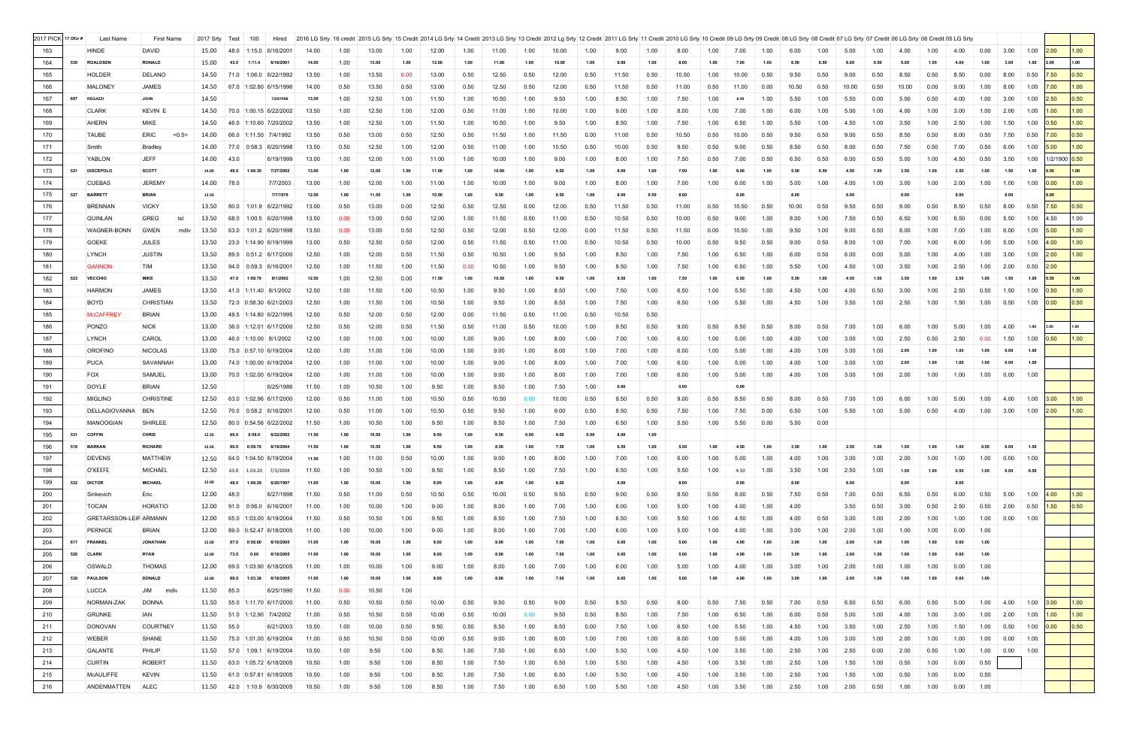| 2017 PICK 17 Ofcr # |     | Last Name                     | <b>First Name</b>   | 2017 Srty  | Test | 100     | Hired                              |       |      | 2016 LG Srty   16 credit 2015 LG Srty   15 Credit 2014 LG Srty   14 Credit 2013 LG Srty   13 Credit 2012 Lg Srty   12 Credit 2011 LG Srty   11 Credit 2011 LG Srty   10 Credit 2011 LG Srty   10 Credit 09 LG Srty   00 Credit |      |       |      |       |      |       |      |       |      |       |      |       |      |       |      |       |      |       |      |      |      |                       |                  |                    |                   |
|---------------------|-----|-------------------------------|---------------------|------------|------|---------|------------------------------------|-------|------|--------------------------------------------------------------------------------------------------------------------------------------------------------------------------------------------------------------------------------|------|-------|------|-------|------|-------|------|-------|------|-------|------|-------|------|-------|------|-------|------|-------|------|------|------|-----------------------|------------------|--------------------|-------------------|
| 163                 |     | HINDE                         | <b>DAVID</b>        | 15.00      |      |         | 48.0 1:15.0 6/16/2001              | 14.00 | 1.00 | 13.00                                                                                                                                                                                                                          | 1.00 | 12.00 | 1.00 | 11.00 | 1.00 | 10.00 | 1.00 | 9.00  | 1.00 |       | 1.00 | 7.00  | 1.00 | 6.00  | 1.00 | 5.00  | 1.00 |       | 1.00 | 4.00 | 0.00 | 3.00                  | 1.00             | 2.00               | 1.00 <sub>1</sub> |
| 164                 |     | 530 ROALDSEN                  | <b>RONALD</b>       | 15.00      |      |         | 43.0 1:11.4 6/16/2001              | 14.00 | 1.00 | 13.00                                                                                                                                                                                                                          | 1.00 | 12.00 | 1.00 | 11.00 | 1.00 | 10.00 | 1.00 | 9.00  | 1.00 | 8.00  | 1.00 | 7.00  | 1.00 |       | 0.50 | 6.00  | 0.50 | 5.00  | 1.00 | 4.00 | 1.00 | 3.00                  | 1.00             | 2.00               | 1.00              |
| 165                 |     | <b>HOLDER</b>                 | DELANO              | 14.50      |      |         | $71.0$ 1:06.0 6/22/1992            | 13.50 | 1.00 | 13.50                                                                                                                                                                                                                          | 0.00 | 13.00 | 0.50 | 12.50 | 0.50 | 12.00 | 0.50 | 11.50 | 0.50 | 10.50 | 1.00 | 10.00 | 0.50 | 9.50  | 0.50 | 9.00  | 0.50 | 8.50  | 0.50 | 8.50 | 0.00 | 8.00                  | 0.50             | 7.50               | 0.50              |
| 166                 |     | <b>MALONEY</b>                | <b>JAMES</b>        | 14.50      |      |         | 67.0 1:02.80 6/15/1996             | 14.00 | 0.50 | 13.50                                                                                                                                                                                                                          | 0.50 | 13.00 | 0.50 | 12.50 | 0.50 | 12.00 | 0.50 | 11.50 | 0.50 | 11.00 | 0.50 | 11.00 | 0.00 | 10.50 | 0.50 | 10.00 | 0.50 | 10.00 | 0.00 | 9.00 | 1.00 | 8.00                  | 1.00             | 7.00               | 1.00              |
| 167                 | 607 | <b>REGAZZI</b>                | <b>JOHN</b>         | 14.50      |      |         | 7/20/1996                          | 13.50 | 1.00 | 12.50                                                                                                                                                                                                                          | 1.00 | 11.50 | 1.00 | 10.50 | 1.00 | 9.50  | 1.00 | 8.50  | 1.00 | 7.50  | 1.00 | 6.50  | 1.00 | 5.50  | 1.00 | 5.50  | 0.00 | 5.00  | 0.50 | 4.00 | 1.00 | 3.00                  | 1.00             | 2.50               | 0.50              |
| 168                 |     | <b>CLARK</b>                  | <b>KEVIN E</b>      |            |      |         | 14.50 70.0 1:00.15 6/22/2002       | 13.50 | 1.00 | 12.50                                                                                                                                                                                                                          | 1.00 | 12.00 | 0.50 | 11.00 | 1.00 | 10.00 | 1.00 | 9.00  | 1.00 | 8.00  | 1.00 | 7.00  | 1.00 | 6.00  | 1.00 | 5.00  | 1.00 | 4.00  | 1.00 | 3.00 | 1.00 | 2.00                  | 1.00             | 1.00               | 1.00              |
| 169                 |     | AHERN                         | <b>MIKE</b>         |            |      |         | 14.50 46.0 1:10.60 7/20/2002       | 13.50 | 1.00 | 12.50                                                                                                                                                                                                                          | 1.00 | 11.50 | 1.00 | 10.50 | 1.00 | 9.50  | 1.00 | 8.50  | 1.00 | 7.50  | 1.00 | 6.50  | 1.00 | 5.50  | 1.00 | 4.50  | 1.00 | 3.50  | 1.00 | 2.50 | 1.00 | 1.50                  | 1.00             | 0.50               | 1.00              |
| 170                 |     | <b>TAUBE</b>                  | ERIC<br>< 0.5       | 14.00      |      |         | 66.0 1:11.50 7/4/1992              | 13.50 | 0.50 | 13.00                                                                                                                                                                                                                          | 0.50 | 12.50 | 0.50 | 11.50 | 1.00 | 11.50 | 0.00 | 11.00 | 0.50 | 10.50 | 0.50 | 10.00 | 0.50 | 9.50  | 0.50 | 9.00  | 0.50 | 8.50  | 0.50 | 8.00 | 0.50 | 7.50                  | 0.50             | 7.00               | 0.50              |
| 171                 |     | Smith                         | Bradley             | 14.00      |      |         | $77.0$ 0:58.3 6/20/1998            | 13.50 | 0.50 | 12.50                                                                                                                                                                                                                          | 1.00 | 12.00 | 0.50 | 11.00 | 1.00 | 10.50 | 0.50 | 10.00 | 0.50 | 9.50  | 0.50 | 9.00  | 0.50 | 8.50  | 0.50 | 8.00  | 0.50 | 7.50  | 0.50 | 7.00 | 0.50 | 6.00                  | 1.00             | 5.00               | 1.00              |
| 172                 |     | YABLON                        | <b>JEFF</b>         | 14.00      | 43.0 |         | 6/19/1999                          | 13.00 | 1.00 | 12.00                                                                                                                                                                                                                          | 1.00 | 11.00 | 1.00 | 10.00 | 1.00 | 9.00  | 1.00 | 8.00  | 1.00 | 7.50  | 0.50 | 7.00  | 0.50 | 6.50  | 0.50 | 6.00  | 0.50 | 5.00  | 1.00 | 4.50 | 0.50 | 3.50                  |                  | 1.00 1/2/1900 0.50 |                   |
| 173                 | 521 | <b>DISCEPOLO</b>              | <b>SCOTT</b>        | 14.00      | 49.0 | 1:08.30 | 7/27/2002                          | 13.00 | 1.00 | 12.00                                                                                                                                                                                                                          | 1.00 | 11.00 | 1.00 | 10.00 | 1.00 | 9.00  | 1.00 | 8.00  | 1.00 | 7.00  |      | 6.00  | 1.00 |       | 0.50 | 4.50  | 1.00 | 3.50  | 1.00 | 2.50 | 1.00 | 1.50                  | 1.00             | 0.50               | 1.00              |
| 174                 |     | <b>CUEBAS</b>                 | <b>JEREMY</b>       | 14.00 78.0 |      |         | 7/7/2003                           | 13.00 | 1.00 | 12.00                                                                                                                                                                                                                          | 1.00 | 11.00 | 1.00 | 10.00 | 1.00 | 9.00  | 1.00 | 8.00  | 1.00 | 7.00  | 1.00 | 6.00  | 1.00 | 5.00  | 1.00 | 4.00  | 1.00 | 3.00  | 1.00 | 2.00 | 1.00 | 1.00                  | 1.00             | 0.00               | 1.00              |
| 175                 |     | 527 BARRETT                   | <b>BRIAN</b>        | 13.50      |      |         | 7/7/1976                           | 12.50 | 1.00 | 11.50                                                                                                                                                                                                                          | 1.00 | 10.50 | 1.00 | 9.50  | 1.00 | 8.50  | 1.00 | 8.00  | 0.50 | 8.00  |      | 8.00  |      | 8.00  |      | 8.00  |      | 8.00  |      | 8.00 |      | 8.00                  |                  | 8.00               |                   |
| 176                 |     | <b>BRENNAN</b>                | <b>VICKY</b>        | 13.50      |      |         | 80.0 1:01.9 6/22/1992              | 13.00 | 0.50 | 13.00                                                                                                                                                                                                                          | 0.00 | 12.50 | 0.50 | 12.50 | 0.00 | 12.00 | 0.50 | 11.50 | 0.50 | 11.00 | 0.50 | 10.50 | 0.50 | 10.00 | 0.50 | 9.50  | 0.50 | 9.00  | 0.50 | 8.50 | 0.50 | 8.00                  | 0.50             | 7.50               | 0.50              |
| 177                 |     | <b>QUINLAN</b>                | <b>GREG</b><br>tsl  | 13.50      |      |         | 68.0 1:00.5 6/20/1998              | 13.50 | 0.00 | 13.00                                                                                                                                                                                                                          | 0.50 | 12.00 | 1.00 | 11.50 | 0.50 | 11.00 | 0.50 | 10.50 | 0.50 | 10.00 | 0.50 | 9.00  | 1.00 | 8.00  | 1.00 | 7.50  | 0.50 | 6.50  | 1.00 | 6.50 | 0.00 | 5.50                  | 1.00             | 4.50               | 1.00              |
| 178                 |     | WAGNER-BONN                   | <b>GWEN</b><br>mdlv | 13.50      |      |         | 63.0 1:01.2 6/20/1998              | 13.50 | 0.00 | 13.00                                                                                                                                                                                                                          | 0.50 | 12.50 | 0.50 | 12.00 | 0.50 | 12.00 | 0.00 | 11.50 | 0.50 | 11.50 | 0.00 | 10.50 | 1.00 | 9.50  | 1.00 | 9.00  | 0.50 | 8.00  | 1.00 | 7.00 | 1.00 | 6.00                  | $1.00$ 5.00      |                    | 1.00              |
| 179                 |     | <b>GOEKE</b>                  | <b>JULES</b>        | 13.50      |      |         | 23.0 1:14.90 6/19/1999             | 13.00 | 0.50 | 12.50                                                                                                                                                                                                                          | 0.50 | 12.00 | 0.50 | 11.50 | 0.50 | 11.00 | 0.50 | 10.50 | 0.50 | 10.00 | 0.50 | 9.50  | 0.50 | 9.00  | 0.50 | 8.00  | 1.00 | 7.00  | 1.00 | 6.00 | 1.00 | 5.00                  | 1.00             | 4.00               | 1.00              |
| 180                 |     | LYNCH                         | <b>JUSTIN</b>       |            |      |         | 13.50 89.0 0:51.2 6/17/2000        | 12.50 | 1.00 | 12.00                                                                                                                                                                                                                          | 0.50 | 11.50 | 0.50 | 10.50 | 1.00 | 9.50  | 1.00 | 8.50  | 1.00 | 7.50  | 1.00 | 6.50  | 1.00 | 6.00  | 0.50 | 6.00  | 0.00 | 5.00  | 1.00 | 4.00 | 1.00 | 3.00                  | 1.00             | 2.00               | 1.00              |
| 181                 |     | <b>GANNON</b>                 | <b>TIM</b>          | 13.50      |      |         | 94.0 0:59.3 6/16/2001              | 12.50 | 1.00 | 11.50                                                                                                                                                                                                                          | 1.00 | 11.50 | 0.00 | 10.50 | 1.00 | 9.50  | 1.00 | 8.50  | 1.00 | 7.50  | 1.00 | 6.50  | 1.00 | 5.50  | 1.00 | 4.50  | 1.00 | 3.50  | 1.00 | 2.50 | 1.00 | 2.00                  | $0.50$ 2.00      |                    |                   |
| 182                 | 523 | <b>VECCHIO</b>                | <b>MIKE</b>         | 13.50      |      |         | 47.0 1:09.70 8/1/2002              | 12.50 | 1.00 | 12.50                                                                                                                                                                                                                          | 0.00 | 11.50 | 1.00 | 10.50 | 1.00 | 9.50  | 1.00 | 8.50  | 1.00 | 7.50  | 1.00 | 6.50  | 1.00 | 5.50  | 1.00 | 4.50  | 1.00 | 3.50  | 1.00 | 2.50 | 1.00 | 1.50                  | 1.00             | 0.50               | 1.00              |
| 183                 |     | <b>HARMON</b>                 | <b>JAMES</b>        | 13.50      |      |         | 41.0 1:11.40 8/1/2002              | 12.50 | 1.00 | 11.50                                                                                                                                                                                                                          | 1.00 | 10.50 | 1.00 | 9.50  | 1.00 | 8.50  | 1.00 | 7.50  | 1.00 | 6.50  | 1.00 | 5.50  | 1.00 | 4.50  | 1.00 | 4.00  | 0.50 | 3.00  | 1.00 | 2.50 | 0.50 | 1.50                  | 1.00             | 0.50               | 1.00              |
| 184                 |     | BOYD                          | <b>CHRISTIAN</b>    | 13.50      |      |         | 72.0 0:58.30 6/21/2003             | 12.50 | 1.00 | 11.50                                                                                                                                                                                                                          | 1.00 | 10.50 | 1.00 | 9.50  | 1.00 | 8.50  | 1.00 | 7.50  | 1.00 | 6.50  | 1.00 | 5.50  | 1.00 | 4.50  | 1.00 | 3.50  | 1.00 | 2.50  | 1.00 | 1.50 | 1.00 | 0.50                  | $1.00\quad 0.00$ |                    | 0.50              |
| 185                 |     | <b>McCAFFRE</b>               | <b>BRIAN</b>        | 13.00      |      |         | 49.5 1:14.80 6/22/1995             | 12.50 | 0.50 | 12.00                                                                                                                                                                                                                          | 0.50 | 12.00 | 0.00 | 11.50 | 0.50 | 11.00 | 0.50 | 10.50 | 0.50 |       |      |       |      |       |      |       |      |       |      |      |      |                       |                  |                    |                   |
| 186                 |     | PONZO                         | <b>NICK</b>         |            |      |         | 13.00 36.0 1:12.01 6/17/2000       | 12.50 | 0.50 | 12.00                                                                                                                                                                                                                          | 0.50 | 11.50 | 0.50 | 11.00 | 0.50 | 10.00 | 1.00 | 9.50  | 0.50 | 9.00  | 0.50 | 8.50  | 0.50 | 8.00  | 0.50 | 7.00  | 1.00 | 6.00  | 1.00 | 5.00 | 1.00 | 4.00                  | 1.00             | 3.00               | 1.00              |
| 187                 |     | LYNCH                         | CAROL               | 13.00      |      |         | 46.0 1:10.00 8/1/2002              | 12.00 | 1.00 | 11.00                                                                                                                                                                                                                          | 1.00 | 10.00 | 1.00 | 9.00  | 1.00 | 8.00  | 1.00 | 7.00  | 1.00 | 6.00  | 1.00 | 5.00  | 1.00 | 4.00  | 1.00 | 3.00  | 1.00 | 2.50  | 0.50 | 2.50 | 0.00 | 1.50                  | 1.00             | 0.50               | 1.00              |
| 188                 |     | <b>OROFINO</b>                | NICOLAS             | 13.00      |      |         | 75.0 0:57.10 6/19/2004             | 12.00 | 1.00 | 11.00                                                                                                                                                                                                                          | 1.00 | 10.00 | 1.00 | 9.00  | 1.00 | 8.00  | 1.00 | 7.00  | 1.00 | 6.00  | 1.00 | 5.00  | 1.00 | 4.00  | 1.00 | 3.00  | 1.00 | 2.00  | 1.00 | 1.00 | 1.00 | 0.00                  | 1.00             |                    |                   |
| 189                 |     | <b>PUCA</b>                   | SAVANNAH            | 13.00      |      |         | 74.0 1:00.00 6/19/2004             | 12.00 | 1.00 | 11.00                                                                                                                                                                                                                          | 1.00 | 10.00 | 1.00 | 9.00  | 1.00 | 8.00  | 1.00 | 7.00  | 1.00 | 6.00  | 1.00 | 5.00  | 1.00 | 4.00  | 1.00 | 3.00  | 1.00 | 2.00  | 1.00 | 1.00 | 1.00 | 0.00                  | 1.00             |                    |                   |
| 190                 |     | <b>FOX</b>                    | SAMUEL              | 13.00      |      |         | 70.0 1:02.00 6/19/2004             | 12.00 | 1.00 | 11.00                                                                                                                                                                                                                          | 1.00 | 10.00 | 1.00 | 9.00  | 1.00 | 8.00  | 1.00 | 7.00  | 1.00 | 6.00  | 1.00 | 5.00  | 1.00 | 4.00  | 1.00 | 3.00  | 1.00 | 2.00  | 1.00 | 1.00 | 1.00 | 0.00                  | 1.00             |                    |                   |
| 191                 |     | <b>DOYLE</b>                  | <b>BRIAN</b>        | 12.50      |      |         | 6/25/1986                          | 11.50 | 1.00 | 10.50                                                                                                                                                                                                                          | 1.00 | 9.50  | 1.00 | 8.50  | 1.00 | 7.50  | 1.00 | 0.00  |      | 0.00  |      | 0.00  |      |       |      |       |      |       |      |      |      |                       |                  |                    |                   |
| 192                 |     | <b>MIGLINO</b>                | <b>CHRISTINE</b>    | 12.50      |      |         | 63.0 1:02.96 6/17/2000             | 12.00 | 0.50 | 11.00                                                                                                                                                                                                                          | 1.00 | 10.50 | 0.50 | 10.50 | 0.00 | 10.00 | 0.50 | 9.50  | 0.50 | 9.00  | 0.50 | 8.50  | 0.50 | 8.00  | 0.50 | 7.00  | 1.00 | 6.00  | 1.00 | 5.00 | 1.00 | 4.00                  | 1.00             | 3.00               | 1.00 <sub>1</sub> |
| 193                 |     | DELLAGIOVANNA                 | <b>BEN</b>          | 12.50      |      |         | 70.0 0:58.2 6/16/2001              | 12.00 | 0.50 | 11.00                                                                                                                                                                                                                          | 1.00 | 10.50 | 0.50 | 9.50  | 1.00 | 9.00  | 0.50 | 8.50  | 0.50 | 7.50  | 1.00 | 7.50  | 0.00 | 6.50  | 1.00 | 5.50  | 1.00 | 5.00  | 0.50 | 4.00 |      | $1.00$ 3.00 1.00 2.00 |                  |                    | 1.00              |
| 194                 |     | <b>MANOOGIAN</b>              | <b>SHIRLEE</b>      | 12.50      |      |         | 80.0 0:54.56 6/22/2002             | 11.50 | 1.00 | 10.50                                                                                                                                                                                                                          | 1.00 | 9.50  | 1.00 | 8.50  | 1.00 | 7.50  | 1.00 | 6.50  | 1.00 | 5.50  | 1.00 | 5.50  | 0.00 | 5.50  | 0.00 |       |      |       |      |      |      |                       |                  |                    |                   |
| 195                 |     | 531 COFFIN                    | <b>CHRIS</b>        | 12.50      |      |         | 80.0  0:58.0  6/22/2002            | 11.50 | 1.00 | 10.50                                                                                                                                                                                                                          | 1.00 | 9.50  | 1.00 | 9.50  | 0.00 | 9.00  | 0.50 | 8.00  | 1.00 |       |      |       |      |       |      |       |      |       |      |      |      |                       |                  |                    |                   |
| 196                 |     | 518 BARKAN                    | <b>RICHARD</b>      | 12.50      |      |         | 6/19/2004                          |       |      |                                                                                                                                                                                                                                |      |       |      |       |      |       |      |       |      |       |      |       |      |       |      |       |      |       |      |      |      |                       |                  |                    |                   |
| 197                 |     | <b>DEVENS</b>                 | <b>MATTHEW</b>      | 12.50      |      |         | 64.0 1:04.50 6/19/2004             | 11.50 | 1.00 | 11.00                                                                                                                                                                                                                          | 0.50 | 10.00 | 1.00 | 9.00  | 1.00 | 8.00  | 1.00 | 7.00  | 1.00 |       | 1.00 | 5.00  | 1.00 | 4.00  | 1.00 | 3.00  | 1.00 | 2.00  | 1.00 | 1.00 | 1.00 | 0.00                  | 1.00             |                    |                   |
| 198                 |     | O'KEEFE                       | MICHAEL             | 12.50      | 63.0 |         | $1:03.20$ 7/3/2004                 | 11.50 | 1.00 | 10.50                                                                                                                                                                                                                          | 1.00 | 9.50  | 1.00 | 8.50  | 1.00 | 7.50  | 1.00 | 6.50  | 1.00 | 5.50  | 1.00 | 4.50  | 1.00 | 3.50  | 1.00 | 2.50  | 1.00 | 1.50  | 1.00 | 0.50 | 1.00 | 0.00                  | 0.50             |                    |                   |
| 199                 |     | 532 DICTOR                    | <b>MICHAEL</b>      | 12.00      | 48.0 |         | 1:08.29 6/20/1997                  | 11.00 | 1.00 | 10.00                                                                                                                                                                                                                          | 1.00 | 9.00  | 1.00 | 8.00  | 1.00 | 8.00  |      | 8.00  |      | 8.00  |      | 8.00  |      | 8.00  |      | 8.00  |      | 8.00  |      | 8.00 |      |                       |                  |                    |                   |
| 200                 |     | Sinkevich                     | Eric                | 12.00      | 48.0 |         | 6/27/1998                          | 11.50 | 0.50 | 11.00                                                                                                                                                                                                                          | 0.50 | 10.50 | 0.50 | 10.00 | 0.50 | 9.50  | 0.50 | 9.00  | 0.50 | 8.50  | 0.50 | 8.00  | 0.50 | 7.50  | 0.50 | 7.00  | 0.50 | 6.50  | 0.50 | 6.00 | 0.50 | 5.00                  | 1.00             | 4.00               | 1.00              |
| 201                 |     | <b>TOCAN</b>                  | <b>HORATIO</b>      | 12.00      |      |         | 91.0 0:56.0 6/16/2001              | 11.00 | 1.00 | 10.00                                                                                                                                                                                                                          | 1.00 | 9.00  | 1.00 | 8.00  | 1.00 | 7.00  | 1.00 | 6.00  | 1.00 | 5.00  | 1.00 | 4.00  | 1.00 | 4.00  |      | 3.50  | 0.50 | 3.00  | 0.50 | 2.50 | 0.50 | 2.00                  | 0.50             | 1.50               | 0.50              |
| 202                 |     | <b>GRETARSSON-LEIF ARMANN</b> |                     | 12.00      | 65.0 |         | 1:03.00 6/19/2004                  | 11.50 | 0.50 | 10.50                                                                                                                                                                                                                          | 1.00 | 9.50  | 1.00 | 8.50  | 1.00 | 7.50  | 1.00 | 6.50  | 1.00 | 5.50  | 1.00 | 4.50  | 1.00 | 4.00  | 0.50 | 3.00  | 1.00 | 2.00  | 1.00 | 1.00 | 1.00 | 0.00                  | 1.00             |                    |                   |
| 203                 |     | <b>PERNICE</b>                | <b>BRIAN</b>        | 12.00      |      |         | 89.0 0:52.47 6/18/2005             | 11.00 | 1.00 | 10.00                                                                                                                                                                                                                          | 1.00 | 9.00  | 1.00 | 8.00  | 1.00 | 7.00  | 1.00 | 6.00  | 1.00 | 5.00  | 1.00 | 4.00  | 1.00 | 3.00  | 1.00 | 2.00  | 1.00 | 1.00  | 1.00 | 0.00 | 1.00 |                       |                  |                    |                   |
| 204                 |     | 617 FRANKEL                   | <b>JONATHAN</b>     | 12.00      | 87.0 |         | 0:56.60 6/18/2005                  | 11.00 | 1.00 | 10.00                                                                                                                                                                                                                          | 1.00 | 9.00  | 1.00 | 8.00  | 1.00 | 7.00  | 1.00 | 6.00  | 1.00 | 5.00  | 1.00 | 4.00  | 1.00 |       |      | 2.01  | 1.00 | 1.00  | 1.00 | 0.00 | 1.00 |                       |                  |                    |                   |
| 205                 |     | 520 CLARK                     | <b>RYAN</b>         | 12.00      | 73.0 | 0.00    | 6/18/2005                          | 11.00 | 1.00 | 10.00                                                                                                                                                                                                                          | 1.00 | 9.00  | 1.00 | 8.00  | 1.00 | 7.00  | 1.00 | 6.00  | 1.00 | 5.00  | 1.00 | 4.00  | 1.00 |       | 1.00 | 2.00  | 1.00 | 1.00  | 1.00 | 0.00 | 1.00 |                       |                  |                    |                   |
| 206                 |     | OSWALD                        | <b>THOMAS</b>       | 12.00      | 69.0 |         | 1:03.90 6/18/2005                  | 11.00 | 1.00 | 10.00                                                                                                                                                                                                                          | 1.00 | 9.00  | 1.00 | 8.00  | 1.00 | 7.00  | 1.00 | 6.00  | 1.00 | 5.00  | 1.00 | 4.00  | 1.00 | 3.00  | 1.00 | 2.00  | 1.00 | 1.00  | 1.00 | 0.00 | 1.00 |                       |                  |                    |                   |
| 207                 |     | 539 PAULSON                   | <b>DONALD</b>       | 12.00      | 68.0 | 1:03.38 | 6/18/2005                          | 11.00 | 1.00 | 10.00                                                                                                                                                                                                                          | 1.00 | 9.00  | 1.00 | 8.00  | 1.00 | 7.00  | 1.00 | 6.00  | 1.00 | 5.00  | 1.00 | 4.00  | 1.00 | -3.00 | 1.00 | 2.00  | 1.00 | 1.00  | 1.00 | 0.00 | 1.00 |                       |                  |                    |                   |
| 208                 |     | <b>LUCCA</b>                  | JIM mdlv            | 11.50      | 85.0 |         | 6/25/1990                          | 11.50 | 0.00 | 10.50                                                                                                                                                                                                                          | 1.00 |       |      |       |      |       |      |       |      |       |      |       |      |       |      |       |      |       |      |      |      |                       |                  |                    |                   |
| 209                 |     | NORMAN-ZAK                    | <b>DONNA</b>        |            |      |         | 11.50   55.0   1:11.70   6/17/2000 | 11.00 | 0.50 | 10.50                                                                                                                                                                                                                          | 0.50 | 10.00 | 0.50 | 9.50  | 0.50 | 9.00  | 0.50 | 8.50  | 0.50 | 8.00  | 0.50 | 7.50  | 0.50 | 7.00  | 0.50 | 6.50  | 0.50 | 6.00  | 0.50 | 5.00 | 1.00 | 4.00                  | 1.00             | 3.00               | 1.00 <sub>1</sub> |
| 210                 |     | <b>GRUNKE</b>                 | IAN                 |            |      |         | 11.50   51.0   1:12.90   7/4/2002  | 11.00 | 0.50 | 10.50                                                                                                                                                                                                                          | 0.50 | 10.00 | 0.50 | 10.00 | 0.00 | 9.50  | 0.50 | 8.50  | 1.00 | 7.50  | 1.00 | 6.50  | 1.00 | 6.00  | 0.50 | 5.00  | 1.00 | 4.00  | 1.00 | 3.00 | 1.00 | 2.00                  | 1.00             | 1.00               | 1.00 <sub>1</sub> |
| 211                 |     | <b>DONOVAN</b>                | <b>COURTNEY</b>     | 11.50      | 55.0 |         | 6/21/2003                          | 10.50 | 1.00 | 10.00                                                                                                                                                                                                                          | 0.50 | 9.50  | 0.50 | 8.50  | 1.00 | 8.50  | 0.00 | 7.50  | 1.00 | 6.50  | 1.00 | 5.50  | 1.00 | 4.50  | 1.00 | 3.50  | 1.00 | 2.50  | 1.00 | 1.50 | 1.00 | 0.50                  | $1.00\quad 0.00$ |                    | 0.50              |
| 212                 |     | <b>WEBER</b>                  | SHANE               | 11.50      |      |         | 75.0 1:01.00 6/19/2004             | 11.00 | 0.50 | 10.50                                                                                                                                                                                                                          | 0.50 | 10.00 | 0.50 | 9.00  | 1.00 | 8.00  | 1.00 | 7.00  | 1.00 | 6.00  | 1.00 | 5.00  | 1.00 | 4.00  | 1.00 | 3.00  | 1.00 | 2.00  | 1.00 | 1.00 | 1.00 | 0.00                  | 1.00             |                    |                   |
| 213                 |     | <b>GALANTE</b>                | PHILIP              | 11.50      |      |         | $57.0$ 1:09.1 6/19/2004            | 10.50 | 1.00 | 9.50                                                                                                                                                                                                                           | 1.00 | 8.50  | 1.00 | 7.50  | 1.00 | 6.50  | 1.00 | 5.50  | 1.00 | 4.50  | 1.00 | 3.50  | 1.00 | 2.50  | 1.00 | 2.50  | 0.00 | 2.00  | 0.50 | 1.00 | 1.00 | 0.00                  | 1.00             |                    |                   |
| 214                 |     | <b>CURTIN</b>                 | <b>ROBERT</b>       | 11.50      |      |         | 63.0 1:05.72 6/18/2005             | 10.50 | 1.00 | 9.50                                                                                                                                                                                                                           | 1.00 | 8.50  | 1.00 | 7.50  | 1.00 | 6.50  | 1.00 | 5.50  | 1.00 | 4.50  | 1.00 | 3.50  | 1.00 | 2.50  | 1.00 | 1.50  | 1.00 | 0.50  | 1.00 | 0.00 | 0.50 |                       |                  |                    |                   |
| 215                 |     | <b>MCAULIFFE</b>              | <b>KEVIN</b>        |            |      |         | 11.50 61.0 0:57.81 6/18/2005       | 10.50 | 1.00 | 9.50                                                                                                                                                                                                                           | 1.00 | 8.50  | 1.00 | 7.50  | 1.00 | 6.50  | 1.00 | 5.50  | 1.00 | 4.50  | 1.00 | 3.50  | 1.00 | 2.50  | 1.00 | 1.50  | 1.00 | 0.50  | 1.00 | 0.00 | 0.50 |                       |                  |                    |                   |
| 216                 |     | ANDENMATTEN                   | <b>ALEC</b>         |            |      |         | 11.50 42.0 1:10.9 6/30/2005        | 10.50 | 1.00 | 9.50                                                                                                                                                                                                                           | 1.00 | 8.50  | 1.00 | 7.50  | 1.00 | 6.50  | 1.00 | 5.50  | 1.00 | 4.50  | 1.00 | 3.50  | 1.00 | 2.50  | 1.00 | 2.00  | 0.50 | 1.00  | 1.00 | 0.00 | 1.00 |                       |                  |                    |                   |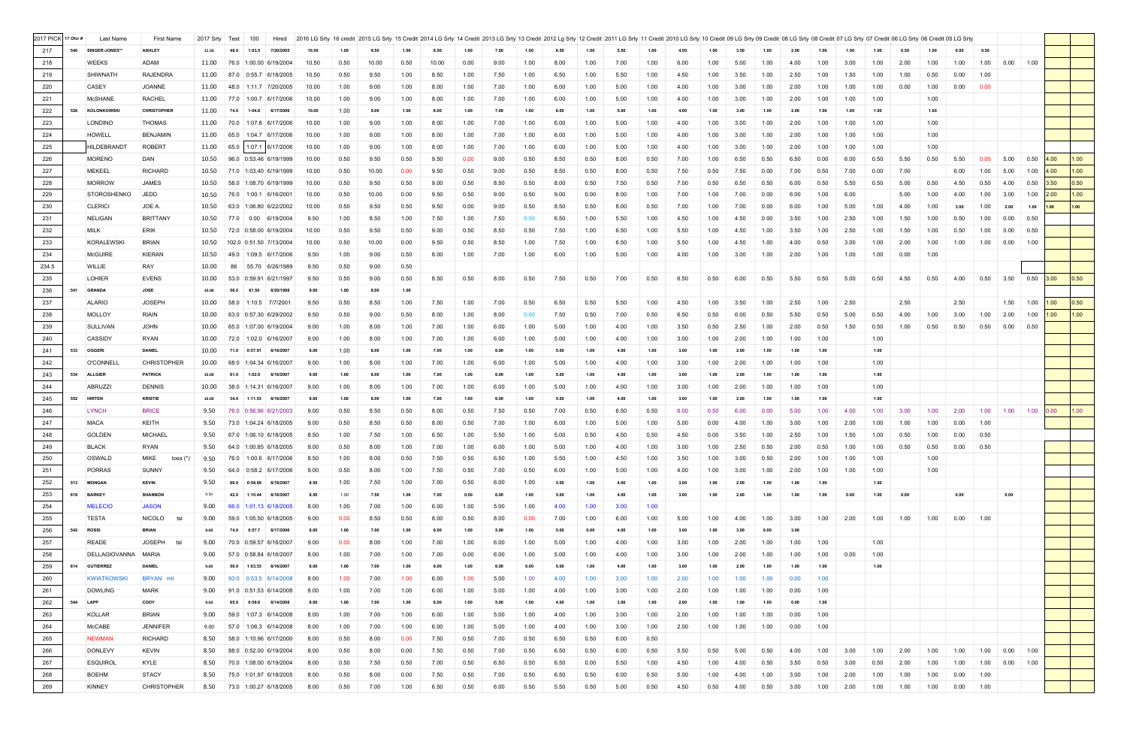| 2017 PICK 17 Ofcr # |     | Last Name          | First Name           | 2017 Srty Test | 100                         | Hired             |       |      | 2016 LG Srty   16 credit   2015 LG Srty   15 Credit   2014 LG Srty   14 Credit   2013 LG Srty   3 Credit   2012 LG Srty   12 Credit   2011 LG Srty   12 Credit   2011 LG Srty   12 Credit   2011 LG Srty   11 Credit   2011 LG |      |       |      |      |      |      |      |      |      |      |      |      |      |      |      |      |      |      |      |      |        |                      |                  |      |                |
|---------------------|-----|--------------------|----------------------|----------------|-----------------------------|-------------------|-------|------|--------------------------------------------------------------------------------------------------------------------------------------------------------------------------------------------------------------------------------|------|-------|------|------|------|------|------|------|------|------|------|------|------|------|------|------|------|------|------|------|--------|----------------------|------------------|------|----------------|
| 217                 |     | 540 SINGER-JONES*  | <b>ASHLEY</b>        | 11.50          | 48.0                        | 1:03.5 7/20/2005  |       |      | 9.50                                                                                                                                                                                                                           | 1.00 | 8.50  |      |      |      |      |      | 5.50 |      |      |      |      |      |      |      |      |      |      |      |      | 0.50   |                      |                  |      |                |
| 218                 |     | <b>WEEKS</b>       | ADAM                 | 11.00          | 76.0 1:00.00 6/19/2004      |                   | 10.50 | 0.50 | 10.00                                                                                                                                                                                                                          | 0.50 | 10.00 | 0.00 | 9.00 | 1.00 | 8.00 | 1.00 | 7.00 | 1.00 | 6.00 | 1.00 | 5.00 | 1.00 | 4.00 | 1.00 | 3.00 | 1.00 | 2.00 | 1.00 | 1.00 | 1.00   | $0.00$ 1.00          |                  |      |                |
| 219                 |     | SHIWNATH           | <b>RAJENDRA</b>      | 11.00          | 87.0 0:55.7 6/18/2005       |                   | 10.50 | 0.50 | 9.50                                                                                                                                                                                                                           | 1.00 | 8.50  | 1.00 | 7.50 | 1.00 | 6.50 | 1.00 | 5.50 | 1.00 | 4.50 | 1.00 | 3.50 | 1.00 | 2.50 | 1.00 | 1.50 | 1.00 | 1.00 | 0.50 | 0.00 | 1.00   |                      |                  |      |                |
| 220                 |     | CASEY              | JOANNE               |                | 11.00 48.0 1:11.7 7/20/2005 |                   | 10.00 | 1.00 | 9.00                                                                                                                                                                                                                           | 1.00 | 8.00  | 1.00 | 7.00 | 1.00 | 6.00 | 1.00 | 5.00 | 1.00 | 4.00 | 1.00 | 3.00 | 1.00 | 2.00 | 1.00 | 1.00 | 1.00 | 0.00 | 1.00 | 0.00 | 0.00   |                      |                  |      |                |
| 221                 |     | <b>McSHANE</b>     | <b>RACHEL</b>        | 11.00          | 77.0 1:00.7 6/17/2006       |                   | 10.00 | 1.00 | 9.00                                                                                                                                                                                                                           | 1.00 | 8.00  | 1.00 | 7.00 | 1.00 | 6.00 | 1.00 | 5.00 | 1.00 | 4.00 | 1.00 | 3.00 | 1.00 | 2.00 | 1.00 | 1.00 | 1.00 |      | 1.00 |      |        |                      |                  |      |                |
| 222                 |     | 526 KOLONKOWSKI    | <b>CHRISTOPHER</b>   | 11.00          | 74.0                        | 1:04.8 6/17/2006  | 10.00 | 1.00 | 9.00                                                                                                                                                                                                                           | 1.00 | 8.00  | 1.00 | 7.00 | 1.00 | 6.00 | 1.00 | 5.00 | 1.00 | 4.00 | 1.00 | 3.00 | 1.00 | 2.00 | 1.00 | 1.00 | 1.00 |      | 1.00 |      |        |                      |                  |      |                |
| 223                 |     | LONDINO            | <b>THOMAS</b>        |                | 11.00 70.0 1:07.8 6/17/2006 |                   | 10.00 | 1.00 | 9.00                                                                                                                                                                                                                           | 1.00 | 8.00  | 1.00 | 7.00 | 1.00 | 6.00 | 1.00 | 5.00 | 1.00 | 4.00 | 1.00 | 3.00 | 1.00 | 2.00 | 1.00 | 1.00 | 1.00 |      | 1.00 |      |        |                      |                  |      |                |
| 224                 |     | <b>HOWELL</b>      | <b>BENJAMIN</b>      | 11.00          | 65.0 1:04.7 6/17/2006       |                   | 10.00 | 1.00 | 9.00                                                                                                                                                                                                                           | 1.00 | 8.00  | 1.00 | 7.00 | 1.00 | 6.00 | 1.00 | 5.00 | 1.00 | 4.00 | 1.00 | 3.00 | 1.00 | 2.00 | 1.00 | 1.00 | 1.00 |      | 1.00 |      |        |                      |                  |      |                |
| 225                 |     | HILDEBRANDT        | <b>ROBERT</b>        | 11.00          | 65.0   1:07.1   6/17/2006   |                   | 10.00 | 1.00 | 9.00                                                                                                                                                                                                                           | 1.00 | 8.00  | 1.00 | 7.00 | 1.00 | 6.00 | 1.00 | 5.00 | 1.00 | 4.00 | 1.00 | 3.00 | 1.00 | 2.00 | 1.00 | 1.00 | 1.00 |      | 1.00 |      |        |                      |                  |      |                |
| 226                 |     | <b>MORENO</b>      | DAN                  | 10.50          | 96.0 0:53.46 6/19/1999      |                   | 10.00 | 0.50 | 9.50                                                                                                                                                                                                                           | 0.50 | 9.50  | 0.00 | 9.00 | 0.50 | 8.50 | 0.50 | 8.00 | 0.50 | 7.00 | 1.00 | 6.50 | 0.50 | 6.50 | 0.00 | 6.00 | 0.50 | 5.50 | 0.50 | 5.50 | 0.00   | 5.00                 | $0.50\quad 4.00$ |      | 1.00           |
| 227                 |     | <b>MEKEEL</b>      | <b>RICHARD</b>       | 10.50          | 71.0 1:03.40 6/19/1999      |                   | 10.00 | 0.50 | 10.00                                                                                                                                                                                                                          | 0.00 | 9.50  | 0.50 | 9.00 | 0.50 | 8.50 | 0.50 | 8.00 | 0.50 | 7.50 | 0.50 | 7.50 | 0.00 | 7.00 | 0.50 | 7.00 | 0.00 | 7.00 |      | 6.00 | 1.00   | 5.00                 | 1.00             | 4.00 | 1.00           |
| 228                 |     | <b>MORROW</b>      | JAMES                | 10.50          | 58.0 1:08.70 6/19/1999      |                   | 10.00 | 0.50 | 9.50                                                                                                                                                                                                                           | 0.50 | 9.00  | 0.50 | 8.50 | 0.50 | 8.00 | 0.50 | 7.50 | 0.50 | 7.00 | 0.50 | 6.50 | 0.50 | 6.00 | 0.50 | 5.50 | 0.50 | 5.00 | 0.50 | 4.50 | 0.50   | 4.00                 | 0.50             | 3.50 | 0.50           |
| 229                 |     | STOROSHENKO        | <b>JEDD</b>          |                | 10.50 76.0 1:00.1 6/16/2001 |                   | 10.00 | 0.50 | 10.00                                                                                                                                                                                                                          | 0.00 | 9.50  | 0.50 | 9.00 | 0.50 | 9.00 | 0.00 | 8.00 | 1.00 | 7.00 | 1.00 | 7.00 | 0.00 | 6.00 | 1.00 | 6.00 |      | 5.00 | 1.00 | 4.00 | 1.00   | 3.00                 | 1.00             | 2.00 | 1.00           |
| 230                 |     | <b>CLERICI</b>     | JOE A.               | 10.50          | 63.0 1:06.80 6/22/2002      |                   | 10.00 | 0.50 | 9.50                                                                                                                                                                                                                           | 0.50 | 9.50  | 0.00 | 9.00 | 0.50 | 8.50 | 0.50 | 8.00 | 0.50 | 7.00 | 1.00 | 7.00 | 0.00 | 6.00 | 1.00 | 5.00 | 1.00 | 4.00 | 1.00 |      | 1.00   | 2.00                 | 1.00             |      | 1.00           |
| 231                 |     | <b>NELIGAN</b>     | <b>BRITTANY</b>      | 10.50          | 77.0                        | $0.00$ 6/19/2004  | 9.50  | 1.00 | 8.50                                                                                                                                                                                                                           | 1.00 | 7.50  | 1.00 | 7.50 | 0.00 | 6.50 | 1.00 | 5.50 | 1.00 | 4.50 | 1.00 | 4.50 | 0.00 | 3.50 | 1.00 | 2.50 | 1.00 | 1.50 | 1.00 | 0.50 | 1.00   | 0.00                 | 0.50             |      |                |
| 232                 |     | <b>MILK</b>        | <b>ERIK</b>          | 10.50          | 72.0 0:58.00 6/19/2004      |                   | 10.00 | 0.50 | 9.50                                                                                                                                                                                                                           | 0.50 | 9.00  | 0.50 | 8.50 | 0.50 | 7.50 | 1.00 | 6.50 | 1.00 | 5.50 | 1.00 | 4.50 | 1.00 | 3.50 | 1.00 | 2.50 | 1.00 | 1.50 | 1.00 | 0.50 | 1.00   | 0.00                 | 0.50             |      |                |
| 233                 |     | <b>KORALEWSK</b>   | <b>BRIAN</b>         | 10.50          | 102.0 0:51.50 7/13/2004     |                   | 10.00 | 0.50 | 10.00                                                                                                                                                                                                                          | 0.00 | 9.50  | 0.50 | 8.50 | 1.00 | 7.50 | 1.00 | 6.50 | 1.00 | 5.50 | 1.00 | 4.50 | 1.00 |      | 0.50 | 3.00 | 1.00 | 2.00 | 1.00 | 1.00 | 1.00   | 0.00                 | 1.00             |      |                |
| 234                 |     | <b>McGUIRE</b>     | <b>KIERAN</b>        |                | 49.0 1:09.5 6/17/2006       |                   |       |      |                                                                                                                                                                                                                                |      |       |      |      |      |      |      |      |      |      |      |      |      | 4.00 |      |      |      |      |      |      |        |                      |                  |      |                |
|                     |     |                    |                      | 10.50          |                             |                   | 9.50  | 1.00 | 9.00                                                                                                                                                                                                                           | 0.50 | 8.00  | 1.00 | 7.00 | 1.00 | 6.00 | 1.00 | 5.00 | 1.00 | 4.00 | 1.00 | 3.00 | 1.00 | 2.00 | 1.00 | 1.00 | 1.00 | 0.00 | 1.00 |      |        |                      |                  |      |                |
| 234.5               |     | WILLIE             | RAY                  | 10.00          | 86 55.70 6/26/1989          |                   | 9.50  | 0.50 | 9.00                                                                                                                                                                                                                           | 0.50 |       |      |      |      |      |      |      |      |      |      |      |      |      |      |      |      |      |      |      |        |                      |                  |      |                |
| 235                 |     | <b>LOHIER</b>      | <b>EVENS</b>         | 10.00          | 53.0 0:59.91 6/21/1997      |                   | 9.50  | 0.50 | 9.00                                                                                                                                                                                                                           | 0.50 | 8.50  | 0.50 | 8.00 | 0.50 | 7.50 | 0.50 | 7.00 | 0.50 | 6.50 | 0.50 | 6.00 | 0.50 | 5.50 | 0.50 | 5.00 | 0.50 | 4.50 | 0.50 | 4.00 | 0.50   | 3.50                 | $0.50$ 3.00      |      | $ 0.50\rangle$ |
| 236                 |     | 541 GRANDA         | <b>JOSE</b>          | 10.00          | 56.0<br>61.50               | 6/20/1998         | 9.00  | 1.00 | 8.00                                                                                                                                                                                                                           | 1.00 |       |      |      |      |      |      |      |      |      |      |      |      |      |      |      |      |      |      |      |        |                      |                  |      |                |
| 237                 |     | <b>ALARIO</b>      | <b>JOSEPH</b>        | 10.00          | 58.0 1:10.5 7/7/2001        |                   | 9.50  | 0.50 | 8.50                                                                                                                                                                                                                           | 1.00 | 7.50  | 1.00 | 7.00 | 0.50 | 6.50 | 0.50 | 5.50 | 1.00 | 4.50 | 1.00 | 3.50 | 1.00 | 2.50 | 1.00 | 2.50 |      | 2.50 |      | 2.50 |        | 1.50                 | $1.00$ 1.00      |      | $ 0.50\rangle$ |
| 238                 |     | MOLLOY             | RIAIN                | 10.00          | 63.0 0:57.30 6/29/2002      |                   | 9.50  | 0.50 | 9.00                                                                                                                                                                                                                           | 0.50 | 8.00  | 1.00 | 8.00 | 0.00 | 7.50 | 0.50 | 7.00 | 0.50 | 6.50 | 0.50 | 6.00 | 0.50 | 5.50 | 0.50 | 5.00 | 0.50 | 4.00 | 1.00 | 3.00 | 1.00   | 2.00                 | 1.00             | 1.00 | 1.00           |
| 239                 |     | <b>SULLIVAN</b>    | <b>JOHN</b>          | 10.00          | 65.0 1:07.00 6/19/2004      |                   | 9.00  | 1.00 | 8.00                                                                                                                                                                                                                           | 1.00 | 7.00  | 1.00 | 6.00 | 1.00 | 5.00 | 1.00 | 4.00 | 1.00 | 3.50 | 0.50 | 2.50 | 1.00 | 2.00 | 0.50 | 1.50 | 0.50 | 1.00 | 0.50 | 0.50 | 0.50   | 0.00 0.50            |                  |      |                |
| 240                 |     | <b>CASSIDY</b>     | RYAN                 | 10.00          | 72.0 1:02.0 6/16/2007       |                   | 9.00  | 1.00 | 8.00                                                                                                                                                                                                                           | 1.00 | 7.00  | 1.00 | 6.00 | 1.00 | 5.00 | 1.00 | 4.00 | 1.00 | 3.00 | 1.00 | 2.00 | 1.00 | 1.00 | 1.00 |      | 1.00 |      |      |      |        |                      |                  |      |                |
| 241                 |     | 533 OGGERI         | <b>DANIEL</b>        | 10.00          | 71.0  0:57.91  6/16/2007    |                   | 9.00  | 1.00 | 8.00                                                                                                                                                                                                                           | 1.00 | 7.00  | 1.00 | 6.00 | 1.00 | 5.00 | 1.00 | 4.00 | 1.00 | 3.00 | 1.00 | 2.00 | 1.00 | 1.00 | 1.00 |      | 1.00 |      |      |      |        |                      |                  |      |                |
| 242                 |     | O'CONNELL          | <b>CHRISTOPHER</b>   | 10.00          | 68.0 1:04.34 6/16/2007      |                   | 9.00  | 1.00 | 8.00                                                                                                                                                                                                                           | 1.00 | 7.00  | 1.00 | 6.00 | 1.00 | 5.00 | 1.00 | 4.00 | 1.00 | 3.00 | 1.00 | 2.00 | 1.00 | 1.00 | 1.00 |      | 1.00 |      |      |      |        |                      |                  |      |                |
| 243                 |     | 534 ALLGIER        | <b>PATRICK</b>       | 10.00          | 61.0                        | 1:02.9 6/16/2007  | 9.00  | 1.00 | 8.00                                                                                                                                                                                                                           | 1.00 | 7.00  | 1.00 | 6.00 | 1.00 | 5.00 | 1.00 | 4.00 | 1.00 | 3.00 | 1.00 | 2.00 | 1.00 | 1.00 | 1.00 |      | 1.00 |      |      |      |        |                      |                  |      |                |
| 244                 |     | <b>ABRUZZI</b>     | <b>DENNIS</b>        | 10.00          | 38.0 1:14.31 6/16/2007      |                   | 9.00  | 1.00 | 8.00                                                                                                                                                                                                                           | 1.00 | 7.00  | 1.00 | 6.00 | 1.00 | 5.00 | 1.00 | 4.00 | 1.00 | 3.00 | 1.00 | 2.00 | 1.00 | 1.00 | 1.00 |      | 1.00 |      |      |      |        |                      |                  |      |                |
| 245                 | 552 | <b>HIRTEN</b>      | <b>KRISTIE</b>       | 10.00          | 34.0                        | 1:11.53 6/16/2007 | 9.00  | 1.00 | 8.00                                                                                                                                                                                                                           | 1.00 | 7.00  | 1.00 | 6.00 | 1.00 | 5.00 | 1.00 | 4.00 | 1.00 | 3.00 | 1.00 | 2.00 | 1.00 | 1.00 | 1.00 |      | 1.00 |      |      |      |        |                      |                  |      |                |
| 246                 |     | <b>LYNCH</b>       | <b>BRICE</b>         | 9.50           | 76.0 0:56.96 6/21/2003      |                   | 9.00  | 0.50 | 8.50                                                                                                                                                                                                                           | 0.50 | 8.00  | 0.50 | 7.50 | 0.50 | 7.00 | 0.50 | 6.50 | 0.50 | 6.00 | 0.50 | 6.00 | 0.00 | 5.00 | 1.00 | 4.00 | 1.00 | 3.00 | 1.00 | 2.00 | 1.00   | $1.00$ $1.00$ $0.00$ |                  |      | 1.00           |
| 247                 |     | <b>MACA</b>        | KEITH                | 9.50           | 73.0 1:04.24 6/18/2005      |                   | 9.00  | 0.50 | 8.50                                                                                                                                                                                                                           | 0.50 | 8.00  | 0.50 | 7.00 | 1.00 | 6.00 | 1.00 | 5.00 | 1.00 | 5.00 | 0.00 | 4.00 | 1.00 | 3.00 | 1.00 | 2.00 | 1.00 | 1.00 | 1.00 | 0.00 | 1.00   |                      |                  |      |                |
| 248                 |     | <b>GOLDEN</b>      | <b>MICHAEL</b>       | 9.50           | 67.0 1:06.10 6/18/2005      |                   | 8.50  | 1.00 | 7.50                                                                                                                                                                                                                           | 1.00 | 6.50  | 1.00 | 5.50 | 1.00 | 5.00 | 0.50 | 4.50 | 0.50 | 4.50 | 0.00 | 3.50 | 1.00 | 2.50 | 1.00 | 1.50 | 1.00 | 0.50 | 1.00 | 0.00 | 0.50   |                      |                  |      |                |
| 249                 |     | <b>BLACK</b>       | <b>RYAN</b>          |                | 9.50 64.0 1:00.85 6/18/2005 |                   | 9.00  | 0.50 | 8.00                                                                                                                                                                                                                           | 1.00 | 7.00  | 1.00 | 6.00 | 1.00 | 5.00 | 1.00 | 4.00 | 1.00 | 3.00 | 1.00 | 2.50 | 0.50 | 2.00 | 0.50 |      | 1.00 | 0.50 | 0.50 | 0.00 | 0.50   |                      |                  |      |                |
| 250                 |     | OSWALD             | MIKE<br>toss $(*)$   | 9.50           | 76.0 1:00.6 6/17/2006       |                   | 8.50  | 1.00 | 8.00                                                                                                                                                                                                                           | 0.50 | 7.50  | 0.50 | 6.50 | 1.00 | 5.50 | 1.00 | 4.50 | 1.00 | 3.50 | 1.00 | 3.00 | 0.50 | 2.00 | 1.00 | 1.00 | 1.00 |      | 1.00 |      |        |                      |                  |      |                |
| 251                 |     | <b>PORRAS</b>      | <b>SUNNY</b>         | 9.50           | 64.0 0:58.2 6/17/2006       |                   | 9.00  | 0.50 | 8.00                                                                                                                                                                                                                           | 1.00 | 7.50  | 0.50 | 7.00 | 0.50 | 6.00 | 1.00 | 5.00 | 1.00 | 4.00 | 1.00 | 3.00 | 1.00 | 2.00 | 1.00 | 1.00 | 1.00 |      | 1.00 |      |        |                      |                  |      |                |
| 252                 |     | 513 MONGAN         | <b>KEVIN</b>         | 9.50           | 80.0                        | 0:58.69 6/16/2007 | 8.50  | 1.00 | 7.50                                                                                                                                                                                                                           | 1.00 | 7.00  | 0.50 | 6.00 | 1.00 | 5.00 | 1.00 | 4.00 | 1.00 | 3.00 | 1.00 | 2.00 | 1.00 | 1.00 | 1.00 |      | 1.00 |      |      |      |        |                      |                  |      |                |
| 253                 |     | 619 BARKEY         | <b>SHANNON</b>       | 9.50           | 42.0 1:10.44 6/16/2007      |                   | 8.50  | 1.00 | 7.50                                                                                                                                                                                                                           | 1.00 | 7.00  | 0.50 | 6.00 | 1.00 | 5.00 | 1.00 | 4.00 | 1.00 | 3.00 | 1.00 | 2.00 | 1.00 | 1.00 | 1.00 | 0.00 | 1.00 | 0.00 |      | 0.00 |        | 0.00                 |                  |      |                |
| 254                 |     | <b>MELECIO</b>     | <b>JASON</b>         | 9.00           | 66.0 1:01.13 6/18/2005      |                   | 8.00  | 1.00 | 7.00                                                                                                                                                                                                                           | 1.00 | 6.00  | 1.00 | 5.00 | 1.00 | 4.00 | 1.00 | 3.00 | 1.00 |      |      |      |      |      |      |      |      |      |      |      |        |                      |                  |      |                |
| 255                 |     | <b>TESTA</b>       | <b>NICOLO</b><br>tsl | 9.00           | 59.0 1:05.50 6/18/2005      |                   | 9.00  | 0.00 | 8.50                                                                                                                                                                                                                           | 0.50 | 8.00  | 0.50 | 8.00 | 0.00 | 7.00 | 1.00 | 6.00 | 1.00 | 5.00 | 1.00 | 4.00 | 1.00 | 3.00 | 1.00 | 2.00 | 1.00 | 1.00 | 1.00 | 0.00 | 1.00   |                      |                  |      |                |
| 256                 |     | 542 ROSSI          | <b>BRIAN</b>         | 9.00           | 74.0                        | 0:57.7 6/17/2006  | 8.00  | 1.00 | 7.00                                                                                                                                                                                                                           | 1.00 | 6.00  | 1.00 | 5.00 | 1.00 | 5.00 | 0.00 | 4.00 | 1.00 | 3.00 | 1.00 | 3.00 | 0.00 | 3.00 |      |      |      |      |      |      |        |                      |                  |      |                |
| 257                 |     | <b>READE</b>       | JOSEPH tsl           | 9.00           | 70.0 0:59.57 6/16/2007      |                   | 9.00  | 0.00 | 8.00                                                                                                                                                                                                                           | 1.00 | 7.00  | 1.00 | 6.00 | 1.00 | 5.00 | 1.00 | 4.00 | 1.00 | 3.00 | 1.00 | 2.00 | 1.00 | 1.00 | 1.00 |      | 1.00 |      |      |      |        |                      |                  |      |                |
| 258                 |     | DELLAGIOVANNA      | <b>MARIA</b>         | 9.00           | 57.0 0:58.84 6/16/2007      |                   | 8.00  | 1.00 | 7.00                                                                                                                                                                                                                           | 1.00 | 7.00  | 0.00 | 6.00 | 1.00 | 5.00 | 1.00 | 4.00 | 1.00 | 3.00 | 1.00 | 2.00 | 1.00 | 1.00 | 1.00 | 0.00 | 1.00 |      |      |      |        |                      |                  |      |                |
| 259                 |     | 614 GUTIERREZ      | <b>DANIEL</b>        | 9.00           | 50.0                        | 1:03.53 6/16/2007 | 8.00  | 1.00 | 7.00                                                                                                                                                                                                                           | 1.00 | 6.00  | 1.00 | 6.00 | 0.00 | 5.00 | 1.00 | 4.00 | 1.00 | 3.00 | 1.00 | 2.00 | 1.00 | 1.00 | 1.00 |      | 1.00 |      |      |      |        |                      |                  |      |                |
| 260                 |     | <b>KWIATKOWSKI</b> | <b>BRYAN</b> mil     | 9.00           | $93.0$ 0:53.5 6/14/2008     |                   | 8.00  | 1.00 | 7.00                                                                                                                                                                                                                           | 1.00 | 6.00  | 1.00 | 5.00 | 1.00 | 4.00 | 1.00 | 3.00 | 1.00 | 2.00 | 1.00 | 1.00 | 1.00 | 0.00 | 1.00 |      |      |      |      |      |        |                      |                  |      |                |
| 261                 |     | <b>DOWLING</b>     | <b>MARK</b>          | 9.00           | 91.0 0:51.53 6/14/2008      |                   | 8.00  | 1.00 | 7.00                                                                                                                                                                                                                           | 1.00 | 6.00  | 1.00 | 5.00 | 1.00 | 4.00 | 1.00 | 3.00 | 1.00 | 2.00 | 1.00 | 1.00 | 1.00 | 0.00 | 1.00 |      |      |      |      |      |        |                      |                  |      |                |
| 262                 | 544 | LAPP               | CODY                 | 9.00           | 65.0                        | 0:59.8 6/14/2008  | 8.00  | 1.00 | 7.00                                                                                                                                                                                                                           | 1.00 | 6.00  | 1.00 | 5.00 | 1.00 | 4.00 | 1.00 | 3.00 | 1.00 | 2.00 | 1.00 | 1.00 | 1.00 | 0.00 | 1.00 |      |      |      |      |      |        |                      |                  |      |                |
| 263                 |     | KOLLAR             | <b>BRIAN</b>         | 9.00           | 59.0 1:07.3 6/14/2008       |                   | 8.00  | 1.00 | 7.00                                                                                                                                                                                                                           | 1.00 | 6.00  | 1.00 | 5.00 | 1.00 | 4.00 | 1.00 | 3.00 | 1.00 | 2.00 | 1.00 | 1.00 | 1.00 | 0.00 | 1.00 |      |      |      |      |      |        |                      |                  |      |                |
| 264                 |     | <b>McCABE</b>      | <b>JENNIFER</b>      | 9.00           | 57.0 1:06.3 6/14/2008       |                   | 8.00  | 1.00 | 7.00                                                                                                                                                                                                                           | 1.00 | 6.00  | 1.00 | 5.00 | 1.00 | 4.00 | 1.00 | 3.00 | 1.00 | 2.00 | 1.00 | 1.00 | 1.00 | 0.00 | 1.00 |      |      |      |      |      |        |                      |                  |      |                |
| 265                 |     | <b>NEWMAN</b>      | <b>RICHARD</b>       | 8.50           | 58.0 1:10.96 6/17/2000      |                   | 8.00  | 0.50 | 8.00                                                                                                                                                                                                                           | 0.00 | 7.50  | 0.50 | 7.00 | 0.50 | 6.50 | 0.50 | 6.00 | 0.50 |      |      |      |      |      |      |      |      |      |      |      |        |                      |                  |      |                |
| 266                 |     | <b>DONLEVY</b>     | <b>KEVIN</b>         | 8.50           | 88.0 0:52.00 6/19/2004      |                   | 8.00  | 0.50 | 8.00                                                                                                                                                                                                                           | 0.00 | 7.50  | 0.50 | 7.00 | 0.50 | 6.50 | 0.50 | 6.00 | 0.50 | 5.50 | 0.50 | 5.00 | 0.50 | 4.00 | 1.00 | 3.00 | 1.00 | 2.00 | 1.00 | 1.00 | 1.00   | 0.00                 | 1.00             |      |                |
| 267                 |     | <b>ESQUIROL</b>    | KYLE                 | 8.50           | 70.0 1:08.00 6/19/2004      |                   | 8.00  | 0.50 | 7.50                                                                                                                                                                                                                           | 0.50 | 7.00  | 0.50 | 6.50 | 0.50 | 6.50 | 0.00 | 5.50 | 1.00 | 4.50 | 1.00 | 4.00 | 0.50 | 3.50 | 0.50 | 3.00 | 0.50 | 2.00 | 1.00 | 1.00 | 1.00   | $0.00$ 1.00          |                  |      |                |
|                     |     |                    | <b>STACY</b>         |                |                             |                   |       |      |                                                                                                                                                                                                                                |      |       |      |      |      |      |      |      |      |      |      |      |      |      |      |      |      |      |      |      |        |                      |                  |      |                |
| 268                 |     | <b>BOEHM</b>       |                      | 8.50           | 75.0 1:01.97 6/18/2005      |                   | 8.00  | 0.50 | 8.00                                                                                                                                                                                                                           | 0.00 | 7.50  | 0.50 | 7.00 | 0.50 | 6.50 | 0.50 | 6.00 | 0.50 | 5.00 | 1.00 | 4.00 | 1.00 | 3.00 | 1.00 | 2.00 | 1.00 | 1.00 | 1.00 | 0.00 | 1.00   |                      |                  |      |                |
| 269                 |     | KINNEY             | <b>CHRISTOPHER</b>   |                | 8.50 73.0 1:00.27 6/18/2005 |                   | 8.00  | 0.50 | 7.00                                                                                                                                                                                                                           | 1.00 | 6.50  | 0.50 | 6.00 | 0.50 | 5.50 | 0.50 | 5.00 | 0.50 | 4.50 | 0.50 | 4.00 | 0.50 | 3.00 | 1.00 | 2.00 | 1.00 | 1.00 | 1.00 | 0.00 | $1.00$ |                      |                  |      |                |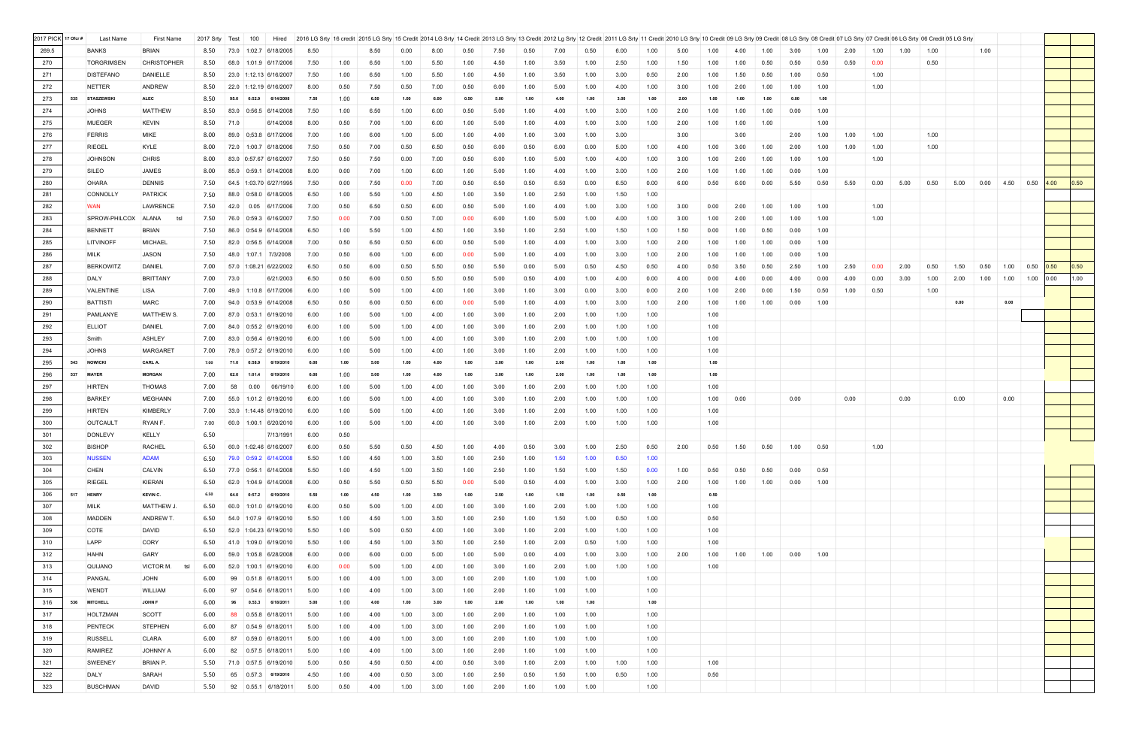| 2017 PICK 17 Ofcr # |     | Last Name         | First Name          | 2017 Srty Test | 100                   | Hired                   | 2016 LG Srty 16 credit 2015 LG Srty 15 Credit 2014 LG Srty 14 Credit 2013 LG Srty 13 Credit 2013 LG Srty 12 Credit 2011 LG Srty 11 Credit 2011 LG Srty 11 Credit 2011 LG Srty 11 Credit 2011 LG Srty 11 Credit 2011 LG Srty 11 |      |      |      |      |      |      |      |      |      |      |      |      |      |      |      |      |      |      |      |      |      |      |      |      |                   |              |
|---------------------|-----|-------------------|---------------------|----------------|-----------------------|-------------------------|--------------------------------------------------------------------------------------------------------------------------------------------------------------------------------------------------------------------------------|------|------|------|------|------|------|------|------|------|------|------|------|------|------|------|------|------|------|------|------|------|------|------|------|-------------------|--------------|
| 269.5               |     | <b>BANKS</b>      | <b>BRIAN</b>        | 8.50           |                       | 73.0 1:02.7 6/18/2005   | 8.50                                                                                                                                                                                                                           |      | 8.50 | 0.00 | 8.00 | 0.50 | 7.50 | 0.50 | 7.00 | 0.50 | 6.00 | 1.00 | 5.00 | 1.00 | 4.00 | 1.00 | 3.00 | 1.00 | 2.00 | 1.00 | 1.00 | 1.00 |      | 1.00 |      |                   |              |
| 270                 |     | <b>TORGRIMSEN</b> | <b>CHRISTOPHER</b>  | 8.50           | 68.0                  | 1:01.9 6/17/2006        | 7.50                                                                                                                                                                                                                           | 1.00 | 6.50 | 1.00 | 5.50 | 1.00 | 4.50 | 1.00 | 3.50 | 1.00 | 2.50 | 1.00 | 1.50 | 1.00 | 1.00 | 0.50 | 0.50 | 0.50 | 0.50 | 0.00 |      | 0.50 |      |      |      |                   |              |
| 271                 |     | <b>DISTEFANO</b>  | <b>DANIELLE</b>     | 8.50           |                       | 23.0 1:12.13 6/16/2007  | 7.50                                                                                                                                                                                                                           | 1.00 | 6.50 | 1.00 | 5.50 | 1.00 | 4.50 | 1.00 | 3.50 | 1.00 | 3.00 | 0.50 | 2.00 | 1.00 | 1.50 | 0.50 | 1.00 | 0.50 |      | 1.00 |      |      |      |      |      |                   |              |
| 272                 |     | NETTER            | <b>ANDREW</b>       | 8.50           |                       | 22.0 1:12.19 6/16/2007  | 8.00                                                                                                                                                                                                                           | 0.50 | 7.50 | 0.50 | 7.00 | 0.50 | 6.00 | 1.00 | 5.00 | 1.00 | 4.00 | 1.00 | 3.00 | 1.00 | 2.00 | 1.00 | 1.00 | 1.00 |      | 1.00 |      |      |      |      |      |                   |              |
| 273                 |     | 535 STASZEWSKI    | <b>ALEC</b>         | 8.50           | 95.0                  | 0:52.9 6/14/2008        | 7.50                                                                                                                                                                                                                           | 1.00 | 6.50 | 1.00 | 6.00 | 0.50 | 5.00 | 1.00 | 4.00 | 1.00 | 3.00 | 1.00 | 2.00 | 1.00 | 1.00 | 1.00 | 0.00 | 1.00 |      |      |      |      |      |      |      |                   |              |
| 274                 |     | <b>JOHNS</b>      | <b>MATTHEW</b>      | 8.50           |                       | 83.0 0:56.5 6/14/2008   | 7.50                                                                                                                                                                                                                           | 1.00 | 6.50 | 1.00 | 6.00 | 0.50 | 5.00 | 1.00 | 4.00 | 1.00 | 3.00 | 1.00 | 2.00 | 1.00 | 1.00 | 1.00 | 0.00 | 1.00 |      |      |      |      |      |      |      |                   |              |
| 275                 |     | <b>MUEGER</b>     | <b>KEVIN</b>        | 8.50           | 71.0                  | 6/14/2008               | 8.00                                                                                                                                                                                                                           | 0.50 | 7.00 | 1.00 | 6.00 | 1.00 | 5.00 | 1.00 | 4.00 | 1.00 | 3.00 | 1.00 | 2.00 | 1.00 | 1.00 | 1.00 |      | 1.00 |      |      |      |      |      |      |      |                   |              |
| 276                 |     | <b>FERRIS</b>     | <b>MIKE</b>         | 8.00           | 89.0                  | 0;53.8 6/17/2006        | 7.00                                                                                                                                                                                                                           | 1.00 | 6.00 | 1.00 | 5.00 | 1.00 | 4.00 | 1.00 | 3.00 | 1.00 | 3.00 |      | 3.00 |      | 3.00 |      | 2.00 | 1.00 | 1.00 | 1.00 |      | 1.00 |      |      |      |                   |              |
| 277                 |     | <b>RIEGEL</b>     | KYLE                | 8.00           |                       | 72.0 1:00.7 6/18/2006   | 7.50                                                                                                                                                                                                                           | 0.50 | 7.00 | 0.50 | 6.50 | 0.50 | 6.00 | 0.50 | 6.00 | 0.00 | 5.00 | 1.00 | 4.00 | 1.00 | 3.00 | 1.00 | 2.00 | 1.00 | 1.00 | 1.00 |      | 1.00 |      |      |      |                   |              |
| 278                 |     | <b>JOHNSON</b>    | <b>CHRIS</b>        | 8.00           |                       | 83.0 0:57.67 6/16/2007  | 7.50                                                                                                                                                                                                                           | 0.50 | 7.50 | 0.00 | 7.00 | 0.50 | 6.00 | 1.00 | 5.00 | 1.00 | 4.00 | 1.00 | 3.00 | 1.00 | 2.00 | 1.00 | 1.00 | 1.00 |      | 1.00 |      |      |      |      |      |                   |              |
| 279                 |     | SILEO             | JAMES               | 8.00           |                       | 85.0 0:59.1 6/14/2008   | 8.00                                                                                                                                                                                                                           | 0.00 | 7.00 | 1.00 | 6.00 | 1.00 | 5.00 | 1.00 | 4.00 | 1.00 | 3.00 | 1.00 | 2.00 | 1.00 | 1.00 | 1.00 | 0.00 | 1.00 |      |      |      |      |      |      |      |                   |              |
| 280                 |     | <b>OHARA</b>      | <b>DENNIS</b>       | 7.50           |                       | 64.5 1:03.70 6/27/1995  | 7.50                                                                                                                                                                                                                           | 0.00 | 7.50 | 0.00 | 7.00 | 0.50 | 6.50 | 0.50 | 6.50 | 0.00 | 6.50 | 0.00 | 6.00 | 0.50 | 6.00 | 0.00 | 5.50 | 0.50 | 5.50 | 0.00 | 5.00 | 0.50 | 5.00 | 0.00 | 4.50 | $0.50\quad 4.00$  | $\vert$ 0.50 |
| 281                 |     | CONNOLLY          | <b>PATRICK</b>      | 7.50           |                       | 88.0 0:58.0 6/18/2005   | 6.50                                                                                                                                                                                                                           | 1.00 | 5.50 | 1.00 | 4.50 | 1.00 | 3.50 | 1.00 | 2.50 | 1.00 | 1.50 | 1.00 |      |      |      |      |      |      |      |      |      |      |      |      |      |                   |              |
| 282                 |     | <b>WAN</b>        | <b>LAWRENCE</b>     | 7.50           | 42.0                  | $0.05$ 6/17/2006        | 7.00                                                                                                                                                                                                                           | 0.50 | 6.50 | 0.50 | 6.00 | 0.50 | 5.00 | 1.00 | 4.00 | 1.00 | 3.00 | 1.00 | 3.00 | 0.00 | 2.00 | 1.00 | 1.00 | 1.00 |      | 1.00 |      |      |      |      |      |                   |              |
| 283                 |     | SPROW-PHILCOX     | <b>ALANA</b><br>tsl | 7.50           | 76.0                  | 0:59.3 6/16/2007        | 7.50                                                                                                                                                                                                                           | 0.00 | 7.00 | 0.50 | 7.00 | 0.00 | 6.00 | 1.00 | 5.00 | 1.00 | 4.00 | 1.00 | 3.00 | 1.00 | 2.00 | 1.00 | 1.00 | 1.00 |      | 1.00 |      |      |      |      |      |                   |              |
| 284                 |     | <b>BENNETT</b>    | <b>BRIAN</b>        | 7.50           |                       | 86.0 0:54.9 6/14/2008   | 6.50                                                                                                                                                                                                                           | 1.00 | 5.50 | 1.00 | 4.50 | 1.00 | 3.50 | 1.00 | 2.50 | 1.00 | 1.50 | 1.00 | 1.50 | 0.00 | 1.00 | 0.50 | 0.00 | 1.00 |      |      |      |      |      |      |      |                   |              |
| 285                 |     | <b>LITVINOFF</b>  | <b>MICHAEL</b>      | 7.50           |                       | 82.0 0:56.5 6/14/2008   | 7.00                                                                                                                                                                                                                           | 0.50 | 6.50 | 0.50 | 6.00 | 0.50 | 5.00 | 1.00 | 4.00 | 1.00 | 3.00 | 1.00 | 2.00 | 1.00 | 1.00 | 1.00 | 0.00 | 1.00 |      |      |      |      |      |      |      |                   |              |
|                     |     |                   | <b>JASON</b>        |                |                       |                         |                                                                                                                                                                                                                                |      |      |      |      |      |      |      |      |      |      |      |      |      |      |      |      |      |      |      |      |      |      |      |      |                   |              |
| 286                 |     | <b>MILK</b>       | <b>DANIEL</b>       | 7.50           |                       | 48.0 1:07.1 7/3/2008    | 7.00                                                                                                                                                                                                                           | 0.50 | 6.00 | 1.00 | 6.00 | 0.00 | 5.00 | 1.00 | 4.00 | 1.00 | 3.00 | 1.00 | 2.00 | 1.00 | 1.00 | 1.00 | 0.00 | 1.00 | 2.50 |      | 2.00 |      |      |      |      |                   |              |
| 287                 |     | <b>BERKOWITZ</b>  |                     | 7.00           |                       | 57.0 1:08.21 6/22/2002  | 6.50                                                                                                                                                                                                                           | 0.50 | 6.00 | 0.50 | 5.50 | 0.50 | 5.50 | 0.00 | 5.00 | 0.50 | 4.50 | 0.50 | 4.00 | 0.50 | 3.50 | 0.50 | 2.50 | 1.00 |      | 0.00 |      | 0.50 | 1.50 | 0.50 | 1.00 | $0.50$ 0.50       | 0.50         |
| 288                 |     | DALY              | <b>BRITTANY</b>     | 7.00           | 73.0                  | 6/21/2003               | 6.50                                                                                                                                                                                                                           | 0.50 | 6.00 | 0.50 | 5.50 | 0.50 | 5.00 | 0.50 | 4.00 | 1.00 | 4.00 | 0.00 | 4.00 | 0.00 | 4.00 | 0.00 | 4.00 | 0.00 | 4.00 | 0.00 | 3.00 | 1.00 | 2.00 | 1.00 | 1.00 | $1.00 \quad 0.00$ | 1.00         |
| 289                 |     | VALENTINE         | <b>LISA</b>         | 7.00           | 49.0                  | 1:10.8 6/17/2006        | 6.00                                                                                                                                                                                                                           | 1.00 | 5.00 | 1.00 | 4.00 | 1.00 | 3.00 | 1.00 | 3.00 | 0.00 | 3.00 | 0.00 | 2.00 | 1.00 | 2.00 | 0.00 | 1.50 | 0.50 | 1.00 | 0.50 |      | 1.00 |      |      |      |                   |              |
| 290                 |     | <b>BATTISTI</b>   | <b>MARC</b>         | 7.00           |                       | 94.0 0:53.9 6/14/2008   | 6.50                                                                                                                                                                                                                           | 0.50 | 6.00 | 0.50 | 6.00 | 0.00 | 5.00 | 1.00 | 4.00 | 1.00 | 3.00 | 1.00 | 2.00 | 1.00 | 1.00 | 1.00 | 0.00 | 1.00 |      |      |      |      | 0.00 |      | 0.00 |                   |              |
| 291                 |     | PAMLANYE          | MATTHEW S.          | 7.00           | 87.0 0:53.1 6/19/2010 |                         | 6.00                                                                                                                                                                                                                           | 1.00 | 5.00 | 1.00 | 4.00 | 1.00 | 3.00 | 1.00 | 2.00 | 1.00 | 1.00 | 1.00 |      | 1.00 |      |      |      |      |      |      |      |      |      |      |      |                   |              |
| 292                 |     | <b>ELLIOT</b>     | <b>DANIEL</b>       | 7.00           |                       | 84.0 0:55.2 6/19/2010   | 6.00                                                                                                                                                                                                                           | 1.00 | 5.00 | 1.00 | 4.00 | 1.00 | 3.00 | 1.00 | 2.00 | 1.00 | 1.00 | 1.00 |      | 1.00 |      |      |      |      |      |      |      |      |      |      |      |                   |              |
| 293                 |     | Smith             | <b>ASHLEY</b>       | 7.00           |                       | 83.0 0:56.4 6/19/2010   | 6.00                                                                                                                                                                                                                           | 1.00 | 5.00 | 1.00 | 4.00 | 1.00 | 3.00 | 1.00 | 2.00 | 1.00 | 1.00 | 1.00 |      | 1.00 |      |      |      |      |      |      |      |      |      |      |      |                   |              |
| 294                 |     | <b>JOHNS</b>      | <b>MARGARET</b>     | 7.00           | 78.0                  | $0.57.2$ 6/19/2010      | 6.00                                                                                                                                                                                                                           | 1.00 | 5.00 | 1.00 | 4.00 | 1.00 | 3.00 | 1.00 | 2.00 | 1.00 | 1.00 | 1.00 |      | 1.00 |      |      |      |      |      |      |      |      |      |      |      |                   |              |
| 295                 | 543 | <b>NOWICKI</b>    | CARL A.             | 7.00           | 0:58.9                | 6/19/2010               | 6.00                                                                                                                                                                                                                           | 1.00 | 5.00 | 1.00 | 4.00 | 1.00 | 3.00 | 1.00 | 2.00 | 1.00 | 1.00 | 1.00 |      | 1.00 |      |      |      |      |      |      |      |      |      |      |      |                   |              |
| 296                 | 537 | <b>MAYER</b>      | <b>MORGAN</b>       | 7.00           | 62.0<br>1:01.4        | 6/19/2010               | 6.00                                                                                                                                                                                                                           | 1.00 | 5.00 | 1.00 | 4.00 | 1.00 | 3.00 | 1.00 | 2.00 | 1.00 | 1.00 | 1.00 |      | 1.00 |      |      |      |      |      |      |      |      |      |      |      |                   |              |
| 297                 |     | <b>HIRTEN</b>     | <b>THOMAS</b>       | 7.00           | 58<br>0.00            | 06/19/10                | 6.00                                                                                                                                                                                                                           | 1.00 | 5.00 | 1.00 | 4.00 | 1.00 | 3.00 | 1.00 | 2.00 | 1.00 | 1.00 | 1.00 |      | 1.00 |      |      |      |      |      |      |      |      |      |      |      |                   |              |
| 298                 |     | <b>BARKEY</b>     | <b>MEGHANN</b>      | 7.00           |                       | 55.0 1:01.2 6/19/2010   | 6.00                                                                                                                                                                                                                           | 1.00 | 5.00 | 1.00 | 4.00 | 1.00 | 3.00 | 1.00 | 2.00 | 1.00 | 1.00 | 1.00 |      | 1.00 | 0.00 |      | 0.00 |      | 0.00 |      | 0.00 |      | 0.00 |      | 0.00 |                   |              |
| 299                 |     | <b>HIRTEN</b>     | <b>KIMBERLY</b>     | 7.00           |                       | 33.0 1:14.48 6/19/2010  | 6.00                                                                                                                                                                                                                           | 1.00 | 5.00 | 1.00 | 4.00 | 1.00 | 3.00 | 1.00 | 2.00 | 1.00 | 1.00 | 1.00 |      | 1.00 |      |      |      |      |      |      |      |      |      |      |      |                   |              |
| 300                 |     | <b>OUTCAULT</b>   | RYAN F.             | 7.00           |                       | 60.0 1:00.1 6/20/2010   | 6.00                                                                                                                                                                                                                           | 1.00 | 5.00 | 1.00 | 4.00 | 1.00 | 3.00 | 1.00 | 2.00 | 1.00 | 1.00 | 1.00 |      | 1.00 |      |      |      |      |      |      |      |      |      |      |      |                   |              |
| 301                 |     | <b>DONLEVY</b>    | <b>KELLY</b>        | 6.50           |                       | 7/13/1991               | 6.00                                                                                                                                                                                                                           | 0.50 |      |      |      |      |      |      |      |      |      |      |      |      |      |      |      |      |      |      |      |      |      |      |      |                   |              |
| 302                 |     | <b>BISHOP</b>     | <b>RACHEL</b>       | 6.50           |                       | 60.0 1:02.46 6/16/2007  | 6.00                                                                                                                                                                                                                           | 0.50 | 5.50 | 0.50 | 4.50 | 1.00 | 4.00 | 0.50 | 3.00 | 1.00 | 2.50 | 0.50 | 2.00 | 0.50 | 1.50 | 0.50 | 1.00 | 0.50 |      | 1.00 |      |      |      |      |      |                   |              |
| 303                 |     | <b>NUSSEN</b>     | <b>ADAM</b>         | 6.50           |                       | $79.0$ 0:59.2 6/14/2008 | 5.50                                                                                                                                                                                                                           | 1.00 | 4.50 | 1.00 | 3.50 | 1.00 | 2.50 | 1.00 | 1.50 | 1.00 | 0.50 | 1.00 |      |      |      |      |      |      |      |      |      |      |      |      |      |                   |              |
| 304                 |     | <b>CHEN</b>       | <b>CALVIN</b>       | 6.50           |                       | 77.0 0:56.1 6/14/2008   | 5.50                                                                                                                                                                                                                           | 1.00 | 4.50 | 1.00 | 3.50 | 1.00 | 2.50 | 1.00 | 1.50 | 1.00 | 1.50 | 0.00 | 1.00 | 0.50 | 0.50 | 0.50 | 0.00 | 0.50 |      |      |      |      |      |      |      |                   |              |
| 305                 |     | <b>RIEGEL</b>     | <b>KIERAN</b>       | 6.50           | 62.0                  | 1:04.9 6/14/2008        | 6.00                                                                                                                                                                                                                           | 0.50 | 5.50 | 0.50 | 5.50 | 0.00 | 5.00 | 0.50 | 4.00 | 1.00 | 3.00 | 1.00 | 2.00 | 1.00 | 1.00 | 1.00 | 0.00 | 1.00 |      |      |      |      |      |      |      |                   |              |
| 306                 | 517 | <b>HENRY</b>      | <b>KEVIN C.</b>     | 6.50           | 64.0                  | 0:57.2 6/19/2010        | 5.50                                                                                                                                                                                                                           | 1.00 | 4.50 | 1.00 | 3.50 | 1.00 | 2.50 | 1.00 | 1.50 | 1.00 | 0.50 | 1.00 |      | 0.50 |      |      |      |      |      |      |      |      |      |      |      |                   |              |
| 307                 |     | <b>MILK</b>       | MATTHEW J.          | 6.50           |                       | 60.0 1:01.0 6/19/2010   | 6.00                                                                                                                                                                                                                           | 0.50 | 5.00 | 1.00 | 4.00 | 1.00 | 3.00 | 1.00 | 2.00 | 1.00 | 1.00 | 1.00 |      | 1.00 |      |      |      |      |      |      |      |      |      |      |      |                   |              |
| 308                 |     | <b>MADDEN</b>     | ANDREW T.           | 6.50           |                       | 54.0 1:07.9 6/19/2010   | 5.50                                                                                                                                                                                                                           | 1.00 | 4.50 | 1.00 | 3.50 | 1.00 | 2.50 | 1.00 | 1.50 | 1.00 | 0.50 | 1.00 |      | 0.50 |      |      |      |      |      |      |      |      |      |      |      |                   |              |
| 309                 |     | COTE              | DAVID               | 6.50           |                       | 52.0 1:04.23 6/19/2010  | 5.50                                                                                                                                                                                                                           | 1.00 | 5.00 | 0.50 | 4.00 | 1.00 | 3.00 | 1.00 | 2.00 | 1.00 | 1.00 | 1.00 |      | 1.00 |      |      |      |      |      |      |      |      |      |      |      |                   |              |
| 310                 |     | LAPP              | CORY                | 6.50           |                       | 41.0 1:09.0 6/19/2010   | 5.50                                                                                                                                                                                                                           | 1.00 | 4.50 | 1.00 | 3.50 | 1.00 | 2.50 | 1.00 | 2.00 | 0.50 | 1.00 | 1.00 |      | 1.00 |      |      |      |      |      |      |      |      |      |      |      |                   |              |
| 312                 |     | <b>HAHN</b>       | GARY                | 6.00           | 59.0                  | 1:05.8 6/28/2008        | 6.00                                                                                                                                                                                                                           | 0.00 | 6.00 | 0.00 | 5.00 | 1.00 | 5.00 | 0.00 | 4.00 | 1.00 | 3.00 | 1.00 | 2.00 | 1.00 | 1.00 | 1.00 | 0.00 | 1.00 |      |      |      |      |      |      |      |                   |              |
| 313                 |     | QUIJANO           | VICTOR M.<br>tsl    | 6.00           |                       | 52.0 1:00.1 6/19/2010   | 6.00                                                                                                                                                                                                                           | 0.00 | 5.00 | 1.00 | 4.00 | 1.00 | 3.00 | 1.00 | 2.00 | 1.00 | 1.00 | 1.00 |      | 1.00 |      |      |      |      |      |      |      |      |      |      |      |                   |              |
| 314                 |     | PANGAL            | <b>JOHN</b>         | 6.00           | 99                    | 0.51.8 6/18/2011        | 5.00                                                                                                                                                                                                                           | 1.00 | 4.00 | 1.00 | 3.00 | 1.00 | 2.00 | 1.00 | 1.00 | 1.00 |      | 1.00 |      |      |      |      |      |      |      |      |      |      |      |      |      |                   |              |
| 315                 |     | WENDT             | WILLIAM             | 6.00           | 97                    | 0.54.6 6/18/2011        | 5.00                                                                                                                                                                                                                           | 1.00 | 4.00 | 1.00 | 3.00 | 1.00 | 2.00 | 1.00 | 1.00 | 1.00 |      | 1.00 |      |      |      |      |      |      |      |      |      |      |      |      |      |                   |              |
| 316                 |     | 536 MITCHELL      | <b>JOHN F</b>       | 6.00           | 96                    | 0.53.3 6/18/2011        | 5.00                                                                                                                                                                                                                           | 1.00 | 4.00 | 1.00 | 3.00 | 1.00 | 2.00 | 1.00 | 1.00 | 1.00 |      | 1.00 |      |      |      |      |      |      |      |      |      |      |      |      |      |                   |              |
| 317                 |     | HOLTZMAN          | SCOTT               | 6.00           | 88                    | $0.55.8$ 6/18/2011      | 5.00                                                                                                                                                                                                                           | 1.00 | 4.00 | 1.00 | 3.00 | 1.00 | 2.00 | 1.00 | 1.00 | 1.00 |      | 1.00 |      |      |      |      |      |      |      |      |      |      |      |      |      |                   |              |
| 318                 |     | <b>PENTECK</b>    | <b>STEPHEN</b>      | 6.00           | 87                    | $0.54.9$ 6/18/2011      | 5.00                                                                                                                                                                                                                           | 1.00 | 4.00 | 1.00 | 3.00 | 1.00 | 2.00 | 1.00 | 1.00 | 1.00 |      | 1.00 |      |      |      |      |      |      |      |      |      |      |      |      |      |                   |              |
| 319                 |     | <b>RUSSELL</b>    | <b>CLARA</b>        | 6.00           | 87                    | 0.59.0 6/18/2011        | 5.00                                                                                                                                                                                                                           | 1.00 | 4.00 | 1.00 | 3.00 | 1.00 | 2.00 | 1.00 | 1.00 | 1.00 |      | 1.00 |      |      |      |      |      |      |      |      |      |      |      |      |      |                   |              |
| 320                 |     | <b>RAMIREZ</b>    | <b>JOHNNY A</b>     | 6.00           | 82                    | 0.57.5 6/18/2011        | 5.00                                                                                                                                                                                                                           | 1.00 | 4.00 | 1.00 | 3.00 | 1.00 | 2.00 | 1.00 | 1.00 | 1.00 |      | 1.00 |      |      |      |      |      |      |      |      |      |      |      |      |      |                   |              |
| 321                 |     | <b>SWEENEY</b>    | BRIAN P.            | 5.50           | 71.0 0:57.5 6/19/2010 |                         | 5.00                                                                                                                                                                                                                           | 0.50 | 4.50 | 0.50 | 4.00 | 0.50 | 3.00 | 1.00 | 2.00 | 1.00 | 1.00 | 1.00 |      | 1.00 |      |      |      |      |      |      |      |      |      |      |      |                   |              |
| 322                 |     | DALY              | SARAH               | 5.50           | 65                    | $0.57.3$ 6/19/2010      | 4.50                                                                                                                                                                                                                           | 1.00 | 4.00 | 0.50 | 3.00 | 1.00 | 2.50 | 0.50 | 1.50 | 1.00 | 0.50 | 1.00 |      | 0.50 |      |      |      |      |      |      |      |      |      |      |      |                   |              |
| 323                 |     | <b>BUSCHMAN</b>   | <b>DAVID</b>        | 5.50           |                       | 92 0.55.1 6/18/2011     | 5.00                                                                                                                                                                                                                           | 0.50 | 4.00 | 1.00 | 3.00 | 1.00 | 2.00 | 1.00 | 1.00 | 1.00 |      | 1.00 |      |      |      |      |      |      |      |      |      |      |      |      |      |                   |              |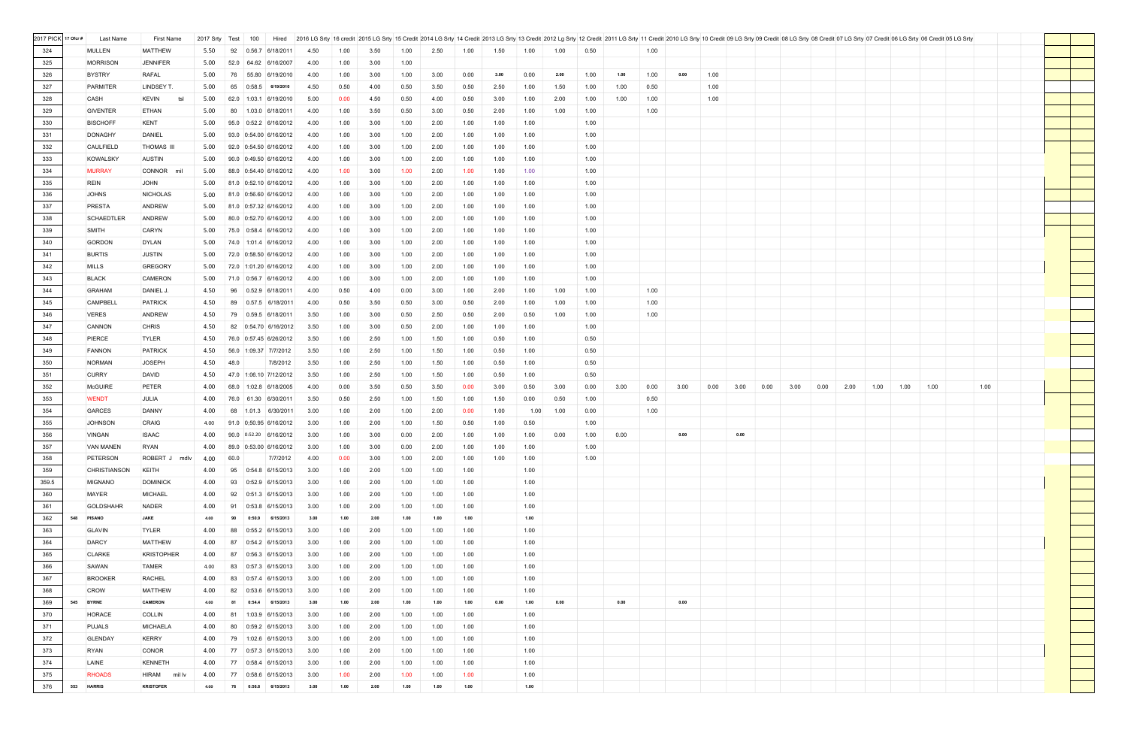| 2017 PICK 17 Ofcr # |            | Last Name                      | <b>First Name</b>                | 2017 Srty Test | 100<br>Hired                                     |              |              |              |              |              |              |      |              |      |      |      |      |      |      |      | 2016 LG Srty   16 credit   2015 LG Srty   15 Credit   2014 LG Srty   14 Credit   2013 LG Srty   13 Credit   2012 Lg Srty   12 Credit   2011 LG Srty   11 Credit   2011 LG Srty   12 Credit   2011 LG Srty   11 Credit   2011 L |      |      |      |      |      |      |  |
|---------------------|------------|--------------------------------|----------------------------------|----------------|--------------------------------------------------|--------------|--------------|--------------|--------------|--------------|--------------|------|--------------|------|------|------|------|------|------|------|--------------------------------------------------------------------------------------------------------------------------------------------------------------------------------------------------------------------------------|------|------|------|------|------|------|--|
| 324                 |            | <b>MULLEN</b>                  | <b>MATTHEW</b>                   | 5.50           | 92<br>$0.56.7$ 6/18/2011                         | 4.50         | 1.00         | 3.50         | 1.00         | 2.50         | 1.00         | 1.50 | 1.00         | 1.00 | 0.50 |      | 1.00 |      |      |      |                                                                                                                                                                                                                                |      |      |      |      |      |      |  |
| 325                 |            | <b>MORRISON</b>                | <b>JENNIFER</b>                  | 5.00           | 52.0<br>64.62 6/16/2007                          | 4.00         | 1.00         | 3.00         | 1.00         |              |              |      |              |      |      |      |      |      |      |      |                                                                                                                                                                                                                                |      |      |      |      |      |      |  |
| 326                 |            | <b>BYSTRY</b>                  | <b>RAFAL</b>                     | 5.00           | 76<br>55.80 6/19/2010                            | 4.00         | 1.00         | 3.00         | 1.00         | 3.00         | 0.00         | 3.00 | 0.00         | 2.00 | 1.00 | 1.00 | 1.00 | 0.00 | 1.00 |      |                                                                                                                                                                                                                                |      |      |      |      |      |      |  |
| 327                 |            | <b>PARMITER</b>                | LINDSEY T.                       | 5.00           | 65<br>0:58.5 6/19/2010                           | 4.50         | 0.50         | 4.00         | 0.50         | 3.50         | 0.50         | 2.50 | 1.00         | 1.50 | 1.00 | 1.00 | 0.50 |      | 1.00 |      |                                                                                                                                                                                                                                |      |      |      |      |      |      |  |
| 328                 |            | <b>CASH</b>                    | <b>KEVIN</b><br>tsl              | 5.00           | 62.0 1:03.1 6/19/2010                            | 5.00         | 0.00         | 4.50         | 0.50         | 4.00         | 0.50         | 3.00 | 1.00         | 2.00 | 1.00 | 1.00 | 1.00 |      | 1.00 |      |                                                                                                                                                                                                                                |      |      |      |      |      |      |  |
| 329                 |            | <b>GIVENTER</b>                | ETHAN                            | 5.00           | 80<br>$1.03.0$ 6/18/2011                         | 4.00         | 1.00         | 3.50         | 0.50         | 3.00         | 0.50         | 2.00 | 1.00         | 1.00 | 1.00 |      | 1.00 |      |      |      |                                                                                                                                                                                                                                |      |      |      |      |      |      |  |
| 330                 |            | <b>BISCHOFF</b>                | <b>KENT</b>                      | 5.00           | 95.0<br>$0:52.2$ 6/16/2012                       | 4.00         | 1.00         | 3.00         | 1.00         | 2.00         | 1.00         | 1.00 | 1.00         |      | 1.00 |      |      |      |      |      |                                                                                                                                                                                                                                |      |      |      |      |      |      |  |
| 331                 |            | <b>DONAGHY</b>                 | <b>DANIEL</b>                    | 5.00           | 93.0 0:54.00 6/16/2012                           | 4.00         | 1.00         | 3.00         | 1.00         | 2.00         | 1.00         | 1.00 | 1.00         |      | 1.00 |      |      |      |      |      |                                                                                                                                                                                                                                |      |      |      |      |      |      |  |
| 332                 |            | <b>CAULFIELD</b>               | <b>THOMAS III</b>                | 5.00           | 92.0 0:54.50 6/16/2012                           | 4.00         | 1.00         | 3.00         | 1.00         | 2.00         | 1.00         | 1.00 | 1.00         |      | 1.00 |      |      |      |      |      |                                                                                                                                                                                                                                |      |      |      |      |      |      |  |
| 333                 |            | <b>KOWALSKY</b>                | <b>AUSTIN</b>                    | 5.00           | 90.0 0:49.50 6/16/2012                           | 4.00         | 1.00         | 3.00         | 1.00         | 2.00         | 1.00         | 1.00 | 1.00         |      | 1.00 |      |      |      |      |      |                                                                                                                                                                                                                                |      |      |      |      |      |      |  |
| 334                 |            | <b>MURRAY</b>                  | CONNOR mil                       | 5.00           | 88.0 0:54.40 6/16/2012                           | 4.00         | 1.00         | 3.00         | 1.00         | 2.00         | 1.00         | 1.00 | 1.00         |      | 1.00 |      |      |      |      |      |                                                                                                                                                                                                                                |      |      |      |      |      |      |  |
| 335                 |            | <b>REIN</b>                    | <b>JOHN</b>                      | 5.00           | 81.0 0:52.10 6/16/2012                           | 4.00         | 1.00         | 3.00         | 1.00         | 2.00         | 1.00         | 1.00 | 1.00         |      | 1.00 |      |      |      |      |      |                                                                                                                                                                                                                                |      |      |      |      |      |      |  |
| 336                 |            | <b>JOHNS</b>                   | <b>NICHOLAS</b>                  | 5.00           | 81.0 0:56.60 6/16/2012                           | 4.00         | 1.00         | 3.00         | 1.00         | 2.00         | 1.00         | 1.00 | 1.00         |      | 1.00 |      |      |      |      |      |                                                                                                                                                                                                                                |      |      |      |      |      |      |  |
| 337                 |            | PRESTA                         | <b>ANDREW</b>                    | 5.00           | 81.0 0:57.32 6/16/2012                           | 4.00         | 1.00         | 3.00         | 1.00         | 2.00         | 1.00         | 1.00 | 1.00         |      | 1.00 |      |      |      |      |      |                                                                                                                                                                                                                                |      |      |      |      |      |      |  |
| 338                 |            | <b>SCHAEDTLER</b>              | <b>ANDREW</b>                    | 5.00           | 80.0 0:52.70 6/16/2012                           | 4.00         | 1.00         | 3.00         | 1.00         | 2.00         | 1.00         | 1.00 | 1.00         |      | 1.00 |      |      |      |      |      |                                                                                                                                                                                                                                |      |      |      |      |      |      |  |
| 339                 |            | <b>SMITH</b>                   | <b>CARYN</b>                     | 5.00           | 75.0 0:58.4 6/16/2012                            | 4.00         | 1.00         | 3.00         | 1.00         | 2.00         | 1.00         | 1.00 | 1.00         |      | 1.00 |      |      |      |      |      |                                                                                                                                                                                                                                |      |      |      |      |      |      |  |
| 340                 |            | <b>GORDON</b>                  | <b>DYLAN</b>                     | 5.00           | 74.0 1:01.4 6/16/2012                            | 4.00         | 1.00         | 3.00         | 1.00         | 2.00         | 1.00         | 1.00 | 1.00         |      | 1.00 |      |      |      |      |      |                                                                                                                                                                                                                                |      |      |      |      |      |      |  |
| 341                 |            | <b>BURTIS</b>                  | <b>JUSTIN</b>                    | 5.00           | 72.0 0:58.50 6/16/2012                           | 4.00         | 1.00         | 3.00         | 1.00         | 2.00         | 1.00         | 1.00 | 1.00         |      | 1.00 |      |      |      |      |      |                                                                                                                                                                                                                                |      |      |      |      |      |      |  |
| 342                 |            | <b>MILLS</b>                   | <b>GREGORY</b>                   | 5.00           | 72.0 1:01.20 6/16/2012                           | 4.00         | 1.00         | 3.00         | 1.00         | 2.00         | 1.00         | 1.00 | 1.00         |      | 1.00 |      |      |      |      |      |                                                                                                                                                                                                                                |      |      |      |      |      |      |  |
| 343                 |            | <b>BLACK</b>                   | <b>CAMERON</b>                   | 5.00           | $0:56.7$ 6/16/2012<br>71.0                       | 4.00         | 1.00         | 3.00         | 1.00         | 2.00         | 1.00         | 1.00 | 1.00         |      | 1.00 |      |      |      |      |      |                                                                                                                                                                                                                                |      |      |      |      |      |      |  |
| 344                 |            | <b>GRAHAM</b>                  | DANIEL J.                        | 4.50           | 96<br>$0.52.9$ 6/18/2011                         | 4.00         | 0.50         | 4.00         | 0.00         | 3.00         | 1.00         | 2.00 | 1.00         | 1.00 | 1.00 |      | 1.00 |      |      |      |                                                                                                                                                                                                                                |      |      |      |      |      |      |  |
| 345                 |            | <b>CAMPBELL</b>                | <b>PATRICK</b>                   | 4.50           | 89<br>$0.57.5$ 6/18/2011                         | 4.00         | 0.50         | 3.50         | 0.50         | 3.00         | 0.50         | 2.00 | 1.00         | 1.00 | 1.00 |      | 1.00 |      |      |      |                                                                                                                                                                                                                                |      |      |      |      |      |      |  |
| 346                 |            | <b>VERES</b>                   | <b>ANDREW</b>                    | 4.50           | 79 0.59.5 6/18/2011                              | 3.50         | 1.00         | 3.00         | 0.50         | 2.50         | 0.50         | 2.00 | 0.50         | 1.00 | 1.00 |      | 1.00 |      |      |      |                                                                                                                                                                                                                                |      |      |      |      |      |      |  |
| 347                 |            | <b>CANNON</b>                  | <b>CHRIS</b>                     | 4.50           | 82 0:54.70 6/16/2012                             | 3.50         | 1.00         | 3.00         | 0.50         | 2.00         | 1.00         | 1.00 | 1.00         |      | 1.00 |      |      |      |      |      |                                                                                                                                                                                                                                |      |      |      |      |      |      |  |
| 348                 |            | PIERCE                         | <b>TYLER</b>                     | 4.50           | 76.0 0:57.45 6/26/2012                           | 3.50         | 1.00         | 2.50         | 1.00         | 1.50         | 1.00         | 0.50 | 1.00         |      | 0.50 |      |      |      |      |      |                                                                                                                                                                                                                                |      |      |      |      |      |      |  |
| 349                 |            | <b>FANNON</b>                  | PATRICK                          | 4.50           | 56.0   1:09.37   7/7/2012                        | 3.50         | 1.00         | 2.50         | 1.00         | 1.50         | 1.00         | 0.50 | 1.00         |      | 0.50 |      |      |      |      |      |                                                                                                                                                                                                                                |      |      |      |      |      |      |  |
| 350                 |            | <b>NORMAN</b>                  | <b>JOSEPH</b>                    | 4.50           | 48.0<br>7/8/2012                                 | 3.50         | 1.00         | 2.50         | 1.00         | 1.50         | 1.00         | 0.50 | 1.00         |      | 0.50 |      |      |      |      |      |                                                                                                                                                                                                                                |      |      |      |      |      |      |  |
|                     |            |                                |                                  |                |                                                  |              |              |              |              |              |              |      |              |      |      |      |      |      |      |      |                                                                                                                                                                                                                                |      |      |      |      |      |      |  |
| 351                 |            | <b>CURRY</b>                   | <b>DAVID</b>                     | 4.50           | 47.0 1:06.10 7/12/2012                           | 3.50         | 1.00         | 2.50         | 1.00         | 1.50         | 1.00         | 0.50 | 1.00         |      | 0.50 |      |      |      |      |      |                                                                                                                                                                                                                                |      |      |      |      |      |      |  |
| 352                 |            | <b>McGUIRE</b>                 | PETER                            | 4.00           | 68.0<br>$1:02.8$ 6/18/2005                       | 4.00         | 0.00         | 3.50         | 0.50         | 3.50         | 0.00         | 3.00 | 0.50         | 3.00 | 0.00 | 3.00 | 0.00 | 3.00 | 0.00 | 3.00 | 0.00<br>3.00                                                                                                                                                                                                                   | 0.00 | 2.00 | 1.00 | 1.00 | 1.00 | 1.00 |  |
| 353                 |            | <b>WENDT</b>                   | JULIA                            | 4.00           | 76.0 61.30 6/30/2011                             | 3.50         | 0.50         | 2.50         | 1.00         | 1.50         | 1.00         | 1.50 | 0.00         | 0.50 | 1.00 |      | 0.50 |      |      |      |                                                                                                                                                                                                                                |      |      |      |      |      |      |  |
| 354                 |            | <b>GARCES</b>                  | <b>DANNY</b>                     | 4.00           | 68<br>1.01.3<br>6/30/2011                        | 3.00         | 1.00         | 2.00         | 1.00         | 2.00         | 0.00         | 1.00 | 1.00         | 1.00 | 0.00 |      | 1.00 |      |      |      |                                                                                                                                                                                                                                |      |      |      |      |      |      |  |
| 355                 |            | <b>JOHNSON</b>                 | CRAIG                            | 4.00           | 91.0 0;50.95 6/16/2012                           | 3.00         | 1.00         | 2.00         | 1.00         | 1.50         | 0.50         | 1.00 | 0.50         |      | 1.00 |      |      |      |      |      |                                                                                                                                                                                                                                |      |      |      |      |      |      |  |
| 356                 |            | <b>VINGAN</b>                  | <b>ISAAC</b>                     | 4.00           | 90.0 0:52.20 6/16/2012                           | 3.00         | 1.00         | 3.00         | 0.00         | 2.00         | 1.00         | 1.00 | 1.00         | 0.00 | 1.00 | 0.00 |      | 0.00 |      | 0.00 |                                                                                                                                                                                                                                |      |      |      |      |      |      |  |
| 357                 |            | <b>VAN MANEN</b>               | RYAN                             | 4.00           | 89.0 0:53.00 6/16/2012                           | 3.00         | 1.00         | 3.00         | 0.00         | 2.00         | 1.00         | 1.00 | 1.00         |      | 1.00 |      |      |      |      |      |                                                                                                                                                                                                                                |      |      |      |      |      |      |  |
| 358                 |            | PETERSON                       | ROBERT J mdlv                    | 4.00           | 7/7/2012<br>60.0                                 | 4.00         | 0.00         | 3.00         | 1.00         | 2.00         | 1.00         | 1.00 | 1.00         |      | 1.00 |      |      |      |      |      |                                                                                                                                                                                                                                |      |      |      |      |      |      |  |
| 359                 |            | <b>CHRISTIANSON</b>            | KEITH                            | 4.00           | 95 0:54.8 6/15/2013                              | 3.00         | 1.00         | 2.00         | 1.00         | 1.00         | 1.00         |      | 1.00         |      |      |      |      |      |      |      |                                                                                                                                                                                                                                |      |      |      |      |      |      |  |
| 359.5               |            | <b>MIGNANO</b>                 | <b>DOMINICK</b>                  | 4.00           | 93<br>$0:52.9$ 6/15/2013                         | 3.00         | 1.00         | 2.00         | 1.00         | 1.00         | 1.00         |      | 1.00         |      |      |      |      |      |      |      |                                                                                                                                                                                                                                |      |      |      |      |      |      |  |
| 360                 |            | <b>MAYER</b>                   | <b>MICHAEL</b>                   | 4.00           | 92<br>$0:51.3$ 6/15/2013                         | 3.00         | 1.00         | 2.00         | 1.00         | 1.00         | 1.00         |      | 1.00         |      |      |      |      |      |      |      |                                                                                                                                                                                                                                |      |      |      |      |      |      |  |
| 361                 |            | <b>GOLDSHAHR</b>               | <b>NADER</b>                     | 4.00           | $0:53.8$ 6/15/2013<br>91                         | 3.00         | 1.00         | 2.00         | 1.00         | 1.00         | 1.00         |      | 1.00         |      |      |      |      |      |      |      |                                                                                                                                                                                                                                |      |      |      |      |      |      |  |
| 362                 | 548 PISANO |                                | <b>JAKE</b>                      | 4.00           | 0:50.9 6/15/2013<br>90                           | 3.00         | 1.00         | 2.00         | 1.00         | 1.00         | 1.00         |      | 1.00         |      |      |      |      |      |      |      |                                                                                                                                                                                                                                |      |      |      |      |      |      |  |
| 363                 |            | <b>GLAVIN</b>                  | <b>TYLER</b>                     | 4.00           | 88<br>0:55.2 6/15/2013                           | 3.00         | 1.00         | 2.00         | 1.00         | 1.00         | 1.00         |      | 1.00         |      |      |      |      |      |      |      |                                                                                                                                                                                                                                |      |      |      |      |      |      |  |
| 364                 |            | <b>DARCY</b>                   | <b>MATTHEW</b>                   | 4.00           | 0:54.2 6/15/2013<br>87                           | 3.00         | 1.00         | 2.00         | 1.00         | 1.00         | 1.00         |      | 1.00         |      |      |      |      |      |      |      |                                                                                                                                                                                                                                |      |      |      |      |      |      |  |
| 365                 |            | <b>CLARKE</b>                  | <b>KRISTOPHER</b>                | 4.00           | 87<br>$0:56.3$ 6/15/2013                         | 3.00         | 1.00         | 2.00         | 1.00         | 1.00         | 1.00         |      | 1.00         |      |      |      |      |      |      |      |                                                                                                                                                                                                                                |      |      |      |      |      |      |  |
| 366                 |            | SAWAN                          | TAMER                            | 4.00           | 83<br>$0:57.3$ 6/15/2013                         | 3.00         | 1.00         | 2.00         | 1.00         | 1.00         | 1.00         |      | 1.00         |      |      |      |      |      |      |      |                                                                                                                                                                                                                                |      |      |      |      |      |      |  |
| 367                 |            | <b>BROOKER</b>                 | <b>RACHEL</b>                    | 4.00           | 83 0:57.4 6/15/2013                              | 3.00         | 1.00         | 2.00         | 1.00         | 1.00         | 1.00         |      | 1.00         |      |      |      |      |      |      |      |                                                                                                                                                                                                                                |      |      |      |      |      |      |  |
| 368                 |            | <b>CROW</b>                    | <b>MATTHEW</b>                   | 4.00           | 82 0:53.6 6/15/2013                              | 3.00         | 1.00         | 2.00         | 1.00         | 1.00         | 1.00         |      | 1.00         |      |      |      |      |      |      |      |                                                                                                                                                                                                                                |      |      |      |      |      |      |  |
| 369                 | 545 BYRNE  |                                | <b>CAMERON</b>                   | 4.00           | 0:54.4 6/15/2013<br>81                           | 3.00         | 1.00         | 2.00         | 1.00         | 1.00         | 1.00         | 0.00 | 1.00         | 0.00 |      | 0.00 |      | 0.00 |      |      |                                                                                                                                                                                                                                |      |      |      |      |      |      |  |
| 370                 |            | HORACE                         | <b>COLLIN</b>                    | 4.00           | 81<br>$1:03.9$ 6/15/2013                         | 3.00         | 1.00         | 2.00         | 1.00         | 1.00         | 1.00         |      | 1.00         |      |      |      |      |      |      |      |                                                                                                                                                                                                                                |      |      |      |      |      |      |  |
| 371                 |            | <b>PUJALS</b>                  | <b>MICHAELA</b>                  | 4.00           | 80<br>0:59.2 6/15/2013                           | 3.00         | 1.00         | 2.00         | 1.00         | 1.00         | 1.00         |      | 1.00         |      |      |      |      |      |      |      |                                                                                                                                                                                                                                |      |      |      |      |      |      |  |
| 372                 |            | <b>GLENDAY</b>                 | <b>KERRY</b>                     | 4.00           | 79<br>1:02.6 6/15/2013                           | 3.00         | 1.00         | 2.00         | 1.00         | 1.00         | 1.00         |      | 1.00         |      |      |      |      |      |      |      |                                                                                                                                                                                                                                |      |      |      |      |      |      |  |
| 373                 |            | <b>RYAN</b>                    | CONOR                            | 4.00           | 77<br>$0:57.3$ 6/15/2013                         | 3.00         | 1.00         | 2.00         | 1.00         | 1.00         | 1.00         |      | 1.00         |      |      |      |      |      |      |      |                                                                                                                                                                                                                                |      |      |      |      |      |      |  |
| 374                 |            | LAINE                          | <b>KENNETH</b>                   | 4.00           | 77 0:58.4 6/15/2013                              | 3.00         | 1.00         | 2.00         | 1.00         | 1.00         | 1.00         |      | 1.00         |      |      |      |      |      |      |      |                                                                                                                                                                                                                                |      |      |      |      |      |      |  |
| 375<br>376          | 553        | <b>RHOADS</b><br><b>HARRIS</b> | HIRAM mil lv<br><b>KRISTOFER</b> | 4.00<br>4.00   | 77<br>0:58.6 6/15/2013<br>0:56.8 6/15/2013<br>76 | 3.00<br>3.00 | 1.00<br>1.00 | 2.00<br>2.00 | 1.00<br>1.00 | 1.00<br>1.00 | 1.00<br>1.00 |      | 1.00<br>1.00 |      |      |      |      |      |      |      |                                                                                                                                                                                                                                |      |      |      |      |      |      |  |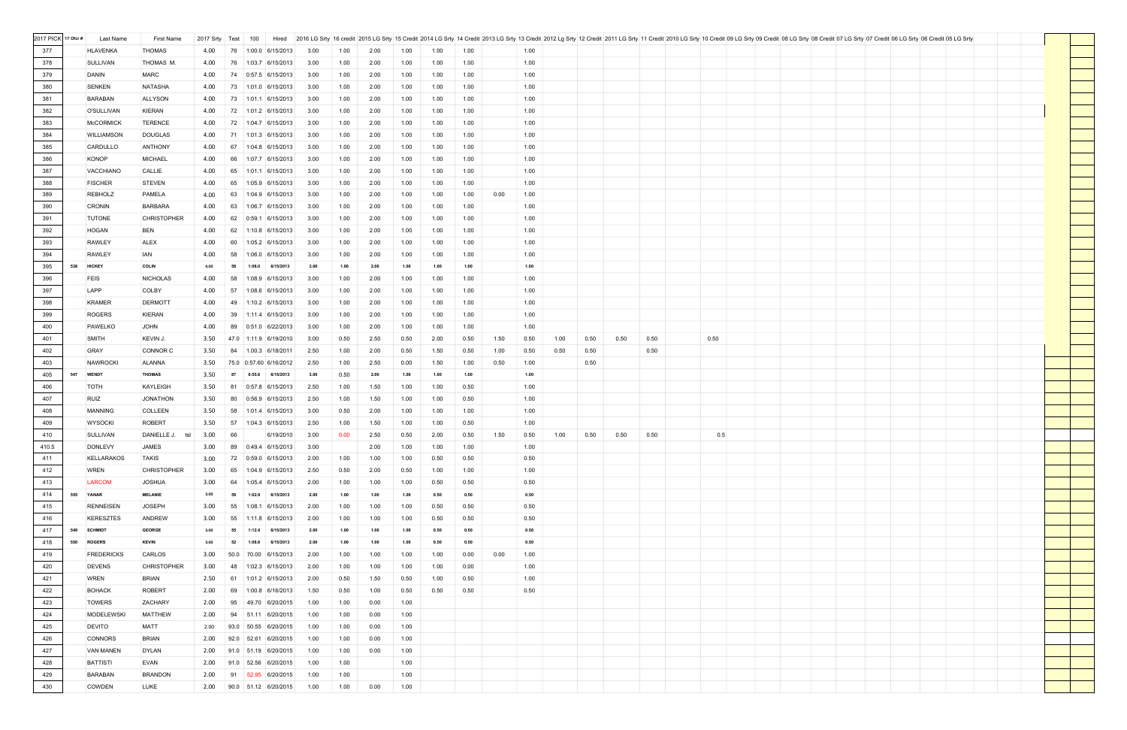| 2017 PICK 17 Ofcr # | Last Name           | First Name         | 2017 Srty Test |      | Hired<br>100              |      |      |      |      |      |      |      |      |      |      |      |      |      | 2016 LG Srty 16 credit 2015 LG Srty 15 Credit 2014 LG Srty 14 Credit 2013 LG Srty 13 Credit 2012 Lg Srty 12 Credit 2011 LG Srty 11 Credit 2011 LG Srty 11 Credit 2011 LG Srty 11 Credit 2011 LG Srty 11 Credit 2011 LG Srty 11 |  |  |  |
|---------------------|---------------------|--------------------|----------------|------|---------------------------|------|------|------|------|------|------|------|------|------|------|------|------|------|--------------------------------------------------------------------------------------------------------------------------------------------------------------------------------------------------------------------------------|--|--|--|
| 377                 | <b>HLAVENKA</b>     | <b>THOMAS</b>      | 4.00           | 76   | $1:00.0$ 6/15/2013        | 3.00 | 1.00 | 2.00 | 1.00 | 1.00 | 1.00 |      | 1.00 |      |      |      |      |      |                                                                                                                                                                                                                                |  |  |  |
|                     |                     |                    |                |      |                           |      |      |      |      |      |      |      |      |      |      |      |      |      |                                                                                                                                                                                                                                |  |  |  |
| 378                 | <b>SULLIVAN</b>     | THOMAS M.          | 4.00           | 76   | 1:03.7 6/15/2013          | 3.00 | 1.00 | 2.00 | 1.00 | 1.00 | 1.00 |      | 1.00 |      |      |      |      |      |                                                                                                                                                                                                                                |  |  |  |
| 379                 | DANIN               | <b>MARC</b>        | 4.00           | 74   | 0:57.5 6/15/2013          | 3.00 | 1.00 | 2.00 | 1.00 | 1.00 | 1.00 |      | 1.00 |      |      |      |      |      |                                                                                                                                                                                                                                |  |  |  |
| 380                 | SENKEN              | <b>NATASHA</b>     | 4.00           | 73   | $1:01.0$ 6/15/2013        | 3.00 | 1.00 | 2.00 | 1.00 | 1.00 | 1.00 |      | 1.00 |      |      |      |      |      |                                                                                                                                                                                                                                |  |  |  |
| 381                 | <b>BARABAN</b>      | <b>ALLYSON</b>     | 4.00           | 73   | 1:01.1 6/15/2013          | 3.00 | 1.00 | 2.00 | 1.00 | 1.00 | 1.00 |      | 1.00 |      |      |      |      |      |                                                                                                                                                                                                                                |  |  |  |
| 382                 | O'SULLIVAN          | <b>KIERAN</b>      | 4.00           | 72   | 1:01.2 6/15/2013          | 3.00 | 1.00 | 2.00 | 1.00 | 1.00 | 1.00 |      | 1.00 |      |      |      |      |      |                                                                                                                                                                                                                                |  |  |  |
| 383                 | <b>McCORMICK</b>    | <b>TERENCE</b>     | 4.00           | 72   | 1:04.7 6/15/2013          | 3.00 | 1.00 | 2.00 | 1.00 | 1.00 | 1.00 |      | 1.00 |      |      |      |      |      |                                                                                                                                                                                                                                |  |  |  |
| 384                 | <b>WILLIAMSON</b>   | <b>DOUGLAS</b>     | 4.00           | 71   | $1:01.3$ 6/15/2013        | 3.00 | 1.00 | 2.00 | 1.00 | 1.00 | 1.00 |      | 1.00 |      |      |      |      |      |                                                                                                                                                                                                                                |  |  |  |
|                     |                     |                    |                |      |                           |      |      |      |      |      |      |      |      |      |      |      |      |      |                                                                                                                                                                                                                                |  |  |  |
| 385                 | CARDULLO            | <b>ANTHONY</b>     | 4.00           | 67   | 1:04.8 6/15/2013          | 3.00 | 1.00 | 2.00 | 1.00 | 1.00 | 1.00 |      | 1.00 |      |      |      |      |      |                                                                                                                                                                                                                                |  |  |  |
| 386                 | KONOP               | <b>MICHAEL</b>     | 4.00           | 66   | 1:07.7 6/15/2013          | 3.00 | 1.00 | 2.00 | 1.00 | 1.00 | 1.00 |      | 1.00 |      |      |      |      |      |                                                                                                                                                                                                                                |  |  |  |
| 387                 | <b>VACCHIANO</b>    | CALLIE             | 4.00           | 65   | $1:01.1$ 6/15/2013        | 3.00 | 1.00 | 2.00 | 1.00 | 1.00 | 1.00 |      | 1.00 |      |      |      |      |      |                                                                                                                                                                                                                                |  |  |  |
| 388                 | <b>FISCHER</b>      | <b>STEVEN</b>      | 4.00           | 65   | 1:05.9 6/15/2013          | 3.00 | 1.00 | 2.00 | 1.00 | 1.00 | 1.00 |      | 1.00 |      |      |      |      |      |                                                                                                                                                                                                                                |  |  |  |
| 389                 | <b>REBHOLZ</b>      | <b>PAMELA</b>      | 4.00           | 63   | 1:04.9 6/15/2013          | 3.00 | 1.00 | 2.00 | 1.00 | 1.00 | 1.00 | 0.00 | 1.00 |      |      |      |      |      |                                                                                                                                                                                                                                |  |  |  |
| 390                 | <b>CRONIN</b>       | <b>BARBARA</b>     | 4.00           | 63   | 1:06.7 6/15/2013          | 3.00 | 1.00 | 2.00 | 1.00 | 1.00 | 1.00 |      | 1.00 |      |      |      |      |      |                                                                                                                                                                                                                                |  |  |  |
| 391                 | <b>TUTONE</b>       | <b>CHRISTOPHER</b> | 4.00           | 62   | $0:59.1$ 6/15/2013        | 3.00 | 1.00 | 2.00 | 1.00 | 1.00 | 1.00 |      | 1.00 |      |      |      |      |      |                                                                                                                                                                                                                                |  |  |  |
| 392                 | HOGAN               | <b>BEN</b>         | 4.00           | 62   | 1:10.8 6/15/2013          | 3.00 | 1.00 | 2.00 | 1.00 | 1.00 | 1.00 |      | 1.00 |      |      |      |      |      |                                                                                                                                                                                                                                |  |  |  |
|                     |                     |                    |                |      | 1:05.2 6/15/2013          |      |      |      |      |      |      |      |      |      |      |      |      |      |                                                                                                                                                                                                                                |  |  |  |
| 393                 | <b>RAWLEY</b>       | <b>ALEX</b>        | 4.00           | 60   |                           | 3.00 | 1.00 | 2.00 | 1.00 | 1.00 | 1.00 |      | 1.00 |      |      |      |      |      |                                                                                                                                                                                                                                |  |  |  |
| 394                 | <b>RAWLEY</b>       | <b>IAN</b>         | 4.00           | 58   | 1:06.0 6/15/2013          | 3.00 | 1.00 | 2.00 | 1.00 | 1.00 | 1.00 |      | 1.00 |      |      |      |      |      |                                                                                                                                                                                                                                |  |  |  |
| 395                 | 538 HICKEY          | <b>COLIN</b>       | 4.00           | 58   | 1:08.0<br>6/15/2013       | 3.00 | 1.00 | 2.00 | 1.00 | 1.00 | 1.00 |      | 1.00 |      |      |      |      |      |                                                                                                                                                                                                                                |  |  |  |
| 396                 | <b>FEIS</b>         | <b>NICHOLAS</b>    | 4.00           | 58   | 1:08.9 6/15/2013          | 3.00 | 1.00 | 2.00 | 1.00 | 1.00 | 1.00 |      | 1.00 |      |      |      |      |      |                                                                                                                                                                                                                                |  |  |  |
| 397                 | LAPP                | <b>COLBY</b>       | 4.00           | 57   | 1:08.6 6/15/2013          | 3.00 | 1.00 | 2.00 | 1.00 | 1.00 | 1.00 |      | 1.00 |      |      |      |      |      |                                                                                                                                                                                                                                |  |  |  |
| 398                 | <b>KRAMER</b>       | <b>DERMOTT</b>     | 4.00           | 49   | $1:10.2$ 6/15/2013        | 3.00 | 1.00 | 2.00 | 1.00 | 1.00 | 1.00 |      | 1.00 |      |      |      |      |      |                                                                                                                                                                                                                                |  |  |  |
| 399                 | <b>ROGERS</b>       | <b>KIERAN</b>      | 4.00           | 39   | $1:11.4$ 6/15/2013        | 3.00 | 1.00 | 2.00 | 1.00 | 1.00 | 1.00 |      | 1.00 |      |      |      |      |      |                                                                                                                                                                                                                                |  |  |  |
| 400                 | PAWELKO             | <b>JOHN</b>        | 4.00           | 89   | 0:51.0 6/22/2013          | 3.00 | 1.00 | 2.00 | 1.00 | 1.00 | 1.00 |      | 1.00 |      |      |      |      |      |                                                                                                                                                                                                                                |  |  |  |
| 401                 | <b>SMITH</b>        | KEVIN J.           | 3.50           |      | 47.0 1:11.9 6/19/2010     | 3.00 | 0.50 | 2.50 | 0.50 | 2.00 | 0.50 | 1.50 | 0.50 | 1.00 | 0.50 | 0.50 | 0.50 | 0.50 |                                                                                                                                                                                                                                |  |  |  |
|                     |                     |                    |                |      |                           |      |      |      |      |      |      |      |      |      |      |      |      |      |                                                                                                                                                                                                                                |  |  |  |
| 402                 | <b>GRAY</b>         | <b>CONNOR C</b>    | 3.50           | 84   | $1.00.3$ 6/18/2011        | 2.50 | 1.00 | 2.00 | 0.50 | 1.50 | 0.50 | 1.00 | 0.50 | 0.50 | 0.50 |      | 0.50 |      |                                                                                                                                                                                                                                |  |  |  |
| 403                 | <b>NAWROCKI</b>     | ALANNA             | 3.50           |      | 75.0 0:57.60 6/16/2012    | 2.50 | 1.00 | 2.50 | 0.00 | 1.50 | 1.00 | 0.50 | 1.00 |      | 0.50 |      |      |      |                                                                                                                                                                                                                                |  |  |  |
| 405                 | 547<br><b>WENDT</b> | <b>THOMAS</b>      | 3.50           | 87   | 0:55.6 6/15/2013          | 3.00 | 0.50 | 2.00 | 1.00 | 1.00 | 1.00 |      | 1.00 |      |      |      |      |      |                                                                                                                                                                                                                                |  |  |  |
| 406                 | <b>TOTH</b>         | KAYLEIGH           | 3.50           | 81   | $0:57.8$ 6/15/2013        | 2.50 | 1.00 | 1.50 | 1.00 | 1.00 | 0.50 |      | 1.00 |      |      |      |      |      |                                                                                                                                                                                                                                |  |  |  |
| 407                 | RUIZ                | <b>JONATHON</b>    | 3.50           | 80   | 0:56.9 6/15/2013          | 2.50 | 1.00 | 1.50 | 1.00 | 1.00 | 0.50 |      | 1.00 |      |      |      |      |      |                                                                                                                                                                                                                                |  |  |  |
| 408                 | <b>MANNING</b>      | COLLEEN            | 3.50           | 58   | 1:01.4 6/15/2013          | 3.00 | 0.50 | 2.00 | 1.00 | 1.00 | 1.00 |      | 1.00 |      |      |      |      |      |                                                                                                                                                                                                                                |  |  |  |
| 409                 | <b>WYSOCKI</b>      | <b>ROBERT</b>      | 3.50           | 57   | 1:04.3 6/15/2013          | 2.50 | 1.00 | 1.50 | 1.00 | 1.00 | 0.50 |      | 1.00 |      |      |      |      |      |                                                                                                                                                                                                                                |  |  |  |
| 410                 | <b>SULLIVAN</b>     | DANIELLE J. tsl    | 3.00           | 66   | 6/19/2010                 | 3.00 | 0.00 | 2.50 | 0.50 | 2.00 | 0.50 | 1.50 | 0.50 | 1.00 | 0.50 | 0.50 | 0.50 | 0.5  |                                                                                                                                                                                                                                |  |  |  |
| 410.5               | <b>DONLEVY</b>      | JAMES              | 3.00           | 89   | 0:49.4 6/15/2013          | 3.00 |      | 2.00 | 1.00 | 1.00 | 1.00 |      | 1.00 |      |      |      |      |      |                                                                                                                                                                                                                                |  |  |  |
|                     |                     |                    |                |      |                           |      |      |      |      |      |      |      |      |      |      |      |      |      |                                                                                                                                                                                                                                |  |  |  |
| 411                 | <b>KELLARAKOS</b>   | <b>TAKIS</b>       | 3.00           |      | 72 0:59.0 6/15/2013       | 2.00 | 1.00 | 1.00 | 1.00 | 0.50 | 0.50 |      | 0.50 |      |      |      |      |      |                                                                                                                                                                                                                                |  |  |  |
| 412                 | <b>WREN</b>         | <b>CHRISTOPHER</b> | 3.00           | 65   | 1:04.9 6/15/2013          | 2.50 | 0.50 | 2.00 | 0.50 | 1.00 | 1.00 |      | 1.00 |      |      |      |      |      |                                                                                                                                                                                                                                |  |  |  |
| 413                 | <b>LARCOM</b>       | <b>JOSHUA</b>      | 3.00           | 64   | 1:05.4 6/15/2013          | 2.00 | 1.00 | 1.00 | 1.00 | 0.50 | 0.50 |      | 0.50 |      |      |      |      |      |                                                                                                                                                                                                                                |  |  |  |
| 414                 | 555 YANAR           | <b>MELANIE</b>     | 3.00           | -59  | 1:02.9 6/15/2013          | 2.00 | 1.00 | 1.00 | 1.00 | 0.50 | 0.50 |      | 0.50 |      |      |      |      |      |                                                                                                                                                                                                                                |  |  |  |
| 415                 | <b>RENNEISEN</b>    | <b>JOSEPH</b>      | 3.00           | 55   | 1:08.1 6/15/2013          | 2.00 | 1.00 | 1.00 | 1.00 | 0.50 | 0.50 |      | 0.50 |      |      |      |      |      |                                                                                                                                                                                                                                |  |  |  |
| 416                 | <b>KERESZTES</b>    | <b>ANDREW</b>      | 3.00           | 55   | 1:11.8 6/15/2013          | 2.00 | 1.00 | 1.00 | 1.00 | 0.50 | 0.50 |      | 0.50 |      |      |      |      |      |                                                                                                                                                                                                                                |  |  |  |
| 417                 | 549 SCHMIDT         | <b>GEORGE</b>      | 3.00           | 55   | 1:12.4 6/15/2013          | 2.00 | 1.00 | 1.00 | 1.00 | 0.50 | 0.50 |      | 0.50 |      |      |      |      |      |                                                                                                                                                                                                                                |  |  |  |
| 418                 | 550 ROGERS          | <b>KEVIN</b>       | 3.00           | 52   | 1:08.8 6/15/2013          | 2.00 | 1.00 | 1.00 | 1.00 | 0.50 | 0.50 |      | 0.50 |      |      |      |      |      |                                                                                                                                                                                                                                |  |  |  |
| 419                 | <b>FREDERICKS</b>   | CARLOS             | 3.00           | 50.0 | 70.00 6/15/2013           | 2.00 | 1.00 | 1.00 | 1.00 | 1.00 | 0.00 | 0.00 | 1.00 |      |      |      |      |      |                                                                                                                                                                                                                                |  |  |  |
|                     |                     |                    |                |      |                           |      |      |      |      |      |      |      |      |      |      |      |      |      |                                                                                                                                                                                                                                |  |  |  |
| 420                 | <b>DEVENS</b>       | <b>CHRISTOPHER</b> | 3.00           | 48   | 1:02.3 6/15/2013          | 2.00 | 1.00 | 1.00 | 1.00 | 1.00 | 0.00 |      | 1.00 |      |      |      |      |      |                                                                                                                                                                                                                                |  |  |  |
| 421                 | <b>WREN</b>         | <b>BRIAN</b>       | 2.50           |      | 61  1:01.2  6/15/2013     | 2.00 | 0.50 | 1.50 | 0.50 | 1.00 | 0.50 |      | 1.00 |      |      |      |      |      |                                                                                                                                                                                                                                |  |  |  |
| 422                 | <b>BOHACK</b>       | <b>ROBERT</b>      | 2.00           | 69   | 1:00.8 6/16/2013          | 1.50 | 0.50 | 1.00 | 0.50 | 0.50 | 0.50 |      | 0.50 |      |      |      |      |      |                                                                                                                                                                                                                                |  |  |  |
| 423                 | <b>TOWERS</b>       | ZACHARY            | 2.00           | 95   | 49.70 6/20/2015           | 1.00 | 1.00 | 0.00 | 1.00 |      |      |      |      |      |      |      |      |      |                                                                                                                                                                                                                                |  |  |  |
| 424                 | <b>MODELEWSKI</b>   | <b>MATTHEW</b>     | 2.00           |      | 94 51.11 6/20/2015        | 1.00 | 1.00 | 0.00 | 1.00 |      |      |      |      |      |      |      |      |      |                                                                                                                                                                                                                                |  |  |  |
| 425                 | <b>DEVITO</b>       | <b>MATT</b>        | 2.00           | 93.0 | 50.55 6/20/2015           | 1.00 | 1.00 | 0.00 | 1.00 |      |      |      |      |      |      |      |      |      |                                                                                                                                                                                                                                |  |  |  |
| 426                 | <b>CONNORS</b>      | <b>BRIAN</b>       | 2.00           | 92.0 | 52.61 6/20/2015           | 1.00 | 1.00 | 0.00 | 1.00 |      |      |      |      |      |      |      |      |      |                                                                                                                                                                                                                                |  |  |  |
| 427                 | <b>VAN MANEN</b>    | <b>DYLAN</b>       | 2.00           |      | 91.0 51.19 6/20/2015      | 1.00 | 1.00 | 0.00 | 1.00 |      |      |      |      |      |      |      |      |      |                                                                                                                                                                                                                                |  |  |  |
| 428                 | <b>BATTISTI</b>     | <b>EVAN</b>        |                |      | 2.00 91.0 52.56 6/20/2015 | 1.00 | 1.00 |      | 1.00 |      |      |      |      |      |      |      |      |      |                                                                                                                                                                                                                                |  |  |  |
|                     |                     |                    |                |      |                           |      |      |      |      |      |      |      |      |      |      |      |      |      |                                                                                                                                                                                                                                |  |  |  |
| 429                 | <b>BARABAN</b>      | <b>BRANDON</b>     | 2.00           |      | 91   52.95   6/20/2015    | 1.00 | 1.00 |      | 1.00 |      |      |      |      |      |      |      |      |      |                                                                                                                                                                                                                                |  |  |  |
| 430                 | <b>COWDEN</b>       | LUKE               |                |      | 2.00 90.0 51.12 6/20/2015 | 1.00 | 1.00 | 0.00 | 1.00 |      |      |      |      |      |      |      |      |      |                                                                                                                                                                                                                                |  |  |  |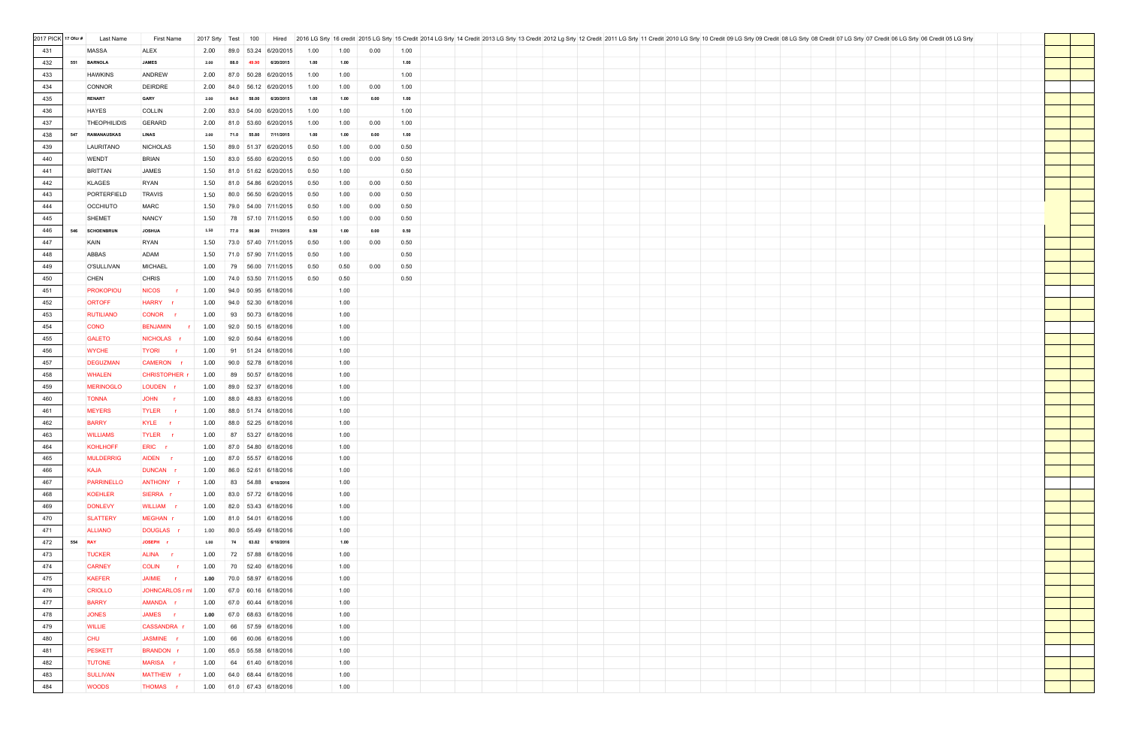| 2017 PICK 17 Ofcr # | Last Name                 | First Name           | 2017 Srty | Test<br>100   | Hired                     |      |      |      |      |  |  |  |  |  | 2016 LG Srty 16 credit 2015 LG Srty 15 Credit 2014 LG Srty 14 Credit 2013 LG Srty 13 Credit 2012 Lg Srty 12 Credit 2011 LG Srty 11 Credit 2011 LG Srty 11 Credit 2011 LG Srty 11 Credit 2011 LG Srty 11 Credit 2011 LG Srty 11 |  |  |
|---------------------|---------------------------|----------------------|-----------|---------------|---------------------------|------|------|------|------|--|--|--|--|--|--------------------------------------------------------------------------------------------------------------------------------------------------------------------------------------------------------------------------------|--|--|
| 431                 | <b>MASSA</b>              | ALEX                 | 2.00      | 89.0<br>53.24 | 6/20/2015                 | 1.00 | 1.00 | 0.00 | 1.00 |  |  |  |  |  |                                                                                                                                                                                                                                |  |  |
| 432                 | 551<br><b>BARNOLA</b>     | <b>JAMES</b>         | 2.00      | 88.0<br>49.90 | 6/20/2015                 | 1.00 | 1.00 |      | 1.00 |  |  |  |  |  |                                                                                                                                                                                                                                |  |  |
|                     |                           |                      |           |               |                           |      |      |      | 1.00 |  |  |  |  |  |                                                                                                                                                                                                                                |  |  |
| 433                 | <b>HAWKINS</b>            | <b>ANDREW</b>        | 2.00      | 87.0          | 50.28 6/20/2015           | 1.00 | 1.00 |      |      |  |  |  |  |  |                                                                                                                                                                                                                                |  |  |
| 434                 | <b>CONNOR</b>             | <b>DEIRDRE</b>       | 2.00      | 84.0          | 56.12 6/20/2015           | 1.00 | 1.00 | 0.00 | 1.00 |  |  |  |  |  |                                                                                                                                                                                                                                |  |  |
| 435                 | <b>RENART</b>             | GARY                 | 2.00      | 84.0<br>58.00 | 6/20/2015                 | 1.00 | 1.00 | 0.00 | 1.00 |  |  |  |  |  |                                                                                                                                                                                                                                |  |  |
| 436                 | <b>HAYES</b>              | <b>COLLIN</b>        | 2.00      | 83.0          | 54.00 6/20/2015           | 1.00 | 1.00 |      | 1.00 |  |  |  |  |  |                                                                                                                                                                                                                                |  |  |
| 437                 | <b>THEOPHILIDIS</b>       | <b>GERARD</b>        | 2.00      | 81.0          | 53.60 6/20/2015           | 1.00 | 1.00 | 0.00 | 1.00 |  |  |  |  |  |                                                                                                                                                                                                                                |  |  |
| 438                 | 547<br><b>RAMANAUSKAS</b> | <b>LINAS</b>         | 2.00      | 71.0<br>55.80 | 7/11/2015                 | 1.00 | 1.00 | 0.00 | 1.00 |  |  |  |  |  |                                                                                                                                                                                                                                |  |  |
| 439                 | LAURITANO                 | <b>NICHOLAS</b>      | 1.50      | 89.0          | 51.37 6/20/2015           | 0.50 | 1.00 | 0.00 | 0.50 |  |  |  |  |  |                                                                                                                                                                                                                                |  |  |
| 440                 | <b>WENDT</b>              | <b>BRIAN</b>         | 1.50      |               | 83.0 55.60 6/20/2015      | 0.50 | 1.00 | 0.00 | 0.50 |  |  |  |  |  |                                                                                                                                                                                                                                |  |  |
| 441                 | <b>BRITTAN</b>            | <b>JAMES</b>         | 1.50      |               | 81.0 51.62 6/20/2015      | 0.50 | 1.00 |      | 0.50 |  |  |  |  |  |                                                                                                                                                                                                                                |  |  |
| 442                 | <b>KLAGES</b>             | <b>RYAN</b>          | 1.50      |               | 81.0 54.86 6/20/2015      | 0.50 | 1.00 | 0.00 | 0.50 |  |  |  |  |  |                                                                                                                                                                                                                                |  |  |
| 443                 | PORTERFIELD               | <b>TRAVIS</b>        | 1.50      | 80.0          | 56.50 6/20/2015           | 0.50 | 1.00 | 0.00 | 0.50 |  |  |  |  |  |                                                                                                                                                                                                                                |  |  |
| 444                 | <b>OCCHIUTO</b>           | <b>MARC</b>          | 1.50      | 79.0          | 54.00 7/11/2015           | 0.50 | 1.00 | 0.00 | 0.50 |  |  |  |  |  |                                                                                                                                                                                                                                |  |  |
| 445                 | <b>SHEMET</b>             | <b>NANCY</b>         | 1.50      | 78            | 57.10 7/11/2015           | 0.50 | 1.00 | 0.00 | 0.50 |  |  |  |  |  |                                                                                                                                                                                                                                |  |  |
| 446                 | 546<br><b>SCHOENBRUN</b>  | <b>JOSHUA</b>        | 1.50      | 77.0<br>56.90 | 7/11/2015                 | 0.50 | 1.00 | 0.00 | 0.50 |  |  |  |  |  |                                                                                                                                                                                                                                |  |  |
| 447                 | KAIN                      | <b>RYAN</b>          | 1.50      |               | 73.0 57.40 7/11/2015      | 0.50 | 1.00 | 0.00 | 0.50 |  |  |  |  |  |                                                                                                                                                                                                                                |  |  |
| 448                 | ABBAS                     | ADAM                 | 1.50      |               | 71.0 57.90 7/11/2015      | 0.50 | 1.00 |      | 0.50 |  |  |  |  |  |                                                                                                                                                                                                                                |  |  |
| 449                 | <b>O'SULLIVAN</b>         | <b>MICHAEL</b>       | 1.00      | 79            | 56.00 7/11/2015           | 0.50 | 0.50 | 0.00 | 0.50 |  |  |  |  |  |                                                                                                                                                                                                                                |  |  |
| 450                 | <b>CHEN</b>               | <b>CHRIS</b>         | 1.00      |               | 74.0 53.50 7/11/2015      | 0.50 | 0.50 |      | 0.50 |  |  |  |  |  |                                                                                                                                                                                                                                |  |  |
| 451                 | <b>PROKOPIOU</b>          | <b>NICOS</b>         | 1.00      | 94.0          | 50.95 6/18/2016           |      | 1.00 |      |      |  |  |  |  |  |                                                                                                                                                                                                                                |  |  |
| 452                 | <b>ORTOFF</b>             | HARRY r              | 1.00      |               | 94.0 52.30 6/18/2016      |      | 1.00 |      |      |  |  |  |  |  |                                                                                                                                                                                                                                |  |  |
| 453                 | <b>RUTILIANO</b>          | CONOR r              | 1.00      |               | 93 50.73 6/18/2016        |      | 1.00 |      |      |  |  |  |  |  |                                                                                                                                                                                                                                |  |  |
| 454                 | <b>CONO</b>               | <b>BENJAMIN</b>      | 1.00      |               | 92.0 50.15 6/18/2016      |      | 1.00 |      |      |  |  |  |  |  |                                                                                                                                                                                                                                |  |  |
| 455                 | <b>GALETO</b>             | NICHOLAS r           | 1.00      | 92.0          | 50.64 6/18/2016           |      | 1.00 |      |      |  |  |  |  |  |                                                                                                                                                                                                                                |  |  |
| 456                 | <b>WYCHE</b>              | <b>TYORI</b><br>i in | 1.00      |               |                           |      | 1.00 |      |      |  |  |  |  |  |                                                                                                                                                                                                                                |  |  |
| 457                 | <b>DEGUZMAN</b>           | CAMERON r            | 1.00      |               | 90.0 52.78 6/18/2016      |      | 1.00 |      |      |  |  |  |  |  |                                                                                                                                                                                                                                |  |  |
| 458                 | <b>WHALEN</b>             | <b>CHRISTOPHER</b>   | 1.00      | 89            | 50.57 6/18/2016           |      | 1.00 |      |      |  |  |  |  |  |                                                                                                                                                                                                                                |  |  |
| 459                 | <b>MERINOGLO</b>          | LOUDEN <sub>r</sub>  | 1.00      |               | 89.0 52.37 6/18/2016      |      | 1.00 |      |      |  |  |  |  |  |                                                                                                                                                                                                                                |  |  |
|                     | <b>TONNA</b>              | JOHN r               | 1.00      |               | 88.0 48.83 6/18/2016      |      | 1.00 |      |      |  |  |  |  |  |                                                                                                                                                                                                                                |  |  |
| 460                 |                           |                      |           |               | 51.74 6/18/2016           |      |      |      |      |  |  |  |  |  |                                                                                                                                                                                                                                |  |  |
| 461                 | <b>MEYERS</b>             | TYLER <sub>r</sub>   | 1.00      | 88.0          |                           |      | 1.00 |      |      |  |  |  |  |  |                                                                                                                                                                                                                                |  |  |
| 462                 | <b>BARRY</b>              | KYLE r               | 1.00      |               | 88.0 52.25 6/18/2016      |      | 1.00 |      |      |  |  |  |  |  |                                                                                                                                                                                                                                |  |  |
| 463                 | <b>WILLIAMS</b>           | TYLER <sub>r</sub>   |           |               | 1.00 87 53.27 6/18/2016   |      | 1.00 |      |      |  |  |  |  |  |                                                                                                                                                                                                                                |  |  |
| 464                 | KOHLHOFF                  | ERIC r               |           |               | 1.00 87.0 54.80 6/18/2016 |      | 1.00 |      |      |  |  |  |  |  |                                                                                                                                                                                                                                |  |  |
| 465                 | <b>MULDERRIG</b>          | AIDEN <sub>r</sub>   |           |               | 1.00 87.0 55.57 6/18/2016 |      | 1.00 |      |      |  |  |  |  |  |                                                                                                                                                                                                                                |  |  |
| 466                 | <b>KAJA</b>               | DUNCAN <sub>r</sub>  | 1.00      |               | 86.0 52.61 6/18/2016      |      | 1.00 |      |      |  |  |  |  |  |                                                                                                                                                                                                                                |  |  |
| 467                 | <b>PARRINELLO</b>         | ANTHONY r            |           |               | 1.00 83 54.88 6/18/2016   |      | 1.00 |      |      |  |  |  |  |  |                                                                                                                                                                                                                                |  |  |
| 468                 | <b>KOEHLER</b>            | SIERRA r             | 1.00      |               | 83.0 57.72 6/18/2016      |      | 1.00 |      |      |  |  |  |  |  |                                                                                                                                                                                                                                |  |  |
| 469                 | <b>DONLEVY</b>            | WILLIAM r            |           |               | 1.00 82.0 53.43 6/18/2016 |      | 1.00 |      |      |  |  |  |  |  |                                                                                                                                                                                                                                |  |  |
| 470                 | <b>SLATTERY</b>           | MEGHAN r             |           |               | 1.00 81.0 54.01 6/18/2016 |      | 1.00 |      |      |  |  |  |  |  |                                                                                                                                                                                                                                |  |  |
| 471                 | <b>ALLIANO</b>            | <b>DOUGLAS</b>       | 1.00      |               | 80.0 55.49 6/18/2016      |      | 1.00 |      |      |  |  |  |  |  |                                                                                                                                                                                                                                |  |  |
| 472                 | 554 RAY                   | JOSEPH r             | 1.00      |               | 74 63.82 6/18/2016        |      | 1.00 |      |      |  |  |  |  |  |                                                                                                                                                                                                                                |  |  |
| 473                 | <b>TUCKER</b>             | ALINA r              | 1.00      |               | 72 57.88 6/18/2016        |      | 1.00 |      |      |  |  |  |  |  |                                                                                                                                                                                                                                |  |  |
| 474                 | <b>CARNEY</b>             | COLIN r              | 1.00      |               | 70   52.40   6/18/2016    |      | 1.00 |      |      |  |  |  |  |  |                                                                                                                                                                                                                                |  |  |
| 475                 | <b>KAEFER</b>             | JAIMIE r             | 1.00      |               | 70.0 58.97 6/18/2016      |      | 1.00 |      |      |  |  |  |  |  |                                                                                                                                                                                                                                |  |  |
| 476                 | <b>CRIOLLO</b>            | JOHNCARLOS r ml      | 1.00      |               | 67.0 60.16 6/18/2016      |      | 1.00 |      |      |  |  |  |  |  |                                                                                                                                                                                                                                |  |  |
| 477                 | <b>BARRY</b>              | AMANDA r             | 1.00      |               | 67.0 60.44 6/18/2016      |      | 1.00 |      |      |  |  |  |  |  |                                                                                                                                                                                                                                |  |  |
| 478                 | <b>JONES</b>              | JAMES r              | 1.00      |               | 67.0 68.63 6/18/2016      |      | 1.00 |      |      |  |  |  |  |  |                                                                                                                                                                                                                                |  |  |
| 479                 | <b>WILLIE</b>             | CASSANDRA r          | 1.00      |               | 66 57.59 6/18/2016        |      | 1.00 |      |      |  |  |  |  |  |                                                                                                                                                                                                                                |  |  |
| 480                 | <b>CHU</b>                | JASMINE r            | 1.00      |               | 66 60.06 6/18/2016        |      | 1.00 |      |      |  |  |  |  |  |                                                                                                                                                                                                                                |  |  |
| 481                 | <b>PESKETT</b>            | BRANDON r            | 1.00      |               | 65.0 55.58 6/18/2016      |      | 1.00 |      |      |  |  |  |  |  |                                                                                                                                                                                                                                |  |  |
| 482                 | <b>TUTONE</b>             | MARISA r             |           |               | 1.00 64 61.40 6/18/2016   |      | 1.00 |      |      |  |  |  |  |  |                                                                                                                                                                                                                                |  |  |
| 483                 | <b>SULLIVAN</b>           | MATTHEW r            |           |               | 1.00 64.0 68.44 6/18/2016 |      | 1.00 |      |      |  |  |  |  |  |                                                                                                                                                                                                                                |  |  |
| 484                 | <b>WOODS</b>              | THOMAS r             |           |               | 1.00 61.0 67.43 6/18/2016 |      | 1.00 |      |      |  |  |  |  |  |                                                                                                                                                                                                                                |  |  |